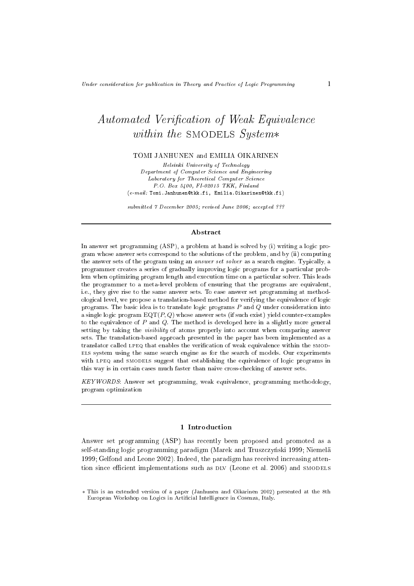# Automated Verification of Weak Equivalence within the SMODELS System<sup>\*</sup>

# TOMI JANHUNEN and EMILIA OIKARINEN

Helsinki University of Te
hnology e ap de compart of Computer Section Section exceptions and g Laboratory for Theoreti
al Computer S
ien
e P.O. Box 5400, FI-02015 TKK, Finland  $(e-mail:$  Tomi.Janhunen@tkk.fi, Emilia.Oikarinen@tkk.fi)

epted 2005; revised 2005; revised and a meet a revised procedure and a revised and a revised and a revised and

## **Abstract**

In answer set programming (ASP), a problem at hand is solved by (i) writing a logic program whose answer sets orrespond to the solutions of the problem, and by (ii) omputing the answer sets of the program using an *answer set solver* as a search engine. Typically, a programmer creates a series of gradually improving logic programs for a particular problem when optimizing program length and execution time on a particular solver. This leads the programmer to <sup>a</sup> meta-level problem of ensuring that the programs are equivalent, i.e., they give rise to the same answer sets. To ease answer set programming at methodological level, we propose a translation-based method for verifying the equivalence of logic programs. The basic idea is to translate logic programs  $P$  and  $Q$  under consideration into a single logic program  $\mathrm{EQT}(P,Q)$  whose answer sets (if such exist) yield counter-examples to the equivalence of  $P$  and  $Q$ . The method is developed here in a slightly more general setting by taking the *visibility* of atoms properly into account when comparing answer sets. The translation-based approa
h presented in the paper has been implemented as a translator called LPEQ that enables the verification of weak equivalence within the SMODels system using the same sear
h engine as for the sear
h of models. Our experiments with LPEQ and SMODELS suggest that establishing the equivalence of logic programs in this way is in certain cases much faster than naive cross-checking of answer sets.

KEYWORDS: Answer set programming, weak equivalen
e, programming methodology, program optimization

## 1 Introduction

Answer set programming (ASP) has recently been proposed and promoted as a self-standing logic programming paradigm (Marek and Truszczyński 1999; Niemelä 1999; Gelfond and Leone 2002). Indeed, the paradigm has re
eived in
reasing attention since efficient implementations such as DLV (Leone et al. 2006) and SMODELS

<sup>∗</sup> This is an extended version of a paper (Janhunen and Oikarinen 2002) presented at the 8th European Workshop on Logics in Artificial Intelligence in Cosenza, Italy.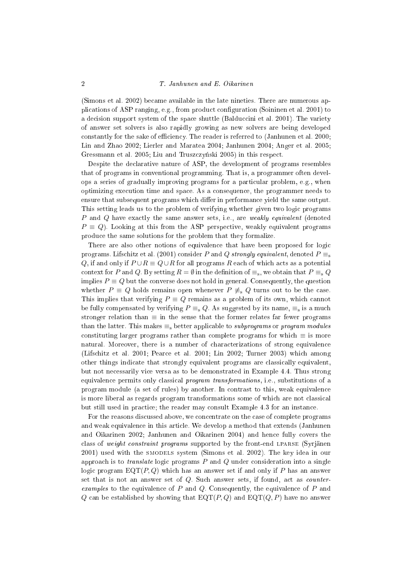(Simons et al. 2002) be
ame available in the late nineties. There are numerous applications of ASP ranging, e.g., from product configuration (Soininen et al. 2001) to a decision support system of the space shuttle (Balduccini et al. 2001). The variety of answer set solvers is also rapidly growing as new solvers are being developed constantly for the sake of efficiency. The reader is referred to (Janhunen et al. 2000; Lin and Zhao 2002; Lierler and Maratea 2004; Janhunen 2004; Anger et al. 2005; Gressmann et al. 2005; Liu and Truszczyński 2005) in this respect.

Despite the declarative nature of ASP, the development of programs resembles that of programs in conventional programming. That is, a programmer often develops a series of gradually improving programs for a parti
ular problem, e.g., when optimizing exe
ution time and spa
e. As <sup>a</sup> onsequen
e, the programmer needs to ensure that subsequent programs which differ in performance yield the same output. This setting leads us to the problem of verifying whether given two logi programs P and Q have exactly the same answer sets, i.e., are *weakly equivalent* (denoted  $P \equiv Q$ ). Looking at this from the ASP perspective, weakly equivalent programs produ
e the same solutions for the problem that they formalize.

There are also other notions of equivalence that have been proposed for logic programs. Lifschitz et al. (2001) consider P and Q strongly equivalent, denoted  $P \equiv_{\rm s}$ Q, if and only if  $P \cup R \equiv Q \cup R$  for all programs R each of which acts as a potential context for P and Q. By setting  $R = \emptyset$  in the definition of  $\equiv_{\rm s}$ , we obtain that  $P \equiv_{\rm s} Q$ implies  $P \equiv Q$  but the converse does not hold in general. Consequently, the question whether  $P \equiv Q$  holds remains open whenever  $P \not\equiv_{\mathbf{s}} Q$  turns out to be the case. This implies that verifying  $P \equiv Q$  remains as a problem of its own, which cannot be fully compensated by verifying  $P \equiv_{\rm s} Q$ . As suggested by its name,  $\equiv_{\rm s}$  is a much stronger relation than  $\equiv$  in the sense that the former relates far fewer programs than the latter. This makes  $\equiv_{\rm s}$  better applicable to *subprograms* or program modules constituting larger programs rather than complete programs for which  $\equiv$  is more natural. Moreover, there is a number of characterizations of strong equivalence (Lifs
hitz et al. 2001; Pear
e et al. 2001; Lin 2002; Turner 2003) whi
h among other things indi
ate that strongly equivalent programs are lassi
ally equivalent, but not ne
essarily vi
e versa as to be demonstrated in Example 4.4. Thus strong equivalence permits only classical *program transformations*, i.e., substitutions of a program module (a set of rules) by another. In ontrast to this, weak equivalen
e is more liberal as regards program transformations some of which are not classical but still used in practice; the reader may consult Example 4.3 for an instance.

For the reasons discussed above, we concentrate on the case of complete programs and weak equivalen
e in this arti
le. We develop <sup>a</sup> method that extends (Janhunen and Oikarinen 2002; Janhunen and Oikarinen 2004) and hen
e fully overs the class of *weight constraint programs* supported by the front-end LPARSE (Syrjänen 2001) used with the smodels system (Simons et al. 2002). The key idea in our approach is to *translate* logic programs  $P$  and  $Q$  under consideration into a single logic program  $EQT(P,Q)$  which has an answer set if and only if P has an answer set that is not an answer set of  $Q$ . Such answer sets, if found, act as *counter*examples to the equivalence of  $P$  and  $Q$ . Consequently, the equivalence of  $P$  and Q can be established by showing that  $\text{EQT}(P,Q)$  and  $\text{EQT}(Q,P)$  have no answer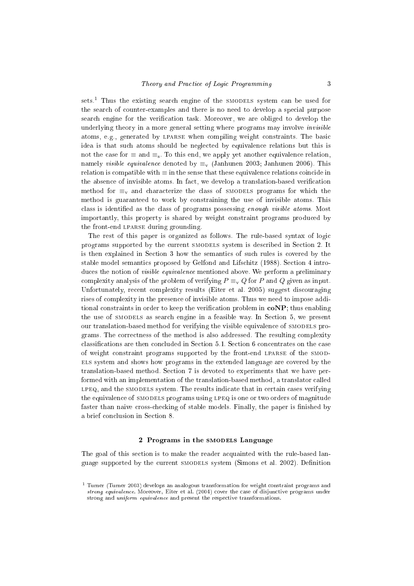sets.<sup>1</sup> Thus the existing search engine of the SMODELS system can be used for the sear
h of ounter-examples and there is no need to develop a spe
ial purpose search engine for the verification task. Moreover, we are obliged to develop the underlying theory in a more general setting where programs may involve *invisible* atoms, e.g., generated by LPARSE when compiling weight constraints. The basic idea is that su
h atoms should be negle
ted by equivalen
e relations but this is not the case for  $\equiv$  and  $\equiv$ <sub>s</sub>. To this end, we apply yet another equivalence relation, namely *visible equivalence* denoted by  $\equiv_v (Janh$ unen 2003; Janhunen 2006). This relation is compatible with  $\equiv$  in the sense that these equivalence relations coincide in the absence of invisible atoms. In fact, we develop a translation-based verification method for  $\equiv_{\rm v}$  and characterize the class of smootlels programs for which the method is guaranteed to work by onstraining the use of invisible atoms. This class is identified as the class of programs possessing enough visible atoms. Most importantly, this property is shared by weight onstraint programs produ
ed by the front-end lparse during grounding.

The rest of this paper is organized as follows. The rule-based syntax of logi programs supported by the urrent smodels system is des
ribed in Se
tion 2. It is then explained in Se
tion 3 how the semanti
s of su
h rules is overed by the stable model semanti
s proposed by Gelfond and Lifs
hitz (1988). Se
tion <sup>4</sup> introduces the notion of *visible equivalence* mentioned above. We perform a preliminary complexity analysis of the problem of verifying  $P \equiv_{\rm v} Q$  for P and Q given as input. Unfortunately, recent complexity results (Eiter et al. 2005) suggest discouraging rises of omplexity in the presen
e of invisible atoms. Thus we need to impose additional constraints in order to keep the verification problem in  $coNP$ ; thus enabling the use of SMODELS as search engine in a feasible way. In Section 5, we present our translation-based method for verifying the visible equivalen
e of smodels programs. The orre
tness of the method is also addressed. The resulting omplexity classifications are then concluded in Section 5.1. Section 6 concentrates on the case of weight onstraint programs supported by the front-end lparse of the smodels system and shows how programs in the extended language are overed by the translation-based method. Se
tion <sup>7</sup> is devoted to experiments that we have performed with an implementation of the translation-based method, a translator called LPEQ, and the SMODELS system. The results indicate that in certain cases verifying the equivalence of SMODELS programs using LPEQ is one or two orders of magnitude faster than naive cross-checking of stable models. Finally, the paper is finished by a brief on
lusion in Se
tion 8.

# 2 Programs in the SMODELS Language

The goal of this se
tion is to make the reader a
quainted with the rule-based language supported by the current SMODELS system (Simons et al. 2002). Definition

 $1$  Turner (Turner 2003) develops an analogous transformation for weight constraint programs and strong equivalen
e. Moreover, Eiter et al. (2004) over the ase of disjun
tive programs under strong and *uniform equivalence* and present the respective transformations.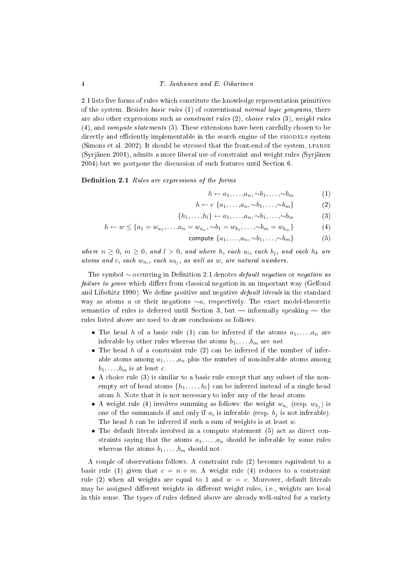2.1 lists five forms of rules which constitute the knowledge representation primitives of the system. Besides *basic rules* (1) of conventional *normal logic programs*, there are also other expressions su
h as onstraint rules (2), hoi
e rules (3), weight rules (4), and ompute statements (5). These extensions have been arefully hosen to be directly and efficiently implementable in the search engine of the SMODELS system (Simons et al. 2002). It should be stressed that the front-end of the system, LPARSE (Syrjänen 2001), admits a more liberal use of onstraint and weight rules (Syrjänen 2004) but we postpone the discussion of such features until Section 6.

Definition 2.1 Rules are expressions of the forms

$$
h \leftarrow a_1, \dots, a_n, \sim b_1, \dots, \sim b_m \tag{1}
$$

$$
h \leftarrow c \{a_1, \ldots, a_n, \sim b_1, \ldots, \sim b_m\} \tag{2}
$$

 ${h_1, \ldots, h_l} \leftarrow a_1, \ldots, a_n, \sim b_1, \ldots, \sim b_m$  (3)

$$
h \leftarrow w \le \{a_1 = w_{a_1}, \dots, a_n = w_{a_n}, \sim b_1 = w_{b_1}, \dots, \sim b_m = w_{b_m}\}\tag{4}
$$

compute  $\{a_1, \ldots, a_n, \sim b_1, \ldots, \sim b_m\}$  (5)

where  $n \geq 0$ ,  $m \geq 0$ , and  $l > 0$ , and where h, each  $a_i$ , each  $b_j$ , and each  $h_k$  are atoms and c, each  $w_{a_i}$ , each  $w_{b_j}$ , as well as w, are natural numbers.

The symbol  $\sim$  occurring in Definition 2.1 denotes *default negation* or negation as failure to prove which differs from classical negation in an important way (Gelfond and Lifschitz 1990). We define positive and negative *default literals* in the standard way as atoms a or their negations  $\sim a$ , respectively. The exact model-theoretic semantics of rules is deferred until Section 3, but  $-$  informally speaking  $-$  the rules listed above are used to draw on
lusions as follows.

- The head h of a basic rule (1) can be inferred if the atoms  $a_1, \ldots, a_n$  are inferable by other rules whereas the atoms  $b_1, \ldots, b_m$  are not.
- The head  $h$  of a constraint rule  $(2)$  can be inferred if the number of inferable atoms among  $a_1, \ldots, a_n$  plus the number of non-inferable atoms among  $b_1, \ldots, b_m$  is at least c.
- A choice rule (3) is similar to a basic rule except that any subset of the nonempty set of head atoms  $\{h_1, \ldots, h_l\}$  can be inferred instead of a single head atom h. Note that it is not ne
essary to infer any of the head atoms.
- A weight rule (4) involves summing as follows: the weight  $w_{a_i}$  (resp.  $w_{b_j}$ ) is one of the summands if and only if  $a_i$  is inferable (resp.  $b_j$  is not inferable). The head  $h$  can be inferred if such a sum of weights is at least  $w$ .
- The default literals involved in a compute statement (5) act as direct constraints saying that the atoms  $a_1, \ldots, a_n$  should be inferable by some rules whereas the atoms  $b_1, \ldots, b_m$  should not.

A ouple of observations follows. A onstraint rule (2) be
omes equivalent to a basic rule (1) given that  $c = n + m$ . A weight rule (4) reduces to a constraint rule (2) when all weights are equal to 1 and  $w = c$ . Moreover, default literals may be assigned different weights in different weight rules, i.e., weights are local in this sense. The types of rules defined above are already well-suited for a variety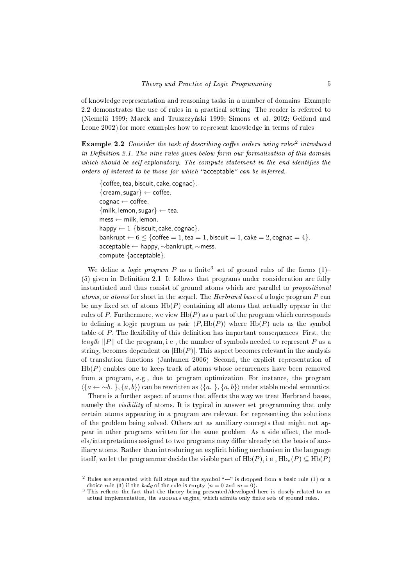of knowledge representation and reasoning tasks in a number of domains. Example 2.2 demonstrates the use of rules in a practical setting. The reader is referred to (Niemelä 1999; Marek and Truszczyński 1999; Simons et al. 2002; Gelfond and Leone 2002) for more examples how to represent knowledge in terms of rules.

**Example 2.2** Consider the task of describing coffee orders using rules<sup>2</sup> introduced in Definition 2.1. The nine rules given below form our formalization of this domain which should be self-explanatory. The compute statement in the end identifies the orders of interest to be those for which "acceptable" can be inferred.

{coffee,tea, biscuit, cake, cognac}.  ${ \text{cream}, \text{sugar} } \leftarrow \text{ coffee}.$ cognac ← coffee.  ${milk, lemon, sugar} \leftarrow tea$ . mess ← milk, lemon. happy  $\leftarrow 1$  {biscuit, cake, cognac}. bankrupt  $\leftarrow 6 \leq \{ \text{cofree} = 1, \text{tea} = 1, \text{biscuit} = 1, \text{cake} = 2, \text{cognac} = 4 \}.$ acceptable ← happy, ∼bankrupt, ∼mess. compute {acceptable}.

We define a *logic program* P as a finite<sup>3</sup> set of ground rules of the forms  $(1)$ - $(5)$  given in Definition 2.1. It follows that programs under consideration are fully instantiated and thus onsist of ground atoms whi
h are parallel to propositional atoms, or atoms for short in the sequel. The *Herbrand base* of a logic program  $P$  can be any fixed set of atoms  $Hb(P)$  containing all atoms that actually appear in the rules of P. Furthermore, we view  $Hb(P)$  as a part of the program which corresponds to defining a logic program as pair  $\langle P, Hb(P) \rangle$  where Hb(P) acts as the symbol table of  $P$ . The flexibility of this definition has important consequences. First, the length  $||P||$  of the program, i.e., the number of symbols needed to represent P as a string, becomes dependent on  $|Hb(P)|$ . This aspect becomes relevant in the analysis of translation functions (Janhunen 2006). Second, the explicit representation of  $Hb(P)$  enables one to keep track of atoms whose occurrences have been removed from a program, e.g., due to program optimization. For instan
e, the program  $\langle \{a \leftarrow \sim b.\}, \{a, b\} \rangle$  can be rewritten as  $\langle \{a, \}, \{a, b\} \rangle$  under stable model semantics.

There is a further aspect of atoms that affects the way we treat Herbrand bases, namely the visibility of atoms. It is typi
al in answer set programming that only ertain atoms appearing in a program are relevant for representing the solutions of the problem being solved. Others act as auxiliary concepts that might not appear in other programs written for the same problem. As a side effect, the models/interpretations assigned to two programs may differ already on the basis of auxiliary atoms. Rather than introducing an explicit hiding mechanism in the language itself, we let the programmer decide the visible part of  $Hb(P)$ , i.e.,  $Hb_v(P) \subseteq Hb(P)$ 

<sup>&</sup>lt;sup>2</sup> Rules are separated with full stops and the symbol " $\leftarrow$ " is dropped from a basic rule (1) or a choice rule (3) if the *body* of the rule is empty  $(n = 0 \text{ and } m = 0)$ .<br><sup>3</sup> This reflects the fact that the theory being presented/developed here is closely related to an

actual implementation, the smodels engine, which admits only finite sets of ground rules.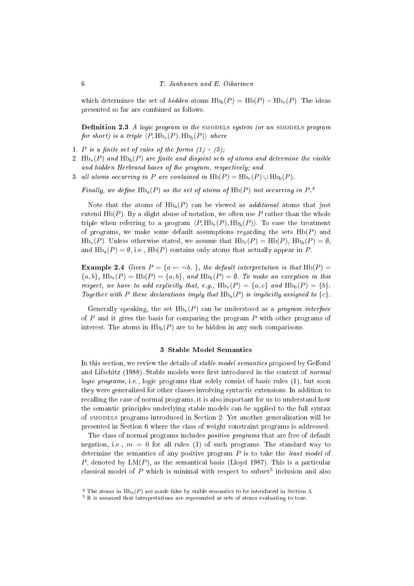which determines the set of hidden atoms  $Hb_h(P) = Hb(P) - Hb_v(P)$ . The ideas presented so far are ombined as follows.

**Definition 2.3** A logic program in the SMODELS system (or an SMODELS program) for short) is a triple  $\langle P, Hb_v(P), Hb_h(P)\rangle$  where

- 1. P is a finite set of rules of the forms  $(1) (5)$ ;
- 2.  $\text{Hb}_v(P)$  and  $\text{Hb}_h(P)$  are finite and disjoint sets of atoms and determine the visible and hidden Herbrand bases of the program, respe
tively; and
- 3. all atoms occurring in P are contained in  $\text{Hb}(P) = \text{Hb}_{\text{v}}(P) \cup \text{Hb}_{\text{h}}(P)$ .

Finally, we define  $\text{Hb}_a(P)$  as the set of atoms of  $\text{Hb}(P)$  not occurring in  $P^A$ 

Note that the atoms of  $\text{Hb}_a(P)$  can be viewed as *additional* atoms that just extend  $Hb(P)$ . By a slight abuse of notation, we often use P rather than the whole triple when referring to a program  $\langle P, Hb_{\nu}(P), Hb_{\nu}(P)\rangle$ . To ease the treatment of programs, we make some default assumptions regarding the sets  $Hb(P)$  and  $Hb_v(P)$ . Unless otherwise stated, we assume that  $Hb_v(P) = Hb(P)$ ,  $Hb_h(P) = \emptyset$ , and  $Hb_*(P) = \emptyset$ , i.e.,  $Hb(P)$  contains only atoms that actually appear in P.

Example 2.4 Given  $P = \{a \leftarrow \neg b.\}$ , the default interpretation is that Hb(P) =  ${a, b}$ ,  $\text{Hb}_v(P) = \text{Hb}(P) = {a, b}$ , and  $\text{Hb}_h(P) = \emptyset$ . To make an exception in this respect, we have to add explicitly that, e.g.,  $\text{Hb}_v(P) = \{a, c\}$  and  $\text{Hb}_h(P) = \{b\}.$ Together with P these declarations imply that  $\text{Hb}_a(P)$  is implicitly assigned to  $\{c\}$ .

Generally speaking, the set  $Hb_v(P)$  can be understood as a *program interface* of  $P$  and it gives the basis for comparing the program  $P$  with other programs of interest. The atoms in  $Hb_h(P)$  are to be hidden in any such comparisons.

# <sup>3</sup> Stable Model Semanti
s

In this section, we review the details of *stable model semantics* proposed by Gelfond and Lifschitz (1988). Stable models were first introduced in the context of *normal* logic programs, i.e., logic programs that solely consist of basic rules (1), but soon they were generalized for other classes involving syntactic extensions. In addition to re
alling the ase of normal programs, it is also important for us to understand how the semanti prin
iples underlying stable models an be applied to the full syntax of smodels programs introdu
ed in Se
tion 2. Yet another generalization will be presented in Se
tion 6 where the lass of weight onstraint programs is addressed.

The class of normal programs includes *positive programs* that are free of default negation, i.e.,  $m = 0$  for all rules (1) of such programs. The standard way to determine the semantics of any positive program  $P$  is to take the *least model* of P, denoted by  $LM(P)$ , as the semantical basis (Lloyd 1987). This is a particular classical model of  $P$  which is minimal with respect to subset<sup>5</sup> inclusion and also

<sup>&</sup>lt;sup>4</sup> The atoms in  $Hb_a(P)$  are made false by stable semantics to be introduced in Section 3.

<sup>&</sup>lt;sup>5</sup> It is assumed that interpretations are represented as sets of atoms evaluating to true.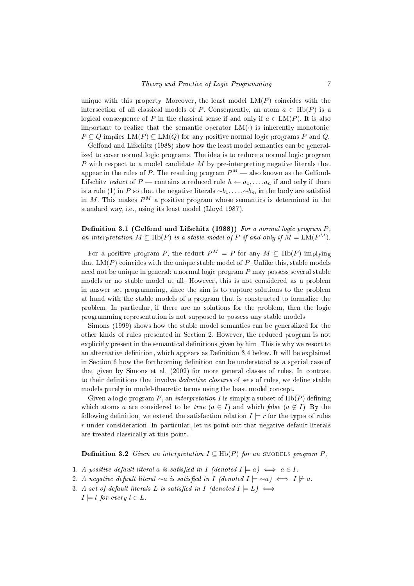unique with this property. Moreover, the least model  $LM(P)$  coincides with the intersection of all classical models of P. Consequently, an atom  $a \in \text{Hb}(P)$  is a logical consequence of P in the classical sense if and only if  $a \in LM(P)$ . It is also important to realize that the semantic operator  $LM(\cdot)$  is inherently monotonic:  $P \subseteq Q$  implies  $LM(P) \subseteq LM(Q)$  for any positive normal logic programs P and Q.

Gelfond and Lifschitz (1988) show how the least model semantics can be generalized to cover normal logic programs. The idea is to reduce a normal logic program P with respect to a model candidate  $M$  by pre-interpreting negative literals that appear in the rules of P. The resulting program  $P^M$  — also known as the Gelfond-Lifschitz reduct of P – contains a reduced rule  $h \leftarrow a_1, \ldots, a_n$  if and only if there is a rule (1) in P so that the negative literals  $\sim b_1, \ldots, \sim b_m$  in the body are satisfied in M. This makes  $P^M$  a positive program whose semantics is determined in the standard way, i.e., using its least model (Lloyd 1987).

Definition 3.1 (Gelfond and Lifschitz (1988)) For a normal logic program P, an interpretation  $M \subseteq \text{Hb}(P)$  is a stable model of P if and only if  $M = \text{LM}(P^M)$ .

For a positive program P, the reduct  $P^M = P$  for any  $M \subseteq \text{Hb}(P)$  implying that  $LM(P)$  coincides with the unique stable model of  $P$ . Unlike this, stable models need not be unique in general: <sup>a</sup> normal logi program P may possess several stable models or no stable model at all. However, this is not considered as a problem in answer set programming, sin
e the aim is to apture solutions to the problem at hand with the stable models of a program that is onstru
ted to formalize the problem. In particular, if there are no solutions for the problem, then the logic programming representation is not supposed to possess any stable models.

Simons (1999) shows how the stable model semantics can be generalized for the other kinds of rules presented in Se
tion 2. However, the redu
ed program is not explicitly present in the semantical definitions given by him. This is why we resort to an alternative definition, which appears as Definition 3.4 below. It will be explained in Section 6 how the forthcoming definition can be understood as a special case of that given by Simons et al. (2002) for more general lasses of rules. In ontrast to their definitions that involve *deductive closures* of sets of rules, we define stable models purely in model-theoretic terms using the least model concept.

Given a logic program P, an interpretation I is simply a subset of  $Hb(P)$  defining which atoms a are considered to be *true*  $(a \in I)$  and which *false*  $(a \notin I)$ . By the following definition, we extend the satisfaction relation  $I \models r$  for the types of rules r under consideration. In particular, let us point out that negative default literals are treated lassi
ally at this point.

**Definition 3.2** Given an interpretation  $I \subseteq \text{Hb}(P)$  for an SMODELS program P,

- 1. A positive default literal a is satisfied in I (denoted  $I \models a) \iff a \in I$ .
- 2. A negative default literal  $\sim a$  is satisfied in I (denoted  $I \models \sim a$ )  $\iff I \not\models a$ .
- 3. A set of default literals L is satisfied in I (denoted  $I \models L$ )  $\iff$  $I \models l$  for every  $l \in L$ .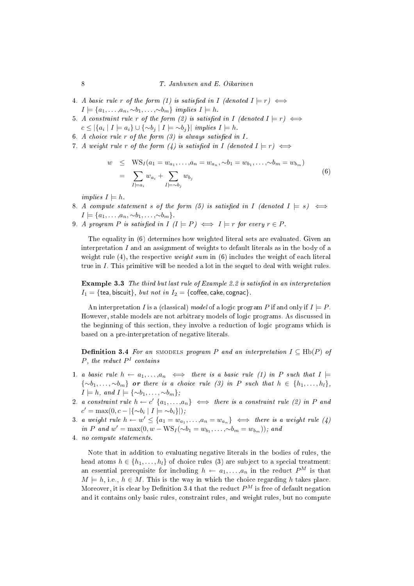- 4. A basic rule r of the form (1) is satisfied in I (denoted  $I \models r$ )  $\iff$  $I \models \{a_1, \ldots, a_n, \sim b_1, \ldots, \sim b_m\}$  implies  $I \models h$ .
- 5. A constraint rule r of the form (2) is satisfied in I (denoted  $I \models r$ )  $\iff$  $c \leq |\{a_i \mid I \models a_i\} \cup \{\sim b_j \mid I \models \sim b_j\}|$  implies  $I \models h$ .
- 6. A choice rule r of the form  $(3)$  is always satisfied in I.
- 7. A weight rule r of the form (4) is satisfied in I (denoted  $I \models r$ )  $\iff$

$$
w \le \text{WS}_I(a_1 = w_{a_1}, \dots, a_n = w_{a_n}, \sim b_1 = w_{b_1}, \dots, \sim b_m = w_{b_m})
$$
  
= 
$$
\sum_{I \models a_i} w_{a_i} + \sum_{I \models \sim b_j} w_{b_j}
$$
 (6)

implies  $I \models h$ .

- 8. A compute statement s of the form (5) is satisfied in I (denoted  $I \models s$ )  $\iff$  $I = \{a_1, \ldots, a_n, \sim b_1, \ldots, \sim b_m\}.$
- 9. A program P is satisfied in  $I$   $(I \models P) \iff I \models r$  for every  $r \in P$ .

The equality in (6) determines how weighted literal sets are evaluated. Given an interpretation I and an assignment of weights to default literals as in the body of <sup>a</sup> weight rule  $(4)$ , the respective *weight sum* in  $(6)$  includes the weight of each literal true in  $I$ . This primitive will be needed a lot in the sequel to deal with weight rules.

**Example 3.3** The third but last rule of Example 2.2 is satisfied in an interpretation  $I_1 = \{\text{tea}, \text{biscut}\}, \text{ but not in } I_2 = \{\text{coffee}, \text{cake}, \text{cognac}\}.$ 

An interpretation I is a (classical) model of a logic program P if and only if  $I \models P$ . However, stable models are not arbitrary models of logi programs. As dis
ussed in the beginning of this section, they involve a reduction of logic programs which is based on a pre-interpretation of negative literals.

**Definition 3.4** For an SMODELS program P and an interpretation  $I \subseteq \text{Hb}(P)$  of  $P$ , the reduct  $P<sup>I</sup>$  contains

- 1. a basic rule  $h \leftarrow a_1, \ldots, a_n \iff$  there is a basic rule (1) in P such that  $I \models$  $\{\sim b_1, \ldots, \sim b_m\}$  or there is a choice rule (3) in P such that  $h \in \{h_1, \ldots, h_l\}$ ,  $I \models h, \text{ and } I \models {\sim} b_1, \ldots, {\sim} b_m$ ;
- 2. a constraint rule  $h \leftarrow c' \{a_1, \ldots, a_n\} \iff$  there is a constraint rule (2) in P and  $c' = \max(0, c - |\{\sim b_i \mid I \models \sim b_i\}|),$
- 3. a weight rule  $h \leftarrow w' \leq \{a_1 = w_{a_1}, \ldots, a_n = w_{a_n}\} \iff \text{there is a weight rule (4)}$ *in P* and  $w' = \max(0, w - WS_I(\sim b_1 = w_{b_1}, \ldots, \sim b_m = w_{b_m}))$ ; and
- 4. no ompute statements.

Note that in addition to evaluating negative literals in the bodies of rules, the head atoms  $h \in \{h_1, \ldots, h_l\}$  of choice rules (3) are subject to a special treatment: an essential prerequisite for including  $h \leftarrow a_1, \ldots, a_n$  in the reduct  $P^M$  is that  $M \models h$ , i.e.,  $h \in M$ . This is the way in which the choice regarding h takes place. Moreover, it is clear by Definition 3.4 that the reduct  $P^M$  is free of default negation and it contains only basic rules, constraint rules, and weight rules, but no compute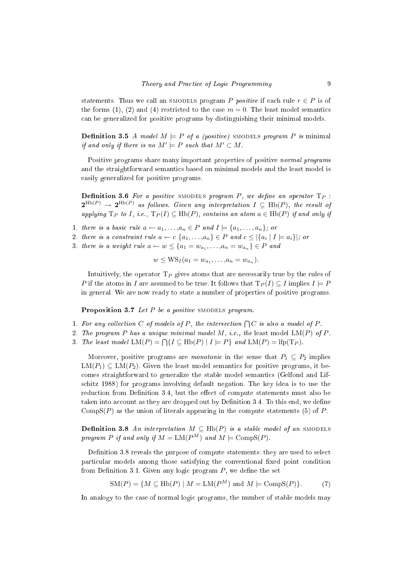statements. Thus we call an SMODELS program P positive if each rule  $r \in P$  is of the forms (1), (2) and (4) restricted to the case  $m = 0$ . The least model semantics an be generalized for positive programs by distinguishing their minimal models.

**Definition 3.5** A model  $M \models P$  of a (positive) SMODELS program P is minimal if and only if there is no  $M' \models P$  such that  $M' \subset M$ .

Positive programs share many important properties of positive normal programs and the straightforward semanti
s based on minimal models and the least model is easily generalized for positive programs.

**Definition 3.6** For a positive SMODELS program P, we define an operator  $T_P$ :  ${\bf 2}^{\operatorname{Hb}(P)} \to {\bf 2}^{\operatorname{Hb}(P)}$  as follows. Given any interpretation  $I \subseteq \operatorname{Hb}(P)$ , the result of applying  $T_P$  to I, i.e.,  $T_P(I) \subseteq Hb(P)$ , contains an atom  $a \in Hb(P)$  if and only if

- 1. there is a basic rule  $a \leftarrow a_1, \ldots, a_n \in P$  and  $I \models \{a_1, \ldots, a_n\}$ ; or
- 2. there is a constraint rule  $a \leftarrow c \{a_1, \ldots, a_n\} \in P$  and  $c \leq |\{a_i \mid I \models a_i\}|$ ; or
- 3. there is a weight rule  $a \leftarrow w \leq \{a_1 = w_{a_1}, \ldots, a_n = w_{a_n}\} \in P$  and

$$
w \leq \text{WS}_I(a_1 = w_{a_1}, \dots, a_n = w_{a_n}).
$$

Intuitively, the operator  $T_P$  gives atoms that are necessarily true by the rules of P if the atoms in I are assumed to be true. It follows that  $T_P(I) \subseteq I$  implies  $I \models P$ in general. We are now ready to state a number of properties of positive programs.

**Proposition 3.7** Let  $P$  be a positive SMODELS program.

- 1. For any collection C of models of P, the intersection  $\bigcap C$  is also a model of P.
- 2. The program P has a unique minimal model M, i.e., the least model  $LM(P)$  of P.
- 3. The least model  $LM(P) = \bigcap \{I \subseteq Hb(P) \mid I \models P\}$  and  $LM(P) = lfp(T_P)$ .

Moreover, positive programs are *monotonic* in the sense that  $P_1 \subseteq P_2$  implies  $LM(P_1) \subseteq LM(P_2)$ . Given the least model semantics for positive programs, it beomes straightforward to generalize the stable model semanti
s (Gelfond and Lifs
hitz 1988) for programs involving default negation. The key idea is to use the reduction from Definition 3.4, but the effect of compute statements must also be taken into account as they are dropped out by Definition 3.4. To this end, we define CompS $(P)$  as the union of literals appearing in the compute statements (5) of P.

**Definition 3.8** An interpretation  $M \subseteq \text{Hb}(P)$  is a stable model of an SMODELS program P if and only if  $M = LM(P^M)$  and  $M \models CompS(P)$ .

Definition 3.8 reveals the purpose of compute statements: they are used to select particular models among those satisfying the conventional fixed point condition from Definition 3.1. Given any logic program  $P$ , we define the set

$$
SM(P) = \{ M \subseteq Hb(P) \mid M = LM(P^M) \text{ and } M \models CompS(P) \}. \tag{7}
$$

In analogy to the case of normal logic programs, the number of stable models may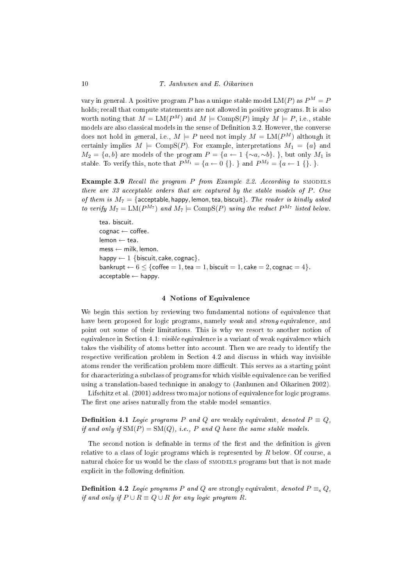vary in general. A positive program P has a unique stable model  $LM(P)$  as  $P^M = P$ holds; recall that compute statements are not allowed in positive programs. It is also worth noting that  $M = LM(P^M)$  and  $M \models \text{CompS}(P)$  imply  $M \models P$ , i.e., stable models are also classical models in the sense of Definition 3.2. However, the converse does not hold in general, i.e.,  $M \models P$  need not imply  $M = LM(P^M)$  although it certainly implies  $M \models \text{CompS}(P)$ . For example, interpretations  $M_1 = \{a\}$  and  $M_2 = \{a, b\}$  are models of the program  $P = \{a \leftarrow 1 \{\sim a, \sim b\} \}$ , but only  $M_1$  is stable. To verify this, note that  $P^{M_1} = \{a \leftarrow 0\}$ . } and  $P^{M_2} = \{a \leftarrow 1\}$ .

Example 3.9 Recall the program P from Example 2.2. According to SMODELS there are  $33$  acceptable orders that are captured by the stable models of P. One of them is  $M_7 = \{$ acceptable, happy, lemon, tea, biscuit $\}$ . The reader is kindly asked to verify  $M_7 = LM(P^{M_7})$  and  $M_7 \models \text{CompS}(P)$  using the reduct  $P^{M_7}$  listed below.

tea. biscuit. cognac ← coffee. lemon ← tea.  $mess \leftarrow milk, lemon.$ happy  $\leftarrow 1$  {biscuit, cake, cognac}. bankrupt  $\leftarrow 6 \leq \{ \text{cofree} = 1, \text{tea} = 1, \text{biscuit} = 1, \text{cake} = 2, \text{cognac} = 4 \}.$ acceptable ← happy.

## <sup>4</sup> Notions of Equivalen
e

We begin this section by reviewing two fundamental notions of equivalence that have been proposed for logic programs, namely weak and strong equivalence, and point out some of their limitations. This is why we resort to another notion of equivalence in Section 4.1: *visible* equivalence is a variant of weak equivalence which takes the visibility of atoms better into account. Then we are ready to identify the respective verification problem in Section 4.2 and discuss in which way invisible atoms render the verification problem more difficult. This serves as a starting point for characterizing a subclass of programs for which visible equivalence can be verified using a translation-based te
hnique in analogy to (Janhunen and Oikarinen 2002).

Lifschitz et al. (2001) address two major notions of equivalence for logic programs. The first one arises naturally from the stable model semantics.

**Definition 4.1** Logic programs P and Q are weakly equivalent, denoted  $P \equiv Q$ , if and only if  $SM(P) = SM(Q)$ , i.e., P and Q have the same stable models.

The second notion is definable in terms of the first and the definition is given relative to a class of logic programs which is represented by  $R$  below. Of course, a natural choice for us would be the class of SMODELS programs but that is not made explicit in the following definition.

**Definition 4.2** Logic programs P and Q are strongly equivalent, denoted  $P \equiv_{\rm s} Q$ , if and only if  $P \cup R \equiv Q \cup R$  for any logic program R.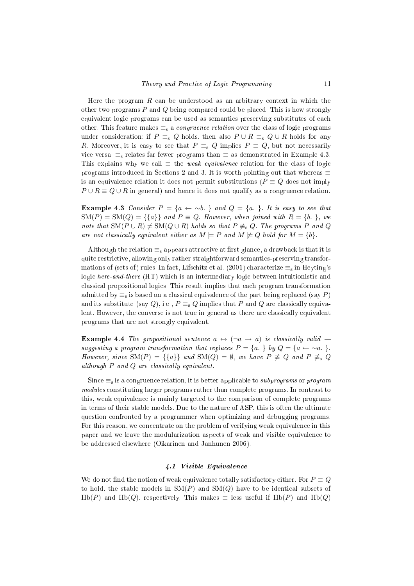Here the program  $R$  can be understood as an arbitrary context in which the other two programs  $P$  and  $Q$  being compared could be placed. This is how strongly equivalent logic programs can be used as semantics preserving substitutes of each other. This feature makes  $\equiv$ <sub>s</sub> a *congruence relation* over the class of logic programs under consideration: if  $P \equiv_{\rm s} Q$  holds, then also  $P \cup R \equiv_{\rm s} Q \cup R$  holds for any R. Moreover, it is easy to see that  $P \equiv_{\rm s} Q$  implies  $P \equiv Q$ , but not necessarily vice versa:  $\equiv_{\rm s}$  relates far fewer programs than  $\equiv$  as demonstrated in Example 4.3. This explains why we call  $\equiv$  the *weak equivalence* relation for the class of logic programs introduced in Sections 2 and 3. It is worth pointing out that whereas  $\equiv$ is an equivalence relation it does not permit substitutions ( $P \equiv Q$  does not imply  $P \cup R \equiv Q \cup R$  in general) and hence it does not qualify as a congruence relation.

Example 4.3 Consider  $P = \{a \leftarrow \neg b\}$  and  $Q = \{a, \}$ . It is easy to see that  $\text{SM}(P) = \text{SM}(Q) = \{ \{a\} \}$  and  $P \equiv Q$ . However, when joined with  $R = \{b, \}$ , we note that  $\text{SM}(P \cup R) \neq \text{SM}(Q \cup R)$  holds so that  $P \not\equiv_{\text{s}} Q$ . The programs P and Q. are not classically equivalent either as  $M \models P$  and  $M \not\models Q$  hold for  $M = \{b\}.$ 

Although the relation  $\equiv_s$  appears attractive at first glance, a drawback is that it is quite restrictive, allowing only rather straightforward semantics-preserving transformations of (sets of) rules. In fact, Lifschitz et al. (2001) characterize  $\equiv_{\rm s}$  in Heyting's logic *here-and-there* (HT) which is an intermediary logic between intuitionistic and lassi
al propositional logi
s. This result implies that ea
h program transformation admitted by  $\equiv_s$  is based on a classical equivalence of the part being replaced (say P) and its substitute (say Q), i.e.,  $P \equiv_{\rm s} Q$  implies that P and Q are classically equivalent. However, the converse is not true in general as there are classically equivalent programs that are not strongly equivalent.

**Example 4.4** The propositional sentence  $a \leftrightarrow (\neg a \rightarrow a)$  is classically valid – suggesting a program transformation that replaces  $P = \{a, \}$  by  $Q = \{a \leftarrow \sim a. \}$ . However, since  $\text{SM}(P) = \{\{a\}\}\$ and  $\text{SM}(Q) = \emptyset$ , we have  $P \not\equiv Q$  and  $P \not\equiv_{\mathcal{S}} Q$  $although P \text{ and } Q \text{ are classically equivalent.}$ 

Since  $\equiv_{\rm s}$  is a congruence relation, it is better applicable to *subprograms* or *program* modules constituting larger programs rather than complete programs. In contrast to this, weak equivalen
e is mainly targeted to the omparison of omplete programs in terms of their stable models. Due to the nature of ASP, this is often the ultimate question onfronted by a programmer when optimizing and debugging programs. For this reason, we concentrate on the problem of verifying weak equivalence in this paper and we leave the modularization aspe
ts of weak and visible equivalen
e to be addressed elsewhere (Oikarinen and Janhunen 2006).

#### 4.1 Visible Equivalen
e

We do not find the notion of weak equivalence totally satisfactory either. For  $P \equiv Q$ to hold, the stable models in  $SM(P)$  and  $SM(Q)$  have to be identical subsets of Hb(P) and Hb(Q), respectively. This makes  $\equiv$  less useful if Hb(P) and Hb(Q)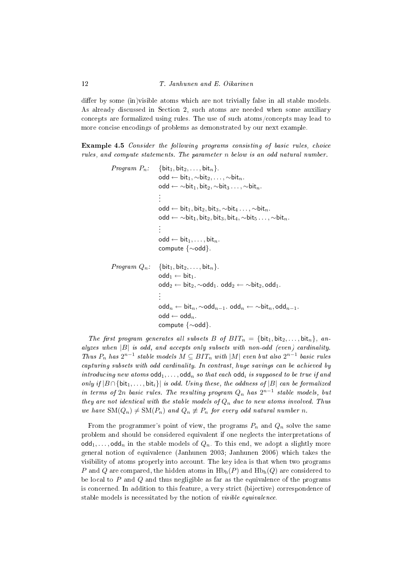differ by some (in)visible atoms which are not trivially false in all stable models. As already discussed in Section 2, such atoms are needed when some auxiliary on
epts are formalized using rules. The use of su
h atoms/
on
epts may lead to more concise encodings of problems as demonstrated by our next example.

Example 4.5 Consider the following programs consisting of basic rules, choice rules, and ompute statements. The parameter n below is an odd natural number.

```
Program P_n: {bit<sub>1</sub>, bit<sub>2</sub>, ..., bit<sub>n</sub>}.
                                   odd ← \mathsf{bit}_1, \sim \mathsf{bit}_2, \ldots, \sim \mathsf{bit}_n.
                                   odd ← \simbit<sub>1</sub>, bit<sub>2</sub>, \simbit<sub>3</sub>..., \simbit<sub>n</sub>.
                                    odd ← bit<sub>1</sub>, bit<sub>2</sub>, bit<sub>3</sub>, ~bit<sub>4</sub>..., ~bit<sub>n</sub>.
                                   odd ← \simbit<sub>1</sub>, bit<sub>2</sub>, bit<sub>3</sub>, bit<sub>4</sub>, \simbit<sub>5</sub>..., \simbit<sub>n</sub>.
                                   odd \leftarrow bit_1, \ldots, bit_n.compute {∼odd}.
Program Q_n: {bit<sub>1</sub>, bit<sub>2</sub>, ..., bit<sub>n</sub>}.
                                   odd_1 \leftarrow bit_1.
                                   odd<sub>2</sub> ← bit<sub>2</sub>, ~odd<sub>1</sub>. odd<sub>2</sub> ← ~bit<sub>2</sub>, odd<sub>1</sub>.
                                   \mathsf{odd}_n \leftarrow \mathsf{bit}_n, \sim \mathsf{odd}_{n-1}. \; \mathsf{odd}_n \leftarrow \mathsf{\sim bit}_n, \mathsf{odd}_{n-1}.\text{odd} \leftarrow \text{odd}.
                                   compute {∼odd}.
```
The first program generates all subsets B of  $BIT_n = {bit_1, bit_2, ..., bit_n}$ , analyzes when  $|B|$  is odd, and accepts only subsets with non-odd (even) cardinality. Thus  $P_n$  has  $2^{n-1}$  stable models  $M \subseteq BIT_n$  with |M| even but also  $2^{n-1}$  basic rules capturing subsets with odd cardinality. In contrast, huge savings can be achieved by introducing new atoms  $\text{odd}_1, \ldots, \text{odd}_n$  so that each  $\text{odd}_i$  is supposed to be true if and only if  $|B \cap \{\text{bit}_1, \ldots, \text{bit}_i\}|$  is odd. Using these, the oddness of  $|B|$  can be formalized in terms of  $2n$  basic rules. The resulting program  $Q_n$  has  $2^{n-1}$  stable models, but they are not identical with the stable models of  $Q_n$  due to new atoms involved. Thus we have  $\text{SM}(Q_n) \neq \text{SM}(P_n)$  and  $Q_n \neq P_n$  for every odd natural number n.

From the programmer's point of view, the programs  $P_n$  and  $Q_n$  solve the same problem and should be onsidered equivalent if one negle
ts the interpretations of  $\text{odd}_1, \ldots, \text{odd}_n$  in the stable models of  $Q_n$ . To this end, we adopt a slightly more general notion of equivalen
e (Janhunen 2003; Janhunen 2006) whi
h takes the visibility of atoms properly into account. The key idea is that when two programs P and Q are compared, the hidden atoms in  $H_{\text{bh}}(P)$  and  $H_{\text{bh}}(Q)$  are considered to be local to  $P$  and  $Q$  and thus negligible as far as the equivalence of the programs is concerned. In addition to this feature, a very strict (bijective) correspondence of stable models is necessitated by the notion of *visible equivalence*.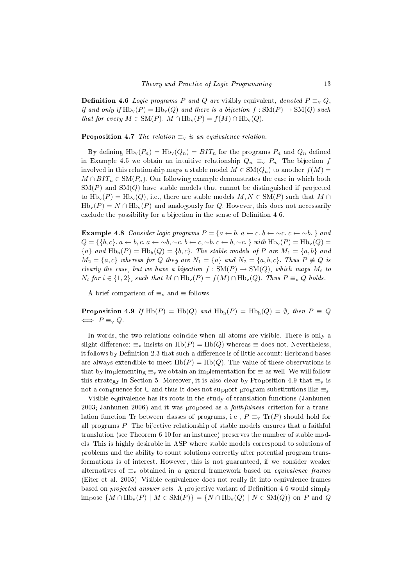**Definition 4.6** Logic programs P and Q are visibly equivalent, denoted  $P \equiv_{\rm v} Q$ , if and only if  $\text{Hb}_v(P) = \text{Hb}_v(Q)$  and there is a bijection  $f : \text{SM}(P) \to \text{SM}(Q)$  such that for every  $M \in SM(P)$ ,  $M \cap Hb_{v}(P) = f(M) \cap Hb_{v}(Q)$ .

**Proposition 4.7** The relation  $\equiv_{\rm v}$  is an equivalence relation.

By defining  $Hb_v(P_n) = Hb_v(Q_n) = BIT_n$  for the programs  $P_n$  and  $Q_n$  defined in Example 4.5 we obtain an intuitive relationship  $Q_n \equiv_v P_n$ . The bijection f involved in this relationship maps a stable model  $M \in SM(Q_n)$  to another  $f(M)$  =  $M \cap BIT_n \in SM(P_n)$ . Our following example demonstrates the case in which both  $\text{SM}(P)$  and  $\text{SM}(Q)$  have stable models that cannot be distinguished if projected to  $\text{Hb}_v(P) = \text{Hb}_v(Q)$ , i.e., there are stable models  $M, N \in \text{SM}(P)$  such that  $M \cap$  $Hb_v(P) = N \cap Hb_v(P)$  and analogously for Q. However, this does not necessarily exclude the possibility for a bijection in the sense of Definition 4.6.

Example 4.8 Consider logic programs  $P = \{a \leftarrow b, a \leftarrow c, b \leftarrow \neg c, c \leftarrow \neg b\}$  and  $Q = \{\{b, c\}, a \leftarrow b, c, a \leftarrow \sim b, \sim c, b \leftarrow c, \sim b, c \leftarrow b, \sim c. \}$  with  $Hb_v(P) = Hb_v(Q)$  ${a}$  and  $Hb<sub>h</sub>(P) = Hb<sub>h</sub>(Q) = {b, c}$ . The stable models of P are  $M<sub>1</sub> = {a, b}$  and  $M_2 = \{a, c\}$  whereas for Q they are  $N_1 = \{a\}$  and  $N_2 = \{a, b, c\}$ . Thus  $P \not\equiv Q$  is clearly the case, but we have a bijection  $f : SM(P) \to SM(Q)$ , which maps  $M_i$  to  $N_i$  for  $i \in \{1,2\}$ , such that  $M \cap \text{Hb}_v(P) = f(M) \cap \text{Hb}_v(Q)$ . Thus  $P \equiv_v Q$  holds.

A brief comparison of  $\equiv_{\rm v}$  and  $\equiv$  follows.

**Proposition 4.9** If  $Hb(P) = Hb(Q)$  and  $Hb<sub>h</sub>(P) = Hb<sub>h</sub>(Q) = \emptyset$ , then  $P \equiv Q$  $\iff P \equiv_{\rm v} Q$ .

In words, the two relations oin
ide when all atoms are visible. There is only a slight difference:  $\equiv_{\rm v}$  insists on Hb(P) = Hb(Q) whereas  $\equiv$  does not. Nevertheless, it follows by Definition 2.3 that such a difference is of little account: Herbrand bases are always extendible to meet  $Hb(P) = Hb(Q)$ . The value of these observations is that by implementing  $\equiv_{\rm v}$  we obtain an implementation for  $\equiv$  as well. We will follow this strategy in Section 5. Moreover, it is also clear by Proposition 4.9 that  $\equiv_{\rm v}$  is not a congruence for  $\cup$  and thus it does not support program substitutions like  $\equiv_s$ .

Visible equivalen
e has its roots in the study of translation fun
tions (Janhunen 2003; Janhunen 2006) and it was proposed as a  $faithfulness$  criterion for a translation function Tr between classes of programs, i.e.,  $P \equiv_v \text{Tr}(P)$  should hold for all programs  $P$ . The bijective relationship of stable models ensures that a faithful translation (see Theorem 6.10 for an instan
e) preserves the number of stable models. This is highly desirable in ASP where stable models orrespond to solutions of problems and the ability to count solutions correctly after potential program transformations is of interest. However, this is not guaranteed, if we onsider weaker alternatives of  $\equiv_{v}$  obtained in a general framework based on *equivalence frames* (Eiter et al. 2005). Visible equivalence does not really fit into equivalence frames based on *projected answer sets*. A projective variant of Definition 4.6 would simply impose  $\{M \cap Hb_v(P) \mid M \in SM(P)\} = \{N \cap Hb_v(Q) \mid N \in SM(Q)\}$  on P and Q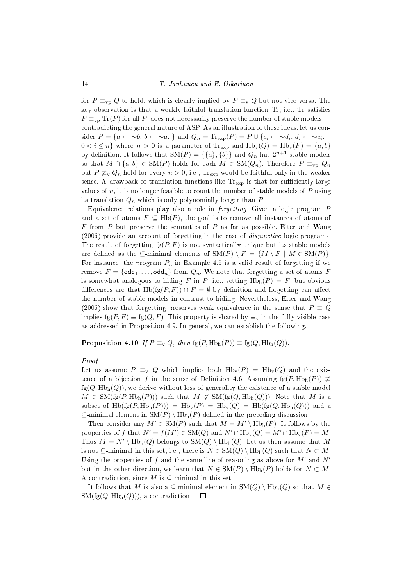for  $P \equiv_{\text{vp}} Q$  to hold, which is clearly implied by  $P \equiv_{\text{v}} Q$  but not vice versa. The key observation is that a weakly faithful translation function Tr, i.e., Tr satisfies  $P \equiv_{\text{vp}} \text{Tr}(P)$  for all P, does not necessarily preserve the number of stable models contradicting the general nature of ASP. As an illustration of these ideas, let us consider  $P = \{a \leftarrow \neg b, b \leftarrow \neg a$ . } and  $Q_n = \text{Tr}_{\text{exp}}(P) = P \cup \{c_i \leftarrow \neg d_i, d_i \leftarrow \neg c_i$ .  $0 < i \leq n$  where  $n > 0$  is a parameter of  $\text{Tr}_{\text{exp}}$  and  $\text{Hb}_{\text{v}}(Q) = \text{Hb}_{\text{v}}(P) = \{a, b\}$ by definition. It follows that  $\text{SM}(P) = \{\{a\}, \{b\}\}\$ and  $Q_n$  has  $2^{n+1}$  stable models so that  $M \cap \{a, b\} \in SM(P)$  holds for each  $M \in SM(Q_n)$ . Therefore  $P \equiv_{\text{vp}} Q_n$ but  $P \not\equiv_{\rm v} Q_n$  hold for every  $n > 0$ , i.e., Tr<sub>exp</sub> would be faithful only in the weaker sense. A drawback of translation functions like  $\text{Tr}_{\text{exp}}$  is that for sufficiently large values of  $n$ , it is no longer feasible to count the number of stable models of  $P$  using its translation  $Q_n$  which is only polynomially longer than  $P$ .

Equivalence relations play also a role in *forgetting*. Given a logic program P and a set of atoms  $F \subseteq \text{Hb}(P)$ , the goal is to remove all instances of atoms of  $F$  from  $P$  but preserve the semantics of  $P$  as far as possible. Eiter and Wang  $(2006)$  provide an account of forgetting in the case of *disjunctive* logic programs. The result of forgetting  $fg(P, F)$  is not syntactically unique but its stable models are defined as the  $\subseteq$ -minimal elements of  $\text{SM}(P) \setminus F = \{M \setminus F \mid M \in \text{SM}(P)\}.$ For instance, the program  $P_n$  in Example 4.5 is a valid result of forgetting if we remove  $F = \{odd_1, \ldots, odd_n\}$  from  $Q_n$ . We note that forgetting a set of atoms F is somewhat analogous to hiding F in P, i.e., setting  $Hb<sub>h</sub>(P) = F$ , but obvious differences are that  $\text{Hb}(fg(P, F)) \cap F = \emptyset$  by definition and forgetting can affect the number of stable models in ontrast to hiding. Nevertheless, Eiter and Wang (2006) show that forgetting preserves weak equivalence in the sense that  $P \equiv Q$ implies  $fg(P, F) \equiv fg(Q, F)$ . This property is shared by  $\equiv_v$  in the fully visible case as addressed in Proposition 4.9. In general, we an establish the following.

**Proposition 4.10** If  $P \equiv_{\rm v} Q$ , then  $\text{fg}(P, \text{Hb}_{\rm h}(P)) \equiv \text{fg}(Q, \text{Hb}_{\rm h}(Q))$ .

## Proof

Let us assume  $P \equiv_{\rm v} Q$  which implies both  $H_{\rm bv}(P) = H_{\rm bv}(Q)$  and the existence of a bijection f in the sense of Definition 4.6. Assuming  $fg(P, Hb_h(P)) \neq$  $fg(Q, Hb<sub>h</sub>(Q))$ , we derive without loss of generality the existence of a stable model  $M \in SM(fg(P, Hb_h(P)))$  such that  $M \notin SM(fg(Q, Hb_h(Q)))$ . Note that M is a subset of  $Hb(fg(P, Hb<sub>h</sub>(P))) = Hb<sub>v</sub>(P) = Hb<sub>v</sub>(Q) = Hb(fg(Q, Hb<sub>h</sub>(Q)))$  and a  $\subseteq$ -minimal element in SM(P) \ Hb<sub>h</sub>(P) defined in the preceding discussion.

Then consider any  $M' \in SM(P)$  such that  $M = M' \setminus Hb_h(P)$ . It follows by the properties of f that  $N' = f(M') \in SM(Q)$  and  $N' \cap Hb_{v}(Q) = M' \cap Hb_{v}(P) = M$ . Thus  $M = N' \setminus \text{Hb}_{h}(Q)$  belongs to  $\text{SM}(Q) \setminus \text{Hb}_{h}(Q)$ . Let us then assume that M is not ⊂-minimal in this set, i.e., there is  $N \in SM(Q) \setminus \text{Hb}_{h}(Q)$  such that  $N \subset M$ . Using the properties of f and the same line of reasoning as above for  $M'$  and  $N'$ but in the other direction, we learn that  $N \in SM(P) \setminus Hb_h(P)$  holds for  $N \subset M$ . A contradiction, since  $M$  is  $\subseteq$ -minimal in this set.

It follows that M is also a  $\subseteq$ -minimal element in SM(Q) \ Hb<sub>h</sub>(Q) so that  $M \in$  $SM(fg(Q, Hb<sub>h</sub>(Q))),$  a contradiction.  $\Box$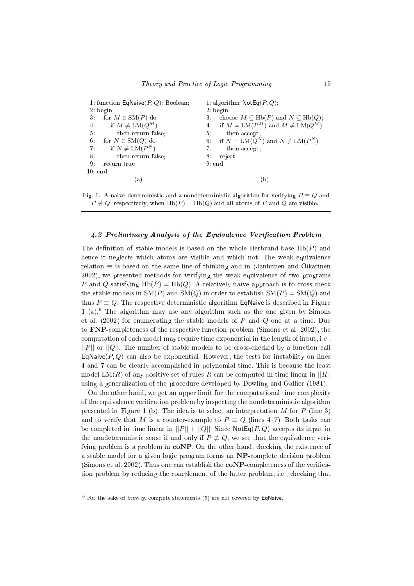| 1: function $\mathsf{EqNaive}(P,Q)$ : Boolean; | 1. algorithm $\mathsf{NotEq}(P,Q)$ .                                     |  |  |  |  |
|------------------------------------------------|--------------------------------------------------------------------------|--|--|--|--|
| $2.$ begin                                     | $2:$ begin                                                               |  |  |  |  |
| for $M \in SM(P)$ do<br>$3 -$                  | choose $M \subseteq \text{Hb}(P)$ and $N \subseteq \text{Hb}(Q)$ ;<br>3. |  |  |  |  |
| 4: if $M \neq LM(Q^M)$                         | 4: if $M = LM(P^M)$ and $M \neq LM(Q^M)$                                 |  |  |  |  |
| $5 -$<br>then return false;                    | then accept:<br>5:                                                       |  |  |  |  |
| for $N \in SM(Q)$ do<br>6.                     | 6: if $N = LM(Q^N)$ and $N \neq LM(P^N)$                                 |  |  |  |  |
| 7: if $N \neq LM(P^N)$                         | then accept:<br>7.                                                       |  |  |  |  |
| 8:<br>then return false;                       | reject<br>8.                                                             |  |  |  |  |
| 9:<br>return true                              | 9: end                                                                   |  |  |  |  |
| $10\colon \mathrm{end}$                        |                                                                          |  |  |  |  |
| $(\circ)$                                      | (h)                                                                      |  |  |  |  |

Fig. 1. A naive deterministic and a nondeterministic algorithm for verifying  $P \equiv Q$  and  $P \neq Q$ , respectively, when Hb(P) = Hb(Q) and all atoms of P and Q are visible.

(a) (b)

# 4.2 Preliminary Analysis of the Equivalence Verification Problem

The definition of stable models is based on the whole Herbrand base  $Hb(P)$  and hence it neglects which atoms are visible and which not. The weak equivalence relation  $\equiv$  is based on the same line of thinking and in (Janhunen and Oikarinen 2002), we presented methods for verifying the weak equivalen
e of two programs P and Q satisfying  $\text{Hb}(P) = \text{Hb}(Q)$ . A relatively naive approach is to cross-check the stable models in  $SM(P)$  and  $SM(Q)$  in order to establish  $SM(P) = SM(Q)$  and thus  $P \equiv Q$ . The respective deterministic algorithm **EqNaive** is described in Figure  $1$  (a).<sup>6</sup> The algorithm may use any algorithm such as the one given by Simons et al. (2002) for enumerating the stable models of P and Q one at a time. Due to FNPompleteness of the respe
tive fun
tion problem (Simons et al. 2002), the omputation of ea
h model may require time exponential in the length of input, i.e.,  $||P||$  or  $||Q||$ . The number of stable models to be cross-checked by a function call  $EqNaive(P,Q)$  can also be exponential. However, the tests for instability on lines 4 and 7 can be clearly accomplished in polynomial time. This is because the least model LM(R) of any positive set of rules R can be computed in time linear in  $||R||$ using a generalization of the pro
edure developed by Dowling and Gallier (1984).

On the other hand, we get an upper limit for the omputational time omplexity of the equivalen
e veri
ation problem by inspe
ting the nondeterministi algorithm presented in Figure 1 (b). The idea is to select an interpretation  $M$  for  $P$  (line 3) and to verify that M is a counter-example to  $P \equiv Q$  (lines 4–7). Both tasks can be completed in time linear in  $||P|| + ||Q||$ . Since  $\mathsf{NotEq}(P,Q)$  accepts its input in the nondeterministic sense if and only if  $P \neq Q$ , we see that the equivalence verifying problem is a problem in  $coNP$ . On the other hand, checking the existence of a stable model for a given logic program forms an NP-complete decision problem (Simons et al. 2002). Thus one can establish the  $\mathbf{coNP}$ -completeness of the verification problem by reducing the complement of the latter problem, *i.e.*, checking that

 $6$  For the sake of brevity, compute statements (5) are not covered by EqNaive.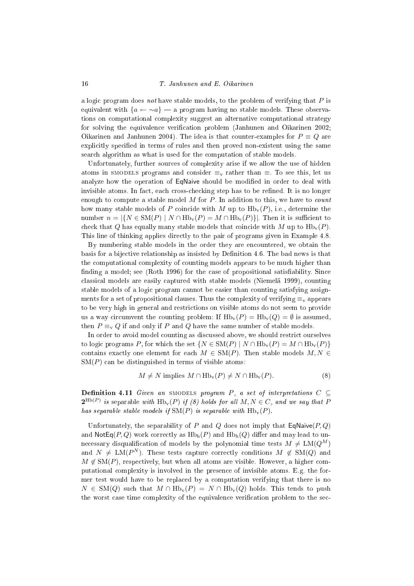a logic program does not have stable models, to the problem of verifying that  $P$  is equivalent with  ${a \leftarrow \neg a}$  a program having no stable models. These observations on omputational omplexity suggest an alternative omputational strategy for solving the equivalence verification problem (Janhunen and Oikarinen 2002; Oikarinen and Janhunen 2004). The idea is that counter-examples for  $P \equiv Q$  are explicitly specified in terms of rules and then proved non-existent using the same sear
h algorithm as what is used for the omputation of stable models.

Unfortunately, further sources of complexity arise if we allow the use of hidden atoms in SMODELS programs and consider  $\equiv_{\rm v}$  rather than  $\equiv$ . To see this, let us analyze how the operation of EqNaive should be modified in order to deal with invisible atoms. In fact, each cross-checking step has to be refined. It is no longer enough to compute a stable model  $M$  for  $P$ . In addition to this, we have to *count* how many stable models of P coincide with M up to  $Hb_v(P)$ , i.e., determine the number  $n = |\{N \in \text{SM}(P) \mid N \cap \text{Hb}_v(P) = M \cap \text{Hb}_v(P)\}|$ . Then it is sufficient to check that Q has equally many stable models that coincide with M up to  $H_{\text{bv}}(P)$ . This line of thinking applies directly to the pair of programs given in Example 4.8.

By numbering stable models in the order they are encountered, we obtain the basis for a bije
tive relationship as insisted by Denition 4.6. The bad news is that the omputational omplexity of ounting models appears to be mu
h higher than finding a model; see (Roth 1996) for the case of propositional satisfiability. Since lassi
al models are easily aptured with stable models (Niemelä 1999), ounting stable models of a logic program cannot be easier than counting satisfying assignments for a set of propositional clauses. Thus the complexity of verifying  $\equiv_{\rm v}$  appears to be very high in general and restri
tions on visible atoms do not seem to provide us a way circumvent the counting problem: If  $\text{Hb}_v(P) = \text{Hb}_v(Q) = \emptyset$  is assumed, then  $P \equiv_{\rm v} Q$  if and only if P and Q have the same number of stable models.

In order to avoid model counting as discussed above, we should restrict ourselves to logic programs P, for which the set  $\{N \in SM(P) \mid N \cap H_{\text{bv}}(P) = M \cap H_{\text{bv}}(P)\}\$ contains exactly one element for each  $M \in SM(P)$ . Then stable models  $M, N \in$  $SM(P)$  can be distinguished in terms of visible atoms:

$$
M \neq N \text{ implies } M \cap \text{Hb}_v(P) \neq N \cap \text{Hb}_v(P). \tag{8}
$$

Definition 4.11 Given an SMODELS program P, a set of interpretations  $C \subseteq$  $\mathbf{2}^{\text{Hb}(P)}$  is separable with  $\text{Hb}_\text{v}(P)$  if (8) holds for all  $M, N \in C$ , and we say that P has separable stable models if  $SM(P)$  is separable with  $Hb_v(P)$ .

Unfortunately, the separability of P and Q does not imply that  $\textsf{EqNaive}(P, Q)$ and  $\textsf{NotEq}(P,Q)$  work correctly as  $\textsf{Hb}_{h}(P)$  and  $\textsf{Hb}_{h}(Q)$  differ and may lead to unnecessary disqualification of models by the polynomial time tests  $M \neq LM(Q^M)$ and  $N \neq \text{LM}(P^N)$ . These tests capture correctly conditions  $M \notin \text{SM}(Q)$  and  $M \notin SM(P)$ , respectively, but when all atoms are visible. However, a higher computational omplexity is involved in the presen
e of invisible atoms. E.g. the former test would have to be repla
ed by a omputation verifying that there is no  $N \in SM(Q)$  such that  $M \cap Hb_{\rm v}(P) = N \cap Hb_{\rm v}(Q)$  holds. This tends to push the worst case time complexity of the equivalence verification problem to the sec-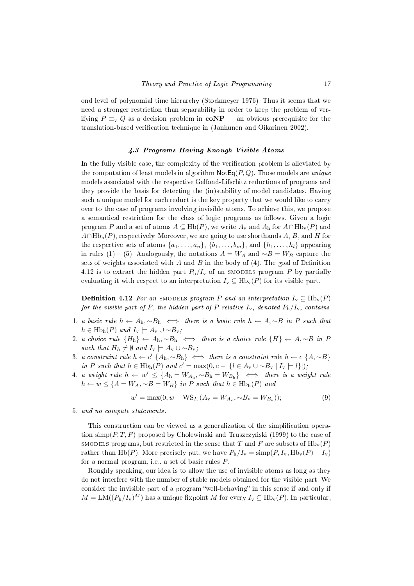ond level of polynomial time hierar
hy (Sto
kmeyer 1976). Thus it seems that we need a stronger restri
tion than separability in order to keep the problem of verifying  $P \equiv_{\rm v} Q$  as a decision problem in  $\rm coNP$  — an obvious prerequisite for the translation-based verification technique in (Janhunen and Oikarinen 2002).

## 4.3 Programs Having Enough Visible Atoms

In the fully visible case, the complexity of the verification problem is alleviated by the computation of least models in algorithm  $\mathsf{NotEq}(P,Q)$ . Those models are *unique* models asso
iated with the respe
tive Gelfond-Lifs
hitz redu
tions of programs and they provide the basis for dete
ting the (in)stability of model andidates. Having such a unique model for each reduct is the key property that we would like to carry over to the ase of programs involving invisible atoms. To a
hieve this, we propose a semantical restriction for the class of logic programs as follows. Given a logic program P and a set of atoms  $A \subseteq \text{Hb}(P)$ , we write  $A_v$  and  $A_h$  for  $A \cap \text{Hb}_v(P)$  and  $A \cap H_{\text{bh}}(P)$ , respectively. Moreover, we are going to use shorthands A, B, and H for the respective sets of atoms  $\{a_1, \ldots, a_n\}$ ,  $\{b_1, \ldots, b_m\}$ , and  $\{h_1, \ldots, h_l\}$  appearing in rules (1) – (5). Analogously, the notations  $A = W_A$  and  $∼B = W_B$  capture the sets of weights associated with A and B in the body of  $(4)$ . The goal of Definition 4.12 is to extract the hidden part  $P_h/I_v$  of an smodels program P by partially evaluating it with respect to an interpretation  $I_v \subseteq Hb_v(P)$  for its visible part.

**Definition 4.12** For an SMODELS program P and an interpretation  $I_v \subseteq \text{Hb}_v(P)$ for the visible part of P, the hidden part of P relative  $I_v$ , denoted  $P_h/I_v$ , contains

- 1. a basic rule  $h \leftarrow A_h, \sim B_h \iff$  there is a basic rule  $h \leftarrow A, \sim B$  in P such that  $h \in \text{Hb}_{h}(P)$  and  $I_{v} \models A_{v} \cup \sim B_{v}$ ;
- 2. a choice rule  $\{H_h\} \leftarrow A_h, \sim B_h \iff$  there is a choice rule  $\{H\} \leftarrow A, \sim B$  in P such that  $H_h \neq \emptyset$  and  $I_v \models A_v \cup \sim B_v$ ;
- 3. a constraint rule  $h \leftarrow c' \{A_h, \sim B_h\} \iff \text{there is a constraint rule } h \leftarrow c \{A, \sim B\}$ in P such that  $h \in \text{Hb}_{h}(P)$  and  $c' = \max(0, c - |\{l \in A_{v} \cup \sim B_{v} \mid I_{v} \models l\}|);$
- 4. a weight rule  $h \leftarrow w' \leq \{A_h = W_{A_h}, \neg B_h = W_{B_h}\} \iff \text{there is a weight rule}$  $h \leftarrow w \leq \{A = W_A, \sim B = W_B\}$  in P such that  $h \in \text{Hb}_{h}(P)$  and

$$
w' = \max(0, w - WS_{I_v}(A_v = W_{A_v}, \sim B_v = W_{B_v}));
$$
\n(9)

5. and no ompute statements.

This construction can be viewed as a generalization of the simplification operation  $\text{simp}(P,T,F)$  proposed by Cholewinski and Truszczyński (1999) to the case of SMODELS programs, but restricted in the sense that T and F are subsets of  $\mathrm{Hb}_\mathrm{v}(P)$ rather than Hb(P). More precisely put, we have  $P_h/I_v = \text{simp}(P, I_v, \text{Hb}_v(P) - I_v)$ for a normal program, i.e., a set of basic rules  $P$ .

Roughly speaking, our idea is to allow the use of invisible atoms as long as they do not interfere with the number of stable models obtained for the visible part. We consider the invisible part of a program "well-behaving" in this sense if and only if  $M = LM((P_h/I_v)^M)$  has a unique fixpoint M for every  $I_v \subseteq Hb_v(P)$ . In particular,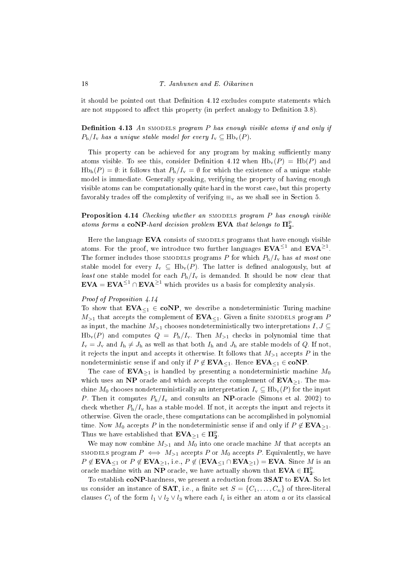it should be pointed out that Definition 4.12 excludes compute statements which are not supposed to affect this property (in perfect analogy to Definition 3.8).

**Definition 4.13** An SMODELS program  $P$  has enough visible atoms if and only if  $P_h/I_v$  has a unique stable model for every  $I_v \subseteq \text{Hb}_v(P)$ .

This property can be achieved for any program by making sufficiently many atoms visible. To see this, consider Definition 4.12 when  $Hb_v(P) = Hb(P)$  and Hb<sub>h</sub> $(P) = \emptyset$ : it follows that  $P_h/I_v = \emptyset$  for which the existence of a unique stable model is immediate. Generally speaking, verifying the property of having enough visible atoms an be omputationally quite hard in the worst ase, but this property favorably trades of the complexity of verifying  $\equiv_{\rm v}$  as we shall see in Section 5.

# Proposition 4.14 Checking whether an SMODELS program P has enough visible atoms forms a coNP-hard decision problem EVA that belongs to  $\Pi_2^{\text{p}}$ .

Here the language EVA consists of SMODELS programs that have enough visible atoms. For the proof, we introduce two further languages  $EVA^{\leq 1}$  and  $EVA^{\geq 1}$ . The former includes those SMODELS programs P for which  $P_h/I_v$  has at most one stable model for every  $I_v \subseteq Hb_v(P)$ . The latter is defined analogously, but at least one stable model for each  $P_h/I_v$  is demanded. It should be now clear that  $EVA = EVA^{\leq 1} \cap EVA^{\geq 1}$  which provides us a basis for complexity analysis.

# Proof of Proposition 4.14

To show that  $EVA_{\leq 1} \in \text{coNP}$ , we describe a nondeterministic Turing machine  $M_{\geq 1}$  that accepts the complement of EVA $_{\leq 1}$ . Given a finite smodels program P as input, the machine  $M_{>1}$  chooses nondeterministically two interpretations  $I, J \subseteq$  $Hb_v(P)$  and computes  $Q = P_h/I_v$ . Then  $M_{>1}$  checks in polynomial time that  $I_{\rm v} = J_{\rm v}$  and  $I_{\rm h} \neq J_{\rm h}$  as well as that both  $I_{\rm h}$  and  $J_{\rm h}$  are stable models of Q. If not, it rejects the input and accepts it otherwise. It follows that  $M_{>1}$  accepts P in the nondeterministic sense if and only if  $P \notin EVA_{\leq 1}$ . Hence  $EVA_{\leq 1} \in \mathbf{coNP}$ .

The case of  $EVA_{\geq 1}$  is handled by presenting a nondeterministic machine  $M_0$ which uses an NP oracle and which accepts the complement of  $EVA_{\geq 1}$ . The machine  $M_0$  chooses nondeterministically an interpretation  $I_v \subseteq \text{Hb}_v(P)$  for the input P. Then it computes  $P_h/I_v$  and consults an **NP**-oracle (Simons et al. 2002) to check whether  $P_h/I_v$  has a stable model. If not, it accepts the input and rejects it otherwise. Given the oracle, these computations can be accomplished in polynomial time. Now  $M_0$  accepts P in the nondeterministic sense if and only if  $P \notin EVA_{\geq 1}$ . Thus we have established that  $\mathbf{EVA}_{\geq 1} \in \Pi_2^p$ .

We may now combine  $M_{>1}$  and  $M_0$  into one oracle machine M that accepts an smodels program  $P \iff M_{>1}$  accepts P or  $M_0$  accepts P. Equivalently, we have  $P \notin EVA_{\leq 1}$  or  $P \notin EVA_{\geq 1}$ , i.e.,  $P \notin (EVA_{\leq 1} \cap EVA_{\geq 1}) = EVA$ . Since M is an oracle machine with an NP oracle, we have actually shown that  $EVA \in \Pi_2^p$ .

To establish coNP-hardness, we present a reduction from 3SAT to EVA. So let us consider an instance of **SAT**, i.e., a finite set  $S = \{C_1, \ldots, C_n\}$  of three-literal clauses  $C_i$  of the form  $l_1 \vee l_2 \vee l_3$  where each  $l_i$  is either an atom  $a$  or its classical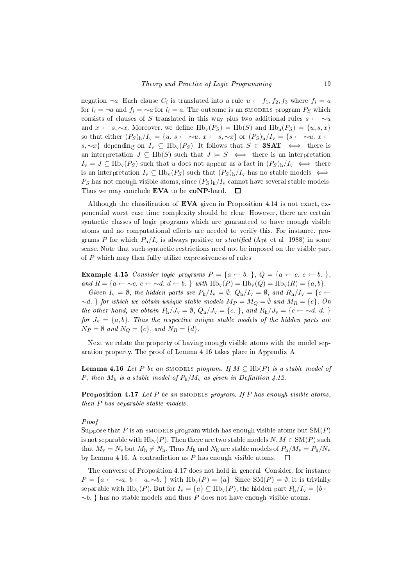negation  $\neg a$ . Each clause  $C_i$  is translated into a rule  $u \leftarrow f_1, f_2, f_3$  where  $f_i = a$ for  $l_i = \neg a$  and  $f_i = \neg a$  for  $l_i = a$ . The outcome is an smodels program  $P_S$  which consists of clauses of S translated in this way plus two additional rules  $s \leftarrow \sim u$ and  $x \leftarrow s, \sim x$ . Moreover, we define Hb<sub>v</sub> $(P_S) = \text{Hb}(S)$  and  $\text{Hb}_h(P_S) = \{u, s, x\}$ so that either  $(P_S)_h/I_v = \{u \mid s \leftarrow \sim u \mid x \leftarrow s, \sim x\}$  or  $(P_S)_h/I_v = \{s \leftarrow \sim u \mid x \leftarrow \sim v \mid s \leftarrow \sim u \mid x \leftarrow \sim v \}$ s, ~x} depending on  $I_v \subseteq \text{Hb}_v(P_S)$ . It follows that  $S \in \text{3SAT} \iff$  there is an interpretation  $J \subseteq \text{Hb}(S)$  such that  $J \models S \iff$  there is an interpretation  $I_{\rm v} = J \subseteq H_{\rm bv}(P_{\rm S})$  such that u does not appear as a fact in  $(P_{\rm S})_{\rm h}/I_{\rm v} \iff$  there is an interpretation  $I_{v} \subseteq Hb_{v}(P_S)$  such that  $(P_S)_{h}/I_{v}$  has no stable models  $\iff$  $P<sub>S</sub>$  has not enough visible atoms, since  $(P<sub>S</sub>)<sub>h</sub>/I<sub>v</sub>$  cannot have several stable models. Thus we may conclude EVA to be coNP-hard.  $\Box$ 

Although the classification of **EVA** given in Proposition 4.14 is not exact, exponential worst ase time omplexity should be lear. However, there are ertain syntactic classes of logic programs which are guaranteed to have enough visible atoms and no computational efforts are needed to verify this. For instance, programs P for which  $P_h/I_v$  is always positive or *stratified* (Apt et al. 1988) in some sense. Note that such syntactic restrictions need not be imposed on the visible part of P whi
h may then fully utilize expressiveness of rules.

Example 4.15 Consider logic programs  $P = \{a \leftarrow b, \}, Q = \{a \leftarrow c, c \leftarrow b, \}$ and  $R = \{a \leftarrow \neg c \text{. } c \leftarrow \neg d \text{. } d \leftarrow b \text{. } \}$  with  $\text{Hb}_\text{v}(P) = \text{Hb}_\text{v}(Q) = \text{Hb}_\text{v}(R) = \{a, b\}$ .

Given  $I_v = \emptyset$ , the hidden parts are  $P_h/I_v = \emptyset$ ,  $Q_h/I_v = \emptyset$ , and  $R_h/I_v = \{c \leftarrow$  $\sim d$ . } for which we obtain unique stable models  $M_P = M_Q = \emptyset$  and  $M_R = \{c\}$ . On the other hand, we obtain  $P_h/J_v = \emptyset$ ,  $Q_h/J_v = \{c, \}$ , and  $R_h/J_v = \{c \leftarrow \sim d. d. \}$ for  $J_{v} = \{a, b\}$ . Thus the respective unique stable models of the hidden parts are  $N_P = \emptyset$  and  $N_Q = \{c\}$ , and  $N_R = \{d\}.$ 

Next we relate the property of having enough visible atoms with the model separation property. The proof of Lemma 4.16 takes pla
e in Appendix A.

**Lemma 4.16** Let P be an SMODELS program. If  $M \subseteq \text{Hb}(P)$  is a stable model of P, then  $M_h$  is a stable model of  $P_h/M_v$  as given in Definition 4.12.

**Proposition 4.17** Let P be an SMODELS program. If P has enough visible atoms, then P has separable stable models.

## Proof

Suppose that P is an SMODELS program which has enough visible atoms but  $SM(P)$ is not separable with  $\text{Hb}_v(P)$ . Then there are two stable models  $N, M \in \text{SM}(P)$  such that  $M_{\rm v} = N_{\rm v}$  but  $M_{\rm h} \neq N_{\rm h}$ . Thus  $M_{\rm h}$  and  $N_{\rm h}$  are stable models of  $P_{\rm h}/M_{\rm v} = P_{\rm h}/N_{\rm v}$ by Lemma 4.16. A contradiction as  $P$  has enough visible atoms.  $\Box$ 

The onverse of Proposition 4.17 does not hold in general. Consider, for instan
e  $P = \{a \leftarrow \sim a, b \leftarrow a, \sim b.\}$  with  $\text{Hb}_{\text{v}}(P) = \{a\}.$  Since  $\text{SM}(P) = \emptyset$ , it is trivially separable with  $\text{Hb}_v(P)$ . But for  $I_v = \{a\} \subseteq \text{Hb}_v(P)$ , the hidden part  $P_h/I_v = \{b \leftarrow$  $~\sim b$ . } has no stable models and thus P does not have enough visible atoms.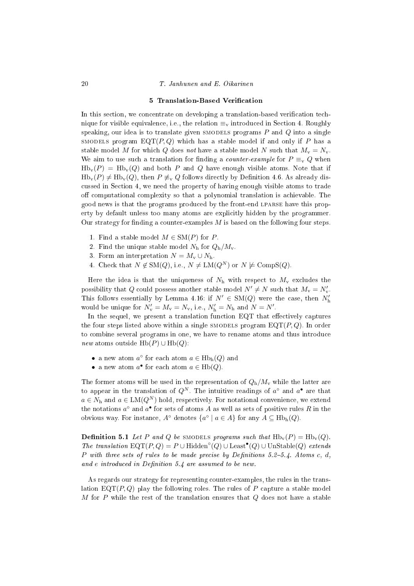#### 20 T. Janhunen and E. Oikarinen

## 5 Translation-Based Verification

In this section, we concentrate on developing a translation-based verification technique for visible equivalence, i.e., the relation  $\equiv_v$  introduced in Section 4. Roughly speaking, our idea is to translate given SMODELS programs  $P$  and  $Q$  into a single SMODELS program  $EQT(P,Q)$  which has a stable model if and only if P has a stable model M for which Q does not have a stable model N such that  $M_{\rm v} = N_{\rm v}$ . We aim to use such a translation for finding a *counter-example* for  $P \equiv_v Q$  when  $Hb_v(P) = Hb_v(Q)$  and both P and Q have enough visible atoms. Note that if  $\text{Hb}_{\text{v}}(P) \neq \text{Hb}_{\text{v}}(Q)$ , then  $P \neq_{\text{v}} Q$  follows directly by Definition 4.6. As already disussed in Se
tion 4, we need the property of having enough visible atoms to trade off computational complexity so that a polynomial translation is achievable. The good news is that the programs produ
ed by the front-end lparse have this property by default unless too many atoms are expli
itly hidden by the programmer. Our strategy for finding a counter-examples  $M$  is based on the following four steps.

- 1. Find a stable model  $M \in SM(P)$  for P.
- 2. Find the unique stable model  $N_h$  for  $Q_h/M_v$ .
- 3. Form an interpretation  $N = M_{\rm v} \cup N_{\rm h}$ .
- 4. Check that  $N \notin SM(Q)$ , i.e.,  $N \neq LM(Q^N)$  or  $N \not\models \text{CompS}(O)$ .

Here the idea is that the uniqueness of  $N_h$  with respect to  $M_v$  excludes the possibility that Q could possess another stable model  $N' \neq N$  such that  $M_{\rm v} = N'_{\rm v}$ . This follows essentially by Lemma 4.16: if  $N' \in SM(Q)$  were the case, then  $N'_{h}$ would be unique for  $N'_{\rm v} = M_{\rm v} = N_{\rm v}$ , i.e.,  $N'_{\rm h} = N_{\rm h}$  and  $N = N'$ .

In the sequel, we present a translation function EQT that effectively captures the four steps listed above within a single smootles program  $\mathrm{EqT}(P,Q)$ . In order to combine several programs in one, we have to rename atoms and thus introduce new atoms outside  $Hb(P) \cup Hb(Q)$ :

- a new atom  $a^{\circ}$  for each atom  $a \in \mathrm{Hb}_{h}(Q)$  and
- a new atom  $a^{\bullet}$  for each atom  $a \in \text{Hb}(Q)$ .

The former atoms will be used in the representation of  $Q_h/M_v$  while the latter are to appear in the translation of  $Q^N$ . The intuitive readings of  $a^{\circ}$  and  $a^{\bullet}$  are that  $a \in N_h$  and  $a \in LM(Q^N)$  hold, respectively. For notational convenience, we extend the notations  $a^{\circ}$  and  $a^{\bullet}$  for sets of atoms  $A$  as well as sets of positive rules  $R$  in the obvious way. For instance,  $A^{\circ}$  denotes  $\{a^{\circ} \mid a \in A\}$  for any  $A \subseteq \text{Hb}_{h}(Q)$ .

**Definition 5.1** Let P and Q be SMODELS programs such that  $Hb_v(P) = Hb_v(Q)$ . The translation  $\text{EQT}(P,Q) = P \cup \text{Hidden}^{\circ}(Q) \cup \text{Least}^{\bullet}(Q) \cup \text{UnStable}(Q)$  extends P with three sets of rules to be made precise by Definitions  $5.2-5.4$ . Atoms c, d, and  $e$  introduced in Definition 5.4 are assumed to be new.

As regards our strategy for representing counter-examples, the rules in the translation  $\text{EQT}(P,Q)$  play the following roles. The rules of P capture a stable model M for P while the rest of the translation ensures that  $Q$  does not have a stable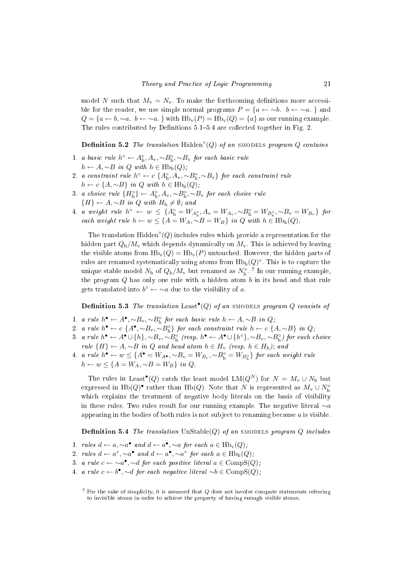model N such that  $M_{\rm v} = N_{\rm v}$ . To make the forthcoming definitions more accessible for the reader, we use simple normal programs  $P = \{a \leftarrow \sim b, b \leftarrow \sim a\}$  and  $Q = \{a \leftarrow b, \sim a. \}$  with  $\text{Hb}_v(P) = \text{Hb}_v(Q) = \{a\}$  as our running example. The rules contributed by Definitions  $5.1-5.4$  are collected together in Fig. 2.

**Definition 5.2** The translation Hidden°(Q) of an SMODELS program Q contains

- 1. a basic rule  $h^{\circ} \leftarrow A_{h}^{\circ}, A_{v}, \sim B_{h}^{\circ}, \sim B_{v}$  for each basic rule  $h \leftarrow A, \sim B$  in Q with  $h \in \text{Hb}_{h}(Q)$ ;
- 2. a constraint rule  $h^{\circ} \leftarrow c \{A^{\circ}_{h}, A_{v}, \sim B^{\circ}_{h}, \sim B_{v}\}$  for each constraint rule  $h \leftarrow c \{A, \sim B\}$  in Q with  $h \in \text{Hb}_{h}(Q)$ ;
- 3. a choice rule  $\{H_h^{\circ}\} \leftarrow A_h^{\circ}, A_v, \sim B_h^{\circ}, \sim B_v$  for each choice rule  ${H} \leftarrow A, \sim B$  in Q with  $H_h \neq \emptyset$ ; and
- 4. a weight rule  $h^{\circ} \leftarrow w \leq \{A^{\circ}_{h} = W_{A^{\circ}_{h}}, A_{v} = W_{A_{v}}, \sim B^{\circ}_{h} = W_{B^{\circ}_{h}}, \sim B_{v} = W_{B_{v}}\}$  for each weight rule  $h \leftarrow w \leq \{A = W_A, \sim B = W_B\}$  in Q with  $h \in \text{Hb}_h(Q)$ .

The translation  $\text{Hidden}^{\circ}(Q)$  includes rules which provide a representation for the hidden part  $Q_{h}/M_{v}$  which depends dynamically on  $M_{v}$ . This is achieved by leaving the visible atoms from  $\text{Hb}_{\text{v}}(Q) = \text{Hb}_{\text{v}}(P)$  untouched. However, the hidden parts of rules are renamed systematically using atoms from  $\mathrm{Hb_h}(Q)^\circ.$  This is to capture the unique stable model  $N_{\rm h}$  of  $Q_{\rm h}/M_{\rm v}$  but renamed as  $N_{\rm h}^{\circ}$ .<sup>7</sup> In our running example, the program  $Q$  has only one rule with a hidden atom  $b$  in its head and that rule gets translated into  $b^{\circ} \leftarrow \sim a$  due to the visibility of a.

**Definition 5.3** The translation Least<sup>•</sup>( $Q$ ) of an SMODELS program  $Q$  consists of

- 1. a rule  $h^{\bullet} \leftarrow A^{\bullet}, \sim B_{\rm v}, \sim B_{\rm h}^{\circ}$  for each basic rule  $h \leftarrow A, \sim B$  in  $Q$ ;
- 2. a rule  $h^{\bullet} \leftarrow c \{A^{\bullet}, \sim B_{\rm v}, \sim B_{\rm h}^{\circ}\}$  for each constraint rule  $h \leftarrow c \{A, \sim B\}$  in  $Q$ ;
- 3. a rule  $h^{\bullet} \leftarrow A^{\bullet} \cup \{h\}, \sim B_{v}, \sim B_{h}^{\circ}$  (resp.  $h^{\bullet} \leftarrow A^{\bullet} \cup \{h^{\circ}\}, \sim B_{v}, \sim B_{h}^{\circ}$ ) for each choice rule  $\{H\} \leftarrow A, \sim B$  in Q and head atom  $h \in H_{\rm v}$  (resp.  $h \in H_{\rm h}$ ); and
- 4. a rule  $h^{\bullet} \leftarrow w \leq \{A^{\bullet} = W_{A^{\bullet}}, \sim B_{v} = W_{B_{v}}, \sim B_{h}^{\circ} = W_{B_{h}^{\circ}}\}$  for each weight rule  $h \leftarrow w \leq \{A = W_A, \sim B = W_B\}$  in Q.

The rules in Least<sup>•</sup>(*Q*) catch the least model  $LM(Q^N)$  for  $N = M_v \cup N_h$  but expressed in  $\text{Hb}(Q)$ <sup>•</sup> rather than  $\text{Hb}(Q)$ . Note that N is represented as  $M_{\rm v} \cup N_{\rm h}^{\circ}$ whi
h explains the treatment of negative body literals on the basis of visibility in these rules. Two rules result for our running example. The negative literal  $\sim a$ appearing in the bodies of both rules is not subject to renaming because  $a$  is visible.

**Definition 5.4** The translation UnStable( $Q$ ) of an SMODELS program  $Q$  includes

- 1. rules  $d \leftarrow a, \sim a^{\bullet}$  and  $d \leftarrow a^{\bullet}, \sim a$  for each  $a \in \text{Hb}_{\text{v}}(Q)$ ;
- 2. rules  $d \leftarrow a^{\circ}, \sim a^{\bullet}$  and  $d \leftarrow a^{\bullet}, \sim a^{\circ}$  for each  $a \in \text{Hb}_{h}(Q)$ ;
- 3. a rule  $c \leftarrow \sim a^{\bullet}, \sim d$  for each positive literal  $a \in \text{CompS}(Q)$ ;
- 4. a rule  $c \leftarrow b^{\bullet}, \neg d$  for each negative literal  $\neg b \in \text{CompS}(Q)$ ;

 $\sigma$  For the sake of simplicity, it is assumed that  $Q$  does not involve compute statements referring to invisible atoms in order to achieve the property of having enough visible atoms.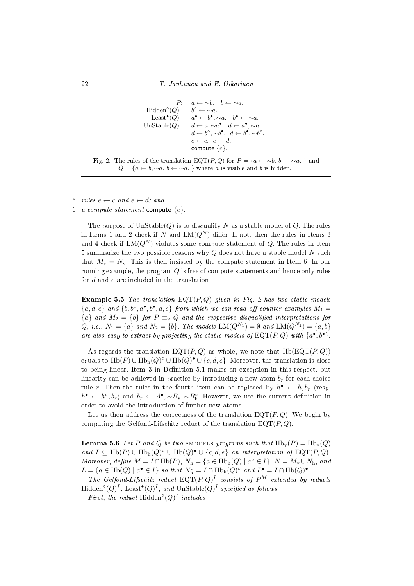```
P: a \leftarrow \sim b. b \leftarrow \sim a.
  \text{Hidden}^{\circ}(Q): bb^{\circ} \leftarrow \sim a.
      Least<sup>•</sup>(Q): a
                                        • \leftarrow b^{\bullet}, \sim a. \quad b^{\bullet} \leftarrow \sim a.UnStable(Q):
                                                           •. d \leftarrow a^{\bullet}, \sim a.
                                     d \leftarrow b^{\circ}, \sim b^{\bullet}. \quad d \leftarrow b^{\bullet}, \sim b^{\circ}.e \leftarrow c. e \leftarrow d.
                                    compute \{e\}.
```
5. rules  $e \leftarrow c$  and  $e \leftarrow d$ ; and

6. *a compute statement* compute  $\{e\}$ .

The purpose of  $\text{UnStable}(Q)$  is to disqualify N as a stable model of Q. The rules in Items 1 and 2 check if N and  $LM(Q^N)$  differ. If not, then the rules in Items 3 and 4 check if  $LM(Q^N)$  violates some compute statement of Q. The rules in Item 5 summarize the two possible reasons why  $Q$  does not have a stable model  $N$  such that  $M_{\rm v} = N_{\rm v}$ . This is then insisted by the compute statement in Item 6. In our running example, the program Q is free of ompute statements and hen
e only rules for d and e are included in the translation.

**Example 5.5** The translation  $EQT(P,Q)$  given in Fig. 2 has two stable models  ${a, d, e}$  and  ${b, b°, a^{\bullet}, b^{\bullet}, d, e}$  from which we can read off counter-examples  $M_1 =$  ${a}$  and  $M_2 = {b}$  for  $P \equiv_v Q$  and the respective disqualified interpretations for Q, i.e.,  $N_1 = \{a\}$  and  $N_2 = \{b\}$ . The models  $LM(Q^{N_1}) = \emptyset$  and  $LM(Q^{N_2}) = \{a, b\}$ are also easy to extract by projecting the stable models of  $\text{EQT}(P,Q)$  with  $\{a^{\bullet}, b^{\bullet}\}.$ 

As regards the translation  $EQT(P,Q)$  as whole, we note that  $Hb(EQT(P,Q))$ equals to  $\text{Hb}(P) \cup \text{Hb}_h(Q)^\circ \cup \text{Hb}(Q)^\bullet \cup \{c, d, e\}$ . Moreover, the translation is close to being linear. Item 3 in Definition 5.1 makes an exception in this respect, but linearity can be achieved in practise by introducing a new atom  $b_r$  for each choice rule r. Then the rules in the fourth item can be replaced by  $h^{\bullet} \leftarrow h, b_r$  (resp.  $h^{\bullet} \leftarrow h^{\circ}, b_r$  and  $b_r \leftarrow A^{\bullet}, \sim B_v, \sim B_h^{\circ}$ . However, we use the current definition in order to avoid the introdu
tion of further new atoms.

Let us then address the correctness of the translation  $\mathbf{EQT}(P,Q)$ . We begin by computing the Gelfond-Lifschitz reduct of the translation  $EOT(P, Q)$ .

**Lemma 5.6** Let P and Q be two SMODELS programs such that  $\text{Hb}_v(P) = \text{Hb}_v(Q)$ and  $I \subseteq \text{Hb}(P) \cup \text{Hb}_h(Q)^\circ \cup \text{Hb}(Q)^\bullet \cup \{c, d, e\}$  an interpretation of EQT(P, Q). Moreover, define  $M = I \cap Hb(P)$ ,  $N_h = \{a \in Hb_h(Q) \mid a^{\circ} \in I\}$ ,  $N = M_v \cup N_h$ , and

 $L = \{a \in \text{Hb}(Q) \mid a^{\bullet} \in I\}$  so that  $N_h^{\circ} = I \cap \text{Hb}_h(Q)^{\circ}$  and  $L^{\bullet} = I \cap \text{Hb}(Q)^{\bullet}$ .<br>The Gelfond-Lifschitz reduct  $\text{EQT}(P, Q)^I$  consists of  $P^M$  extended by reducts  $\text{Hidden}^{\circ}(Q)^{I}, \text{ Least}^{\bullet}(Q)^{I}, \text{ and UnStable}(Q)^{I} \text{ specified as follows.}$ 

First, the reduct Hidden° $(Q)^{I}$  includes

Fig. 2. The rules of the translation EQT(P, Q) for  $P = \{a \leftarrow \sim b, b \leftarrow \sim a.\}$  and  $Q = \{a \leftarrow b, \sim a. b \leftarrow \sim a.\}$  where a is visible and b is hidden.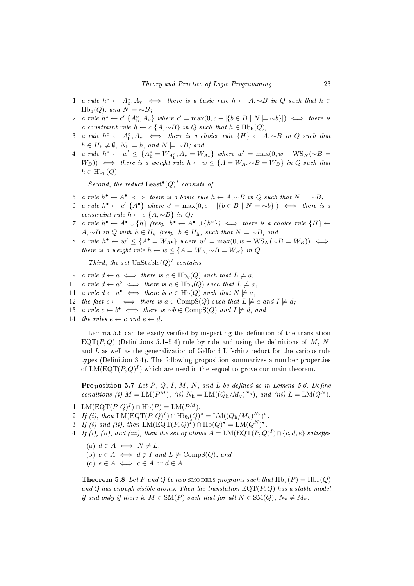- 1. a rule  $h^{\circ} \leftarrow A_{h}^{\circ}, A_{v} \iff \text{there is a basic rule } h \leftarrow A, \sim B \text{ in } Q \text{ such that } h \in$  $Hb<sub>h</sub>(Q)$ , and  $N \models \sim B;$
- 2. a rule  $h^{\circ} \leftarrow c' \{A_{h}^{\circ}, A_{v}\}$  where  $c' = \max(0, c |\{b \in B \mid N \models \sim b\}|) \iff \text{there is}$ a constraint rule  $h \leftarrow c \{A, \sim B\}$  in Q such that  $h \in Hb_h(Q)$ ;
- 3. a rule  $h^{\circ} \leftarrow A_{h}^{\circ}, A_{v} \iff$  there is a choice rule  $\{H\} \leftarrow A, \sim B$  in Q such that  $h \in H_{\text{h}} \neq \emptyset$ ,  $N_{\text{h}} \models h$ , and  $N \models \sim B$ ; and
- 4. a rule  $h^{\circ} \leftarrow w' \leq \{A^{\circ}_{h} = W_{A^{\circ}_{h}}, A_{v} = W_{A_{v}}\}$  where  $w' = \max(0, w WS_{N}(\sim B =$  $(W_B)$   $\iff$  there is a weight rule  $h \leftarrow w \leq \{A = W_A, \neg B = W_B\}$  in Q such that  $h \in \mathrm{Hb}_{h}(Q)$ .

Second, the reduct Least<sup>•</sup> $(Q)^I$  consists of

- 5. a rule  $h^{\bullet} \leftarrow A^{\bullet} \iff$  there is a basic rule  $h \leftarrow A, \sim B$  in Q such that  $N \models \sim B$ ;
- 6. a rule  $h^{\bullet} \leftarrow c' \{A^{\bullet}\}$  where  $c' = \max(0, c |\{b \in B \mid N \models \sim b\}|) \iff \text{there is a}$ constraint rule  $h \leftarrow c \{A, \sim B\}$  in  $Q$ ;
- 7. a rule  $h^{\bullet} \leftarrow A^{\bullet} \cup \{h\}$  (resp.  $h^{\bullet} \leftarrow A^{\bullet} \cup \{h^{\circ}\}\) \iff \text{there is a choice rule } \{H\} \leftarrow$  $A, \sim B$  in Q with  $h \in H_{\rm v}$  (resp.  $h \in H_{\rm h}$ ) such that  $N \models \sim B$ ; and
- 8. a rule  $h^{\bullet} \leftarrow w' \leq \{A^{\bullet} = W_{A^{\bullet}}\}$  where  $w' = \max(0, w \text{WS}_N(\sim B = W_B)) \iff$ there is a weight rule  $h \leftarrow w \leq \{A = W_A, \neg B = W_B\}$  in Q.

Third, the set  $\mathrm{UnStable}(Q)^{I}$  contains

- 9. a rule  $d \leftarrow a \iff there \; is \; a \in \text{Hb}_{\text{v}}(Q) \; such \; that \; L \not\models a;$
- 10. a rule  $d \leftarrow a^{\circ} \iff \text{there is } a \in \text{Hb}_{h}(Q) \text{ such that } L \not\models a;$
- 11. a rule  $d \leftarrow a^{\bullet} \iff \text{there is } a \in \text{Hb}(Q) \text{ such that } N \not\models a;$
- 12. the fact  $c \leftarrow \iff$  there is  $a \in \text{CompS}(Q)$  such that  $L \not\models a$  and  $I \not\models d$ ;
- 13. a rule  $c \leftarrow b^{\bullet} \iff \text{there is } \sim b \in \text{CompS}(Q) \text{ and } I \not\models d; \text{ and }$
- 14. the rules  $e \leftarrow c$  and  $e \leftarrow d$ .

Lemma 5.6 can be easily verified by inspecting the definition of the translation EQT(P, Q) (Definitions 5.1–5.4) rule by rule and using the definitions of M, N, and L as well as the generalization of Gelfond-Lifs
hitz redu
t for the various rule types (Definition 3.4). The following proposition summarizes a number properties of  $LM(EQT(P,Q)^{I})$  which are used in the sequel to prove our main theorem.

**Proposition 5.7** Let  $P$ ,  $Q$ ,  $I$ ,  $M$ ,  $N$ , and  $L$  be defined as in Lemma 5.6. Define conditions (i)  $M = LM(P^M)$ , (ii)  $N_h = LM((Q_h/M_v)^{N_h})$ , and (iii)  $L = LM(Q^N)$ .

- 1. LM(EQT( $P, Q$ )<sup>I</sup>)  $\cap$  Hb( $P$ ) = LM( $P^M$ ).
- 2 If (i), then  $LM(EQT(P,Q)^{I}) \cap Hb<sub>h</sub>(Q)^{\circ} = LM((Q<sub>h</sub>/M<sub>v</sub>)<sup>N<sub>h</sub></sup>)^{\circ}$ .
- 3. If (i) and (ii), then  $LM(EQT(P,Q)^{I}) \cap Hb(Q)^{\bullet} = LM(Q^N)^{\bullet}$ .
- 4. If (i), (ii), and (iii), then the set of atoms  $A = LM(EQT(P,Q)^{I}) \cap \{c,d,e\}$  satisfies
	- (a)  $d \in A \iff N \neq L$ ,
	- (b)  $c \in A \iff d \notin I$  and  $L \not\models \text{CompS}(Q)$ , and
	- (c)  $e \in A \iff c \in A$  or  $d \in A$ .

**Theorem 5.8** Let P and Q be two SMODELS programs such that  $\text{Hb}_y(P) = \text{Hb}_y(Q)$ and Q has enough visible atoms. Then the translation  $EQT(P,Q)$  has a stable model if and only if there is  $M \in SM(P)$  such that for all  $N \in SM(Q)$ ,  $N_v \neq M_v$ .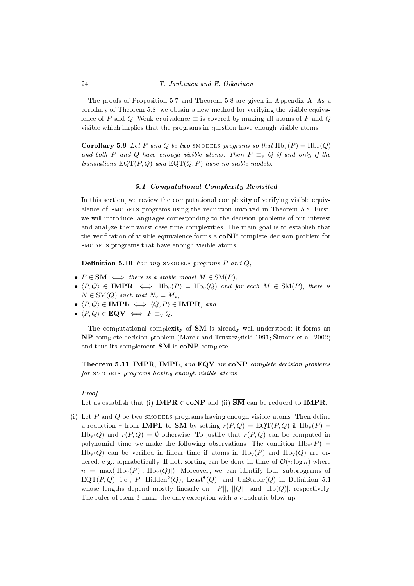The proofs of Proposition 5.7 and Theorem 5.8 are given in Appendix A. As a corollary of Theorem 5.8, we obtain a new method for verifying the visible equivalence of P and Q. Weak equivalence  $\equiv$  is covered by making all atoms of P and Q. visible whi
h implies that the programs in question have enough visible atoms.

**Corollary 5.9** Let P and Q be two SMODELS programs so that  $Hb_v(P) = Hb_v(Q)$ and both P and Q have enough visible atoms. Then  $P \equiv_{\rm v} Q$  if and only if the translations  $\text{EQT}(P,Q)$  and  $\text{EQT}(Q,P)$  have no stable models.

#### 5.1 Computational Complexity Revisited

In this section, we review the computational complexity of verifying visible equivalen
e of smodels programs using the redu
tion involved in Theorem 5.8. First, we will introduce languages corresponding to the decision problems of our interest and analyze their worstase time omplexities. The main goal is to establish that the verification of visible equivalence forms a  $coNP$ -complete decision problem for smodels programs that have enough visible atoms.

**Definition 5.10** For any SMODELS programs  $P$  and  $Q$ ,

- $P \in SM \iff there \ is \ a \ stable \ model \ M \in SM(P);$
- $\langle P, Q \rangle \in \text{IMPR} \iff \text{Hb}_v(P) = \text{Hb}_v(Q)$  and for each  $M \in SM(P)$ , there is  $N \in SM(Q)$  such that  $N_{\rm v} = M_{\rm v}$ ;
- $\langle P, Q \rangle \in \textbf{IMPL} \iff \langle Q, P \rangle \in \textbf{IMPR};$  and
- $\langle P, Q \rangle \in \mathbf{EQV} \iff P \equiv_v Q$ .

The computational complexity of **SM** is already well-understood: it forms an NP-complete decision problem (Marek and Truszczyński 1991; Simons et al. 2002) and thus its complement  $\overline{\text{SM}}$  is coNP-complete.

Theorem 5.11 IMPR, IMPL, and EQV are coNP-complete decision problems for SMODELS programs having enough visible atoms.

## Proof

Let us establish that (i) **IMPR**  $\in$  **coNP** and (ii)  $\overline{\text{SM}}$  can be reduced to **IMPR**.

(i) Let  $P$  and  $Q$  be two smodels programs having enough visible atoms. Then define a reduction r from **IMPL** to  $\overline{SM}$  by setting  $r(P,Q) = \text{EQT}(P,Q)$  if  $\text{Hb}_v(P) =$  $\text{Hb}_{\text{v}}(Q)$  and  $r(P,Q) = \emptyset$  otherwise. To justify that  $r(P,Q)$  can be computed in polynomial time we make the following observations. The condition  $Hb_v(P)$  =  $Hb_v(Q)$  can be verified in linear time if atoms in  $Hb_v(P)$  and  $Hb_v(Q)$  are ordered, e.g., alphabetically. If not, sorting can be done in time of  $\mathcal{O}(n \log n)$  where  $n = \max(|\text{Hb}_{\text{v}}(P)|, |\text{Hb}_{\text{v}}(Q)|)$ . Moreover, we can identify four subprograms of  $EQT(P,Q)$ , i.e., P, Hidden°(Q), Least<sup>•</sup>(Q), and UnStable(Q) in Definition 5.1 whose lengths depend mostly linearly on  $||P||$ ,  $||Q||$ , and  $|Hb(Q)|$ , respectively. The rules of Item 3 make the only ex
eption with a quadrati blow-up.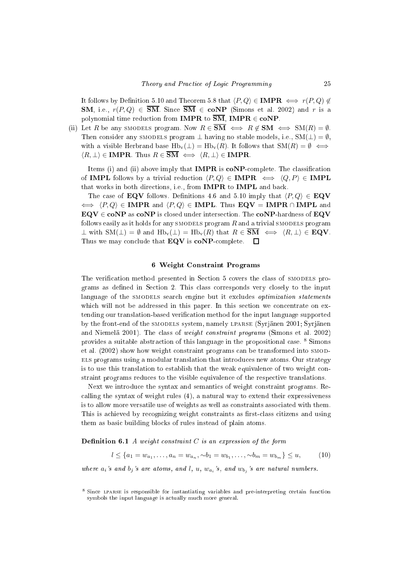It follows by Definition 5.10 and Theorem 5.8 that  $\langle P, Q \rangle \in \textbf{IMPR} \iff r(P, Q) \notin$ SM, i.e.,  $r(P,Q) \in \overline{SM}$ . Since  $\overline{SM} \in \mathbf{coNP}$  (Simons et al. 2002) and r is a polynomial time reduction from **IMPR** to  $\overline{\text{SM}}$ , **IMPR**  $\in$  coNP.

(ii) Let R be any SMODELS program. Now  $R \in \overline{SM} \iff R \notin SM \iff SM(R) = \emptyset$ . Then consider any SMODELS program  $\perp$  having no stable models, i.e.,  $SM(\perp) = \emptyset$ , with a visible Herbrand base  $Hb_v(\perp) = Hb_v(R)$ . It follows that  $SM(R) = \emptyset \iff$  $\langle R, \perp \rangle \in$  **IMPR**. Thus  $R \in \overline{\text{SM}} \iff \langle R, \perp \rangle \in$  **IMPR**.

Items (i) and (ii) above imply that **IMPR** is **coNP**-complete. The classification of **IMPL** follows by a trivial reduction  $\langle P, Q \rangle \in \textbf{IMPR} \iff \langle Q, P \rangle \in \textbf{IMPL}$ that works in both directions, i.e., from **IMPR** to **IMPL** and back.

The case of **EQV** follows. Definitions 4.6 and 5.10 imply that  $\langle P, Q \rangle \in \mathbf{EQV}$  $\iff \langle P, Q \rangle \in \textbf{IMPR}$  and  $\langle P, Q \rangle \in \textbf{IMPL}$ . Thus  $\textbf{EQV} = \textbf{IMPR} \cap \textbf{IMPL}$  and  $EQV \in coNP$  as  $coNP$  is closed under intersection. The  $coNP$ -hardness of  $EQV$ follows easily as it holds for any SMODELS program  $R$  and a trivial SMODELS program  $\perp$  with  $\text{SM}(\perp) = \emptyset$  and  $\text{Hb}_v(\perp) = \text{Hb}_v(R)$  that  $R \in \overline{\text{SM}} \iff \langle R, \perp \rangle \in \text{EQV}$ . Thus we may conclude that **EQV** is **coNP**-complete.  $\Box$ 

# 6 Weight Constraint Programs

The verification method presented in Section 5 covers the class of SMODELS programs as defined in Section 2. This class corresponds very closely to the input language of the SMODELS search engine but it excludes *optimization statements* which will not be addressed in this paper. In this section we concentrate on extending our translation-based verification method for the input language supported by the front-end of the smodels system, namely lparse (Syrjänen 2001; Syrjänen and Niemelä 2001). The lass of weight onstraint programs (Simons et al. 2002) provides a suitable abstra
tion of this language in the propositional ase. 8 Simons et al.  $(2002)$  show how weight constraint programs can be transformed into SMODels programs using a modular translation that introdu
es new atoms. Our strategy is to use this translation to establish that the weak equivalence of two weight constraint programs reduces to the visible equivalence of the respective translations.

Next we introdu
e the syntax and semanti
s of weight onstraint programs. Re alling the syntax of weight rules (4), a natural way to extend their expressiveness is to allow more versatile use of weights as well as onstraints asso
iated with them. This is achieved by recognizing weight constraints as first-class citizens and using them as basi building blo
ks of rules instead of plain atoms.

**Definition 6.1** A weight constraint  $C$  is an expression of the form

$$
l \le \{a_1 = w_{a_1}, \dots, a_n = w_{a_n}, \sim b_1 = w_{b_1}, \dots, \sim b_m = w_{b_m}\} \le u,\tag{10}
$$

where  $a_i$ 's and  $b_j$ 's are atoms, and l, u,  $w_{a_i}$ 's, and  $w_{b_j}$ 's are natural numbers.

<sup>&</sup>lt;sup>8</sup> Since LPARSE is responsible for instantiating variables and pre-interpreting certain function symbols the input language is actually much more general.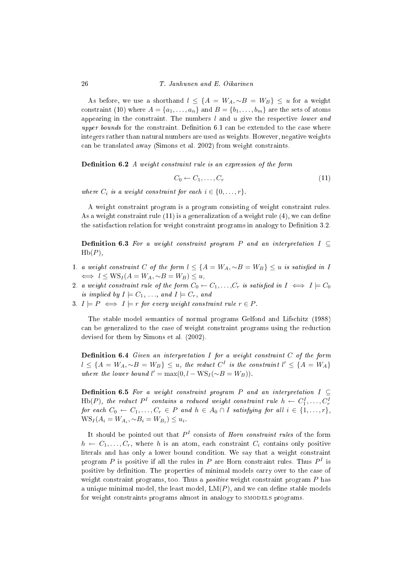As before, we use a shorthand  $l \leq \{A = W_A, \neg B = W_B\} \leq u$  for a weight constraint (10) where  $A = \{a_1, \ldots, a_n\}$  and  $B = \{b_1, \ldots, b_m\}$  are the sets of atoms appearing in the constraint. The numbers  $l$  and  $u$  give the respective lower and upper bounds for the constraint. Definition  $6.1$  can be extended to the case where integers rather than natural numbers are used as weights. However, negative weights an be translated away (Simons et al. 2002) from weight onstraints.

**Definition 6.2** A weight constraint rule is an expression of the form

$$
C_0 \leftarrow C_1, \dots, C_r \tag{11}
$$

where  $C_i$  is a weight constraint for each  $i \in \{0, \ldots, r\}$ .

A weight onstraint program is a program onsisting of weight onstraint rules. As a weight constraint rule  $(11)$  is a generalization of a weight rule  $(4)$ , we can define the satisfaction relation for weight constraint programs in analogy to Definition 3.2.

**Definition 6.3** For a weight constraint program P and an interpretation  $I \subseteq$  $Hb(P)$ ,

- 1. a weight constraint C of the form  $l \leq \{A = W_A, \neg B = W_B\} \leq u$  is satisfied in I  $\iff l \leq WS_I(A=W_A, \sim B=W_B) \leq u,$
- 2. a weight constraint rule of the form  $C_0 \leftarrow C_1, \ldots, C_r$  is satisfied in  $I \iff I \models C_0$ is implied by  $I \models C_1, \ldots, \text{ and } I \models C_r, \text{ and}$
- 3.  $I \models P \iff I \models r$  for every weight constraint rule  $r \in P$ .

The stable model semanti
s of normal programs Gelfond and Lifs
hitz (1988) an be generalized to the ase of weight onstraint programs using the redu
tion devised for them by Simons et al. (2002).

**Definition 6.4** Given an interpretation  $I$  for a weight constraint  $C$  of the form  $l \leq \{A = W_A, \neg B = W_B\} \leq u$ , the reduct  $C^I$  is the constraint  $l' \leq \{A = W_A\}$ where the lower bound  $l' = \max(0, l - \text{WS}_I(\sim B = W_B)).$ 

**Definition 6.5** For a weight constraint program P and an interpretation  $I \subseteq$  $\mathrm{Hb}(P),$  the reduct  $P^I$  contains a reduced weight constraint rule  $h\leftarrow C^I_1,\ldots,C^I_r$ for each  $C_0 \leftarrow C_1, \ldots, C_r \in P$  and  $h \in A_0 \cap I$  satisfying for all  $i \in \{1, \ldots, r\}$ ,  $WS_I(A_i = W_{A_i}, \sim B_i = W_{B_i}) \le u_i.$ 

It should be pointed out that  $P<sup>I</sup>$  consists of Horn constraint rules of the form  $h \leftarrow C_1, \ldots, C_r$ , where h is an atom, each constraint  $C_i$  contains only positive literals and has only a lower bound condition. We say that a weight constraint program P is positive if all the rules in P are Horn constraint rules. Thus  $P<sup>I</sup>$  is positive by definition. The properties of minimal models carry over to the case of weight constraint programs, too. Thus a *positive* weight constraint program P has a unique minimal model, the least model,  $LM(P)$ , and we can define stable models for weight constraints programs almost in analogy to SMODELS programs.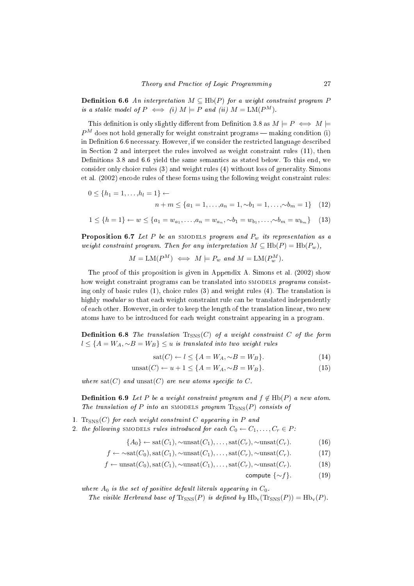**Definition 6.6** An interpretation  $M \subseteq \text{Hb}(P)$  for a weight constraint program P is a stable model of  $P \iff (i) \ M \models P$  and (ii)  $M = LM(P^M)$ .

This definition is only slightly different from Definition 3.8 as  $M \models P \iff M \models$  $P^{M}$  does not hold generally for weight constraint programs — making condition (i) in Definition 6.6 necessary. However, if we consider the restricted language described in Se
tion 2 and interpret the rules involved as weight onstraint rules (11), then Definitions 3.8 and 6.6 yield the same semantics as stated below. To this end, we consider only choice rules (3) and weight rules (4) without loss of generality. Simons et al.  $(2002)$  encode rules of these forms using the following weight constraint rules:

$$
0 \le \{h_1 = 1, \dots, h_l = 1\} \leftarrow
$$
  

$$
n + m \le \{a_1 = 1, \dots, a_n = 1, \sim b_1 = 1, \dots, \sim b_m = 1\}
$$
 (12)

$$
1 \le \{h=1\} \leftarrow w \le \{a_1 = w_{a_1}, \dots, a_n = w_{a_n}, \sim b_1 = w_{b_1}, \dots, \sim b_m = w_{b_m}\}\
$$
 (13)

**Proposition 6.7** Let P be an SMODELS program and  $P_w$  its representation as a weight constraint program. Then for any interpretation  $M \subseteq \mathrm{Hb}(P) = \mathrm{Hb}(P_w)$ ,

$$
M = LM(P^M) \iff M \models P_w \text{ and } M = LM(P_w^M).
$$

The proof of this proposition is given in Appendix A. Simons et al. (2002) show how weight constraint programs can be translated into SMODELS *programs* consisting only of basi rules (1), hoi
e rules (3) and weight rules (4). The translation is highly modular so that each weight constraint rule can be translated independently of ea
h other. However, in order to keep the length of the translation linear, two new atoms have to be introdu
ed for ea
h weight onstraint appearing in a program.

**Definition 6.8** The translation  $Tr_{SNS}(C)$  of a weight constraint C of the form  $l \leq \{A = W_A, \neg B = W_B\} \leq u$  is translated into two weight rules

$$
sat(C) \leftarrow l \le \{A = W_A, \sim B = W_B\}.\tag{14}
$$

$$
\text{unsat}(C) \leftarrow u + 1 \le \{A = W_A, \sim B = W_B\}.\tag{15}
$$

where sat(C) and unsat(C) are new atoms specific to C.

**Definition 6.9** Let P be a weight constraint program and  $f \notin \text{Hb}(P)$  a new atom. The translation of P into an SMODELS program  $\text{Tr}_{\text{SNS}}(P)$  consists of

- 1.  $\text{Tr}_{\text{SNS}}(C)$  for each weight constraint C appearing in P and
- 2. the following SMODELS rules introduced for each  $C_0 \leftarrow C_1, \ldots, C_r \in P$ :

$$
\{A_0\} \leftarrow \text{sat}(C_1), \sim \text{unsat}(C_1), \dots, \text{sat}(C_r), \sim \text{unsat}(C_r). \tag{16}
$$

$$
f \leftarrow \sim \text{sat}(C_0), \text{sat}(C_1), \sim \text{unsat}(C_1), \dots, \text{sat}(C_r), \sim \text{unsat}(C_r). \tag{17}
$$

$$
f \leftarrow \text{unsat}(C_0), \text{sat}(C_1), \sim \text{unsat}(C_1), \dots, \text{sat}(C_r), \sim \text{unsat}(C_r). \tag{18}
$$

compute  $\{\sim f\}$ . (19)

where  $A_0$  is the set of positive default literals appearing in  $C_0$ .

The visible Herbrand base of  $\text{Tr}_{\text{SNS}}(P)$  is defined by  $\text{Hb}_{\text{v}}(\text{Tr}_{\text{SNS}}(P)) = \text{Hb}_{\text{v}}(P)$ .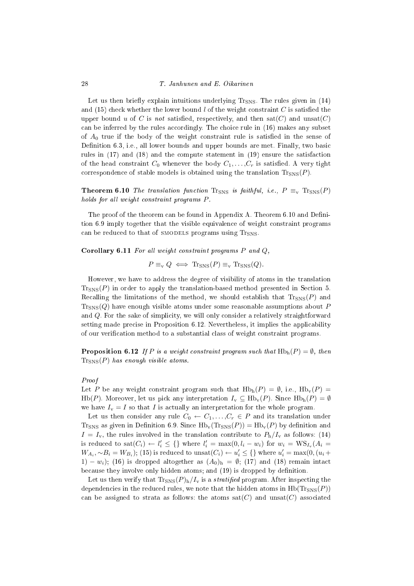Let us then briefly explain intuitions underlying  $T_{\text{SNS}}$ . The rules given in (14) and (15) check whether the lower bound  $l$  of the weight constraint  $C$  is satisfied the upper bound u of C is not satisfied, respectively, and then  $sat(C)$  and  $unsat(C)$ can be inferred by the rules accordingly. The choice rule in (16) makes any subset of  $A_0$  true if the body of the weight constraint rule is satisfied in the sense of Definition 6.3, i.e., all lower bounds and upper bounds are met. Finally, two basic rules in  $(17)$  and  $(18)$  and the compute statement in  $(19)$  ensure the satisfaction of the head constraint  $C_0$  whenever the body  $C_1, \ldots, C_r$  is satisfied. A very tight correspondence of stable models is obtained using the translation  $\text{Tr}_{\text{SNS}}(P)$ .

**Theorem 6.10** The translation function  $T_{\text{SNS}}$  is faithful, i.e.,  $P \equiv_{\text{v}} T_{\text{SNS}}(P)$ holds for all weight constraint programs  $P$ .

The proof of the theorem can be found in Appendix A. Theorem 6.10 and Definition 6.9 imply together that the visible equivalen
e of weight onstraint programs can be reduced to that of SMODELS programs using Tr<sub>SNS</sub>.

**Corollary 6.11** For all weight constraint programs  $P$  and  $Q$ ,

$$
P \equiv_{\rm v} Q \iff
$$
  $\text{Tr}_{\text{SNS}}(P) \equiv_{\rm v} \text{Tr}_{\text{SNS}}(Q)$ .

However, we have to address the degree of visibility of atoms in the translation  $T_{\text{SNS}}(P)$  in order to apply the translation-based method presented in Section 5. Recalling the limitations of the method, we should establish that  $\text{Tr}_{\text{SNS}}(P)$  and  $T_{\text{SNS}}(Q)$  have enough visible atoms under some reasonable assumptions about P and Q. For the sake of simplicity, we will only consider a relatively straightforward setting made precise in Proposition 6.12. Nevertheless, it implies the applicability of our verification method to a substantial class of weight constraint programs.

**Proposition 6.12** If P is a weight constraint program such that  $Hb<sub>h</sub>(P) = \emptyset$ , then  $T_{\text{TSNS}}(P)$  has enough visible atoms.

#### Proof

Let P be any weight constraint program such that  $Hb_h(P) = \emptyset$ , i.e.,  $Hb_v(P) =$ Hb(P). Moreover, let us pick any interpretation  $I_{\rm v} \subseteq H_{\rm bv}(P)$ . Since  $H_{\rm bh}(P) = \emptyset$ we have  $I_v = I$  so that I is actually an interpretation for the whole program.

Let us then consider any rule  $C_0 \leftarrow C_1, \ldots, C_r \in P$  and its translation under Tr<sub>SNS</sub> as given in Definition 6.9. Since  $Hb_v(Tr_{SNS}(P)) = Hb_v(P)$  by definition and  $I = I_{v}$ , the rules involved in the translation contribute to  $P_{h}/I_{v}$  as follows: (14) is reduced to sat $(C_i) \leftarrow l'_i \leq {\{\} \text{ where } l'_i = \max(0, l_i - w_i) \text{ for } w_i = \text{WS}_{I_v}(A_i =$  $W_{A_i}, \sim B_i = W_{B_i}$ ; (15) is reduced to unsat $(C_i) \leftarrow u'_i \leq \{\}$  where  $u'_i = \max(0, (u_i +$ 1) – w<sub>i</sub>); (16) is dropped altogether as  $(A_0)$ <sub>h</sub> =  $\emptyset$ ; (17) and (18) remain intact because they involve only hidden atoms; and (19) is dropped by definition.

Let us then verify that  $\text{Tr}_{\text{SNS}}(P)_{\text{h}}/I_{\text{v}}$  is a *stratified* program. After inspecting the dependencies in the reduced rules, we note that the hidden atoms in  $\text{Hb}(\text{Tr}_{\text{SNS}}(P))$ can be assigned to strata as follows: the atoms  $sat(C)$  and  $unsat(C)$  associated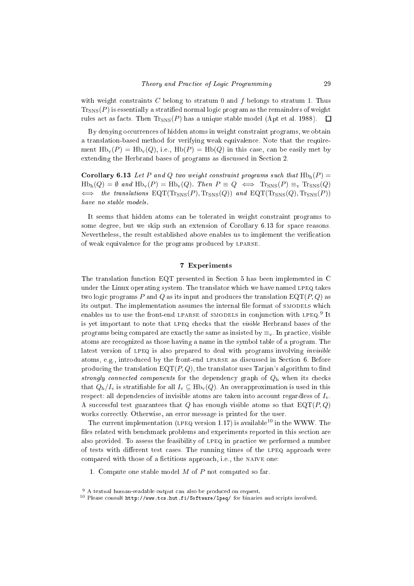with weight constraints  $C$  belong to stratum 0 and  $f$  belongs to stratum 1. Thus  $T_{\text{SNS}}(P)$  is essentially a stratified normal logic program as the remainders of weight rules act as facts. Then  $\text{Tr}_{\text{SNS}}(P)$  has a unique stable model (Apt et al. 1988).

By denying occurrences of hidden atoms in weight constraint programs, we obtain a translation-based method for verifying weak equivalen
e. Note that the requirement  $\text{Hb}_{\text{v}}(P) = \text{Hb}_{\text{v}}(Q)$ , i.e.,  $\text{Hb}(P) = \text{Hb}(Q)$  in this case, can be easily met by extending the Herbrand bases of programs as discussed in Section 2.

**Corollary 6.13** Let P and Q two weight constraint programs such that  $Hb<sub>h</sub>(P)$  =  $Hb_h(Q) = \emptyset$  and  $Hb_v(P) = Hb_v(Q)$ . Then  $P \equiv Q \iff \text{Tr}_{\text{SNS}}(P) \equiv_v \text{Tr}_{\text{SNS}}(Q)$  $\iff$  the translations  $\text{EQT}(T_{\text{TSNS}}(P), T_{\text{SNS}}(Q))$  and  $\text{EQT}(T_{\text{TSNS}}(Q), T_{\text{TSNS}}(P))$ have no stable models.

It seems that hidden atoms can be tolerated in weight constraint programs to some degree, but we skip such an extension of Corollary 6.13 for space reasons. Nevertheless, the result established above enables us to implement the verification of weak equivalen
e for the programs produ
ed by lparse.

## 7 Experiments

The translation fun
tion EQT presented in Se
tion <sup>5</sup> has been implemented in <sup>C</sup> under the Linux operating system. The translator which we have named LPEQ takes two logic programs P and Q as its input and produces the translation  $EQT(P,Q)$  as its output. The implementation assumes the internal file format of SMODELS which enables us to use the front-end LPARSE of SMODELS in conjunction with LPEQ.<sup>9</sup> It is yet important to note that LPEQ checks that the *visible* Herbrand bases of the programs being compared are exactly the same as insisted by  $\equiv_v$ . In practice, visible atoms are re
ognized as those having a name in the symbol table of a program. The latest version of LPEQ is also prepared to deal with programs involving *invisible* atoms, e.g., introduced by the front-end LPARSE as discussed in Section 6. Before producing the translation  $EQT(P,Q)$ , the translator uses Tarjan's algorithm to find strongly connected components for the dependency graph of  $Q<sub>h</sub>$  when its checks that  $Q_h/I_v$  is stratifiable for all  $I_v \subseteq \text{Hb}_v(Q)$ . An overapproximation is used in this respect: all dependencies of invisible atoms are taken into account regardless of  $I_{\rm v}$ . A successful test guarantees that Q has enough visible atoms so that  $EQT(P,Q)$ works correctly. Otherwise, an error message is printed for the user.

The current implementation (LPEQ version 1.17) is available<sup>10</sup> in the WWW. The files related with benchmark problems and experiments reported in this section are also provided. To assess the feasibility of LPEQ in practice we performed a number of tests with different test cases. The running times of the LPEQ approach were compared with those of a fictitious approach, i.e., the NAIVE one:

1. Compute one stable model  $M$  of  $P$  not computed so far.

 $9$  A textual human-readable output can also be produced on request.

<sup>&</sup>lt;sup>10</sup> Please consult http://www.tcs.hut.fi/Software/lpeq/ for binaries and scripts involved.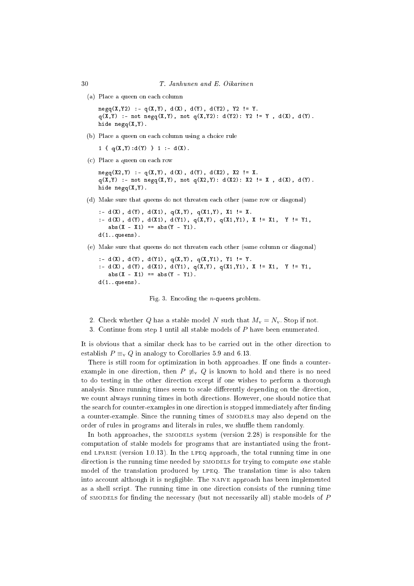(a) Place a queen on each column

negq(X,Y2) :- q(X,Y), d(X), d(Y), d(Y2), Y2 != Y. q(X,Y) :- not negq(X,Y), not q(X,Y2): d(Y2): Y2 != <sup>Y</sup> , d(X), d(Y). hide negq(X,Y).

(b) Place a queen on each column using a choice rule

 $1 \cdot 1 \cdot 1 \cdot 1 = 1 \cdot 1 \cdot 1 = 1 \cdot 1 = 1 \cdot 1 = 1 \cdot 1 = 1 \cdot 1 = 1 \cdot 1 = 1 \cdot 1 = 1 \cdot 1 = 1 \cdot 1 = 1 \cdot 1 = 1 \cdot 1 = 1 \cdot 1 = 1 \cdot 1 = 1 \cdot 1 = 1 \cdot 1 = 1 \cdot 1 = 1 \cdot 1 = 1 \cdot 1 = 1 \cdot 1 = 1 \cdot 1 = 1 \cdot 1 = 1 \cdot 1 = 1 \cdot 1 = 1 \cdot 1 = 1 \cdot 1 = 1 \cdot 1 = 1 \cdot 1 = 1 \cdot 1 = 1 \cdot 1$ 

(
) Pla
e a queen on ea
h row

negq(X2,Y) :- q(X,Y), d(X), d(Y), d(X2), X2 != X. q(X,Y) :- not negq(X,Y), not q(X2,Y): d(X2): X2 != <sup>X</sup> , d(X), d(Y). hide negq(X,Y).

(d) Make sure that queens do not threaten ea
h other (same row or diagonal)

```
:- d(X), d(Y), d(X1), q(X,Y), q(X1,Y), X1 != X.
:- d(X), d(Y), d(X1), d(Y1), q(X,Y), q(X1,Y1), X != X1, Y != Y1,
   abs(X - X1) == abs(Y - Y1).
d(1..queens).
```
(e) Make sure that queens do not threaten ea
h other (same olumn or diagonal)

```
:- d(X), d(Y), d(Y1), q(X,Y), q(X,Y1), Y1 != Y.
:- d(X), d(Y), d(X1), d(Y1), q(X,Y), q(X1,Y1), X != X1, Y != Y1,
   absolute the contract of \mathcal{X}d(1..queens).
```
Fig. 3. Encoding the *n*-queens problem.

- 2. Check whether Q has a stable model N such that  $M_v = N_v$ . Stop if not.
- 3. Continue from step <sup>1</sup> until all stable models of P have been enumerated.

It is obvious that a similar check has to be carried out in the other direction to establish  $P \equiv_{\rm v} Q$  in analogy to Corollaries 5.9 and 6.13.

There is still room for optimization in both approaches. If one finds a counterexample in one direction, then  $P \neq_V Q$  is known to hold and there is no need to do testing in the other dire
tion ex
ept if one wishes to perform a thorough analysis. Since running times seem to scale differently depending on the direction, we count always running times in both directions. However, one should notice that the search for counter-examples in one direction is stopped immediately after finding a counter-example. Since the running times of SMODELS may also depend on the order of rules in programs and literals in rules, we shuffle them randomly.

In both approaches, the SMODELS system (version 2.28) is responsible for the omputation of stable models for programs that are instantiated using the frontend LPARSE (version 1.0.13). In the LPEQ approach, the total running time in one direction is the running time needed by SMODELS for trying to compute one stable model of the translation produced by LPEQ. The translation time is also taken into account although it is negligible. The NAIVE approach has been implemented as a shell s
ript. The running time in one dire
tion onsists of the running time of SMODELS for finding the necessary (but not necessarily all) stable models of  $P$ 

 $30$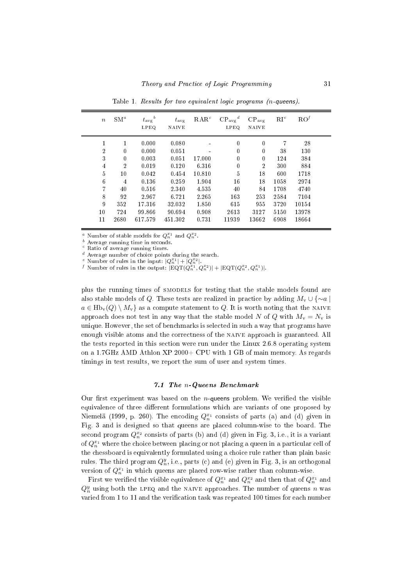| $\boldsymbol{n}$        | $SM^a$         | $t_{\text{avg}}^{\quad b}$<br>LPEQ | $t_{\rm avg}$<br><b>NAIVE</b> | $\mathrm{RAR}^c$ | $CP_{\text{avg}}^{\dagger}$<br><b>LPEQ</b> | $CP_{\rm avg}$<br>NAIVE | $\mathbf{R}\mathbf{I}^e$ | $\mathrm{RO}^f$ |  |
|-------------------------|----------------|------------------------------------|-------------------------------|------------------|--------------------------------------------|-------------------------|--------------------------|-----------------|--|
| 1                       | 1              | 0.000                              | 0.080                         |                  | $\theta$                                   | $\bf{0}$                | $\overline{7}$           | 28              |  |
| $\overline{2}$          | $\theta$       | 0.000                              | 0.051                         |                  | $\theta$                                   | $\bf{0}$                | 38                       | 130             |  |
| 3                       | $\theta$       | 0.003                              | 0.051                         | 17.000           | $\theta$                                   | $\theta$                | 124                      | 384             |  |
| $\overline{\mathbf{4}}$ | $\overline{2}$ | 0.019                              | 0.120                         | 6.316            | $\bf{0}$                                   | $\overline{2}$          | 300                      | 884             |  |
| 5                       | $10\,$         | 0.042                              | 0.454                         | 10.810           | $\overline{5}$                             | 18                      | 600                      | 1718            |  |
| 6                       | $\overline{4}$ | 0.136                              | 0.259                         | 1.904            | 16                                         | 18                      | 1058                     | 2974            |  |
| $\overline{7}$          | 40             | 0.516                              | 2.340                         | 4.535            | 40                                         | 84                      | 1708                     | 4740            |  |
| 8                       | 92             | 2.967                              | 6.721                         | 2.265            | 163                                        | 253                     | 2584                     | 7104            |  |
| 9                       | 352            | 17.316                             | 32.032                        | 1.850            | 615                                        | 955                     | 3720                     | 10154           |  |
| 10                      | 724            | 99.866                             | 90.694                        | 0.908            | 2613                                       | 3127                    | 5150                     | 13978           |  |
| 11                      | 2680           | 617.579                            | 451.302                       | 0.731            | 11939                                      | 13662                   | 6908                     | 18664           |  |

Table 1. Results for two equivalent logic programs (n-queens)

<sup>*a*</sup> Number of stable models for  $Q_n^{x_1}$  and  $Q_n^{x_2}$ .

b Average running time in se
onds.

c Ratio of average running times.

 $d$  Average number of choice points during the search.

<sup>e</sup> Number of rules in the input:  $|Q_n^{x_1}| + |Q_n^{x_2}|$ .<br>
f Number of rules in the output:  $|\text{EQT}(Q_n^{x_1}, Q_n^{x_2})| + |\text{EQT}(Q_n^{x_2}, Q_n^{x_1})|.$ 

plus the running times of smodels for testing that the stable models found are also stable models of Q. These tests are realized in practice by adding  $M_{\rm v} \cup \{\sim a \mid$  $a \in \mathrm{Hb}_{v}(Q) \setminus M_{v}$  as a compute statement to Q. It is worth noting that the NAIVE approach does not test in any way that the stable model N of Q with  $M_v = N_v$  is unique. However, the set of benchmarks is selected in such a way that programs have enough visible atoms and the orre
tness of the naive approa
h is guaranteed. All the tests reported in this se
tion were run under the Linux 2.6.8 operating system on <sup>a</sup> 1.7GHz AMD Athlon XP 2000+ CPU with 1 GB of main memory. As regards timings in test results, we report the sum of user and system times.

## 7.1 The n-Queens Ben
hmark

Our first experiment was based on the  $n$ -queens problem. We verified the visible equivalence of three different formulations which are variants of one proposed by Niemelä (1999, p. 260). The encoding  $Q_n^{x_1}$  consists of parts (a) and (d) given in Fig. 3 and is designed so that queens are placed column-wise to the board. The second program  $Q_n^{x_2}$  consists of parts (b) and (d) given in Fig. 3, i.e., it is a variant of  $Q_n^{x_1}$  where the choice between placing or not placing a queen in a particular cell of the chessboard is equivalently formulated using a choice rule rather than plain basic rules. The third program  $Q_n^y$ , i.e., parts (c) and (e) given in Fig. 3, is an orthogonal version of  $Q_n^{x_1}$  in which queens are placed row-wise rather than column-wise.

First we verified the visible equivalence of  $Q_n^{x_1}$  and  $Q_n^{x_2}$  and then that of  $Q_n^{x_1}$  and  $Q_n^y$  using both the LPEQ and the NAIVE approaches. The number of queens n was varied from 1 to 11 and the verification task was repeated 100 times for each number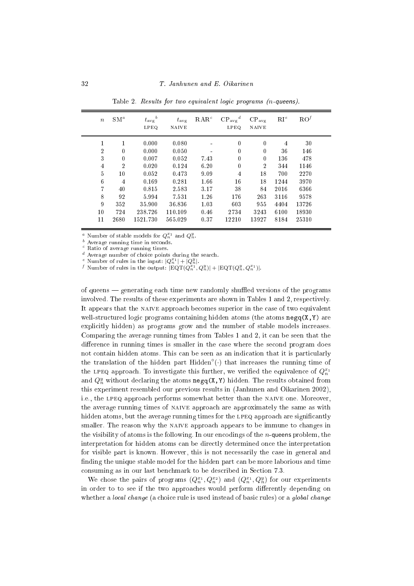32 T. Janhunen and E. Oikarinen

| $\boldsymbol{n}$ | $SM^a$         | $t_{\text{avg}}^{\quad b}$<br>LPEQ | $t_{\rm avg}$<br><b>NAIVE</b> | RAR <sup>c</sup> | $CP_{\text{avg}}^{\dagger}$<br>LPEQ | $CP_{avg}$<br><b>NAIVE</b> | $\mathrm{RI}^e$ | RO <sup>f</sup> |  |
|------------------|----------------|------------------------------------|-------------------------------|------------------|-------------------------------------|----------------------------|-----------------|-----------------|--|
| 1                | 1              | 0.000                              | 0.080                         |                  | $\theta$                            | 0                          | 4               | 30              |  |
| $\overline{2}$   | $\theta$       | 0.000                              | 0.050                         |                  | $\theta$                            | 0                          | 36              | 146             |  |
| 3                | $\theta$       | 0.007                              | 0.052                         | 7.43             | $\theta$                            | 0                          | 136             | 478             |  |
| $\overline{4}$   | $\overline{2}$ | 0.020                              | 0.124                         | 6.20             | $\theta$                            | $\overline{2}$             | 344             | 1146            |  |
| 5                | 10             | 0.052                              | 0.473                         | 9.09             | $\overline{4}$                      | 18                         | 700             | 2270            |  |
| 6                | $\overline{4}$ | 0.169                              | 0.281                         | 1.66             | 16                                  | 18                         | 1244            | 3970            |  |
| $\overline{7}$   | 40             | 0.815                              | 2.583                         | 3.17             | 38                                  | 84                         | 2016            | 6366            |  |
| 8                | 92             | 5.994                              | 7.531                         | 1.26             | 176                                 | 263                        | 3116            | 9578            |  |
| 9                | 352            | 35.900                             | 36.836                        | 1.03             | 603                                 | 955                        | 4404            | 13726           |  |
| 10               | 724            | 238.726                            | 110.109                       | 0.46             | 2734                                | 3243                       | 6100            | 18930           |  |
| 11               | 2680           | 1521.730                           | 565.029                       | 0.37             | 12210                               | 13927                      | 8184            | 25310           |  |

Table 2. Results for two equivalent logic programs (n-queens).

<sup>*a*</sup> Number of stable models for  $Q_n^{x_1}$  and  $Q_n^y$ .

b Average running time in se
onds. c

Ratio of average running times.

 $d$  Average number of choice points during the search.

<sup>e</sup> Number of rules in the input:  $|Q_n^{x_1}| + |Q_n^{y}|$ .

f Number of rules in the output:  $|\mathrm{EQT}(Q^{x_1}_n, Q^{y}_n)| + |\mathrm{EQT}(Q^{y}_n, Q^{x_1}_n)|.$ 

of queens — generating each time new randomly shuffled versions of the programs involved. The results of these experiments are shown in Tables 1 and 2, respectively. It appears that the NAIVE approach becomes superior in the case of two equivalent well-structured logic programs containing hidden atoms (the atoms  $neg(X, Y)$  are expli
itly hidden) as programs grow and the number of stable models in
reases. Comparing the average running times from Tables 1 and 2, it can be seen that the difference in running times is smaller in the case where the second program does not contain hidden atoms. This can be seen as an indication that it is particularly the translation of the hidden part  $\text{Hidden}^{\circ}(\cdot)$  that increases the running time of the LPEQ approach. To investigate this further, we verified the equivalence of  $Q_n^{x_1}$ and  $Q_n^y$  without declaring the atoms  $\mathtt{negq}(X,Y)$  hidden. The results obtained from this experiment resembled our previous results in (Janhunen and Oikarinen 2002), i.e., the LPEQ approach performs somewhat better than the NAIVE one. Moreover, the average running times of naive approa
h are approximately the same as with hidden atoms, but the average running times for the LPEQ approach are significantly smaller. The reason why the NAIVE approach appears to be immune to changes in the visibility of atoms is the following. In our encodings of the *n*-queens problem, the interpretation for hidden atoms an be dire
tly determined on
e the interpretation for visible part is known. However, this is not ne
essarily the ase in general and finding the unique stable model for the hidden part can be more laborious and time onsuming as in our last ben
hmark to be des
ribed in Se
tion 7.3.

We chose the pairs of programs  $(Q_n^{x_1}, Q_n^{x_2})$  and  $(Q_n^{x_1}, Q_n^{y})$  for our experiments in order to to see if the two approaches would perform differently depending on whether a *local change* (a choice rule is used instead of basic rules) or a *global change*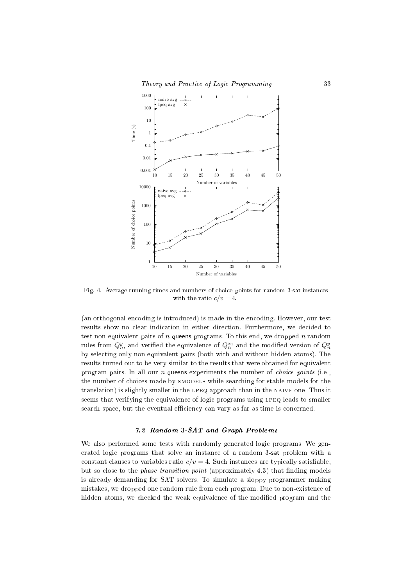

Fig. 4. Average running times and numbers of hoi
e points for random 3-sat instan
es with the ratio  $c/v = 4$ .

(an orthogonal en
oding is introdu
ed) is made in the en
oding. However, our test results show no clear indication in either direction. Furthermore, we decided to test non-equivalent pairs of  $n$ -queens programs. To this end, we dropped  $n$  random rules from  $Q_n^y$ , and verified the equivalence of  $Q_n^{x_1}$  and the modified version of  $Q_n^y$ by sele
ting only non-equivalent pairs (both with and without hidden atoms). The results turned out to be very similar to the results that were obtained for equivalent program pairs. In all our *n*-queens experiments the number of *choice points* (i.e., the number of hoi
es made by smodels while sear
hing for stable models for the translation) is slightly smaller in the LPEQ approach than in the NAIVE one. Thus it seems that verifying the equivalence of logic programs using LPEQ leads to smaller search space, but the eventual efficiency can vary as far as time is concerned.

# 7.2 Random 3-SAT and Graph Problems

We also performed some tests with randomly generated logic programs. We generated logi programs that solve an instan
e of a random 3-sat problem with <sup>a</sup> constant clauses to variables ratio  $c/v = 4$ . Such instances are typically satisfiable, but so close to the *phase transition point* (approximately 4.3) that finding models is already demanding for SAT solvers. To simulate a sloppy programmer making mistakes, we dropped one random rule from ea
h program. Due to non-existen
e of hidden atoms, we checked the weak equivalence of the modified program and the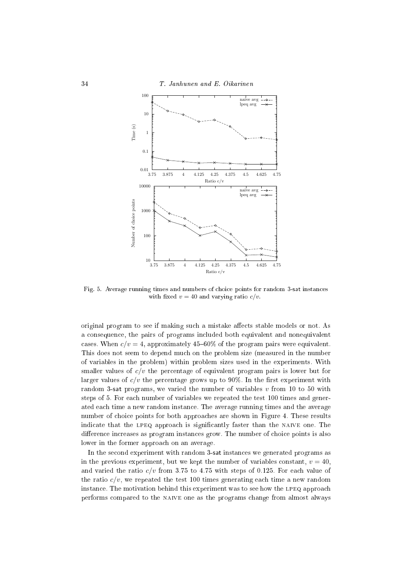

Fig. 5. Average running times and numbers of hoi
e points for random 3-sat instan
es with fixed  $v = 40$  and varying ratio  $c/v$ .

original program to see if making such a mistake affects stable models or not. As a onsequen
e, the pairs of programs in
luded both equivalent and nonequivalent cases. When  $c/v = 4$ , approximately 45-60% of the program pairs were equivalent. This does not seem to depend much on the problem size (measured in the number of variables in the problem) within problem sizes used in the experiments. With smaller values of  $c/v$  the percentage of equivalent program pairs is lower but for larger values of  $c/v$  the percentage grows up to 90%. In the first experiment with random 3-sat programs, we varied the number of variables  $v$  from 10 to 50 with steps of 5. For ea
h number of variables we repeated the test 100 times and generated ea
h time a new random instan
e. The average running times and the average number of hoi
e points for both approa
hes are shown in Figure 4. These results indicate that the LPEQ approach is significantly faster than the NAIVE one. The difference increases as program instances grow. The number of choice points is also lower in the former approach on an average.

In the second experiment with random 3-sat instances we generated programs as in the previous experiment, but we kept the number of variables constant,  $v = 40$ , and varied the ratio  $c/v$  from 3.75 to 4.75 with steps of 0.125. For each value of the ratio  $c/v$ , we repeated the test 100 times generating each time a new random instance. The motivation behind this experiment was to see how the LPEQ approach performs ompared to the naive one as the programs hange from almost always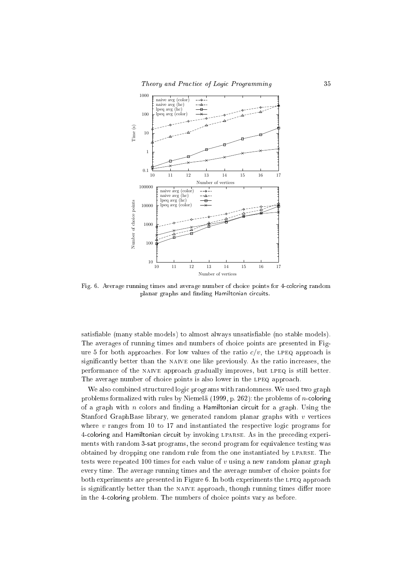

Fig. 6. Average running times and average number of choice points for 4-coloring random planar graphs and finding Hamiltonian circuits.

satisfiable (many stable models) to almost always unsatisfiable (no stable models). The averages of running times and numbers of hoi
e points are presented in Figure 5 for both approaches. For low values of the ratio  $c/v$ , the LPEQ approach is significantly better than the NAIVE one like previously. As the ratio increases, the performan
e of the naive approa
h gradually improves, but lpeq is still better. The average number of choice points is also lower in the LPEQ approach.

We also combined structured logic programs with randomness. We used two graph problems formalized with rules by Niemelä (1999, p. 262): the problems of *n*-coloring of a graph with  $n$  colors and finding a Hamiltonian circuit for a graph. Using the Stanford GraphBase library, we generated random planar graphs with v verti
es where  $v$  ranges from 10 to 17 and instantiated the respective logic programs for 4-coloring and Hamiltonian circuit by invoking LPARSE. As in the preceding experiments with random 3-sat programs, the second program for equivalence testing was obtained by dropping one random rule from the one instantiated by lparse. The tests were repeated 100 times for each value of  $v$  using a new random planar graph every time. The average running times and the average number of hoi
e points for both experiments are presented in Figure 6. In both experiments the LPEQ approach is significantly better than the NAIVE approach, though running times differ more in the 4oloring problem. The numbers of hoi
e points vary as before.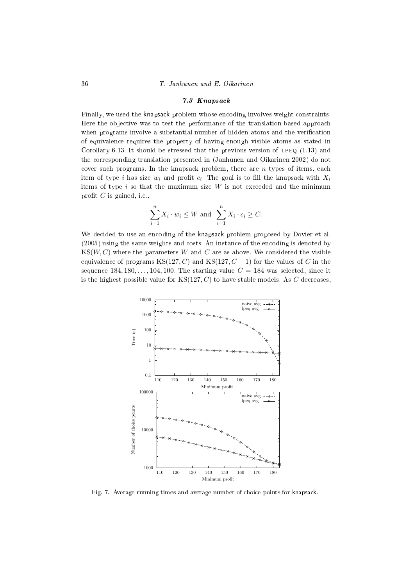# 7.3 Knapsa
k

Finally, we used the knapsack problem whose encoding involves weight constraints. Here the objective was to test the performance of the translation-based approach when programs involve a substantial number of hidden atoms and the verification of equivalen
e requires the property of having enough visible atoms as stated in Corollary 6.13. It should be stressed that the previous version of LPEQ  $(1.13)$  and the orresponding translation presented in (Janhunen and Oikarinen 2002) do not cover such programs. In the knapsack problem, there are  $n$  types of items, each item of type *i* has size  $w_i$  and profit  $c_i$ . The goal is to fill the knapsack with  $X_i$ items of type  $i$  so that the maximum size  $W$  is not exceeded and the minimum profit  $C$  is gained, i.e.,

$$
\sum_{i=1}^{n} X_i \cdot w_i \leq W \text{ and } \sum_{i=1}^{n} X_i \cdot c_i \geq C.
$$

We decided to use an encoding of the knapsack problem proposed by Dovier et al. (2005) using the same weights and osts. An instan
e of the en
oding is denoted by  $KS(W, C)$  where the parameters W and C are as above. We considered the visible equivalence of programs KS(127, C) and KS(127,  $C-1$ ) for the values of C in the sequence  $184, 180, \ldots, 104, 100$ . The starting value  $C = 184$  was selected, since it is the highest possible value for  $KS(127, C)$  to have stable models. As C decreases,



Fig. 7. Average running times and average number of choice points for knapsack.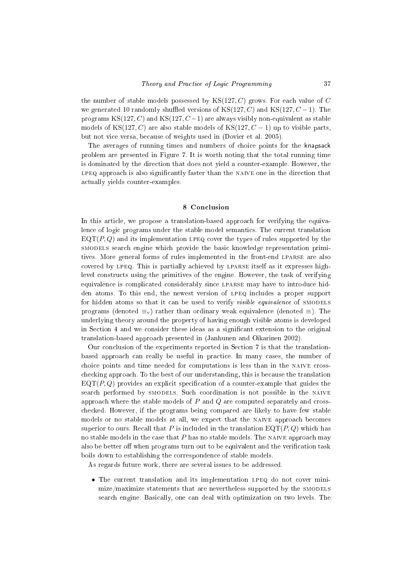the number of stable models possessed by  $\text{KS}(127, C)$  grows. For each value of C we generated 10 randomly shuffled versions of KS(127, C) and KS(127,  $C-1$ ). The programs KS(127, C) and KS(127,  $C-1$ ) are always visibly non-equivalent as stable models of KS(127, C) are also stable models of KS(127,  $C - 1$ ) up to visible parts, but not vi
e versa, be
ause of weights used in (Dovier et al. 2005).

The averages of running times and numbers of choice points for the knapsack problem are presented in Figure 7. It is worth noting that the total running time is dominated by the dire
tion that does not yield a ounter-example. However, the lpeq approa
h is also signi
antly faster than the naive one in the dire
tion that a
tually yields ounter-examples.

## 8 Con
lusion

In this article, we propose a translation-based approach for verifying the equivalence of logic programs under the stable model semantics. The current translation  $EQT(P,Q)$  and its implementation LPEQ cover the types of rules supported by the smodels sear
h engine whi
h provide the basi knowledge representation primitives. More general forms of rules implemented in the front-end lparse are also overed by lpeq. This is partially a
hieved by lparse itself as it expresses highlevel constructs using the primitives of the engine. However, the task of verifying equivalence is complicated considerably since LPARSE may have to introduce hidden atoms. To this end, the newest version of lpeq in
ludes a proper support for hidden atoms so that it can be used to verify *visible equivalence* of SMODELS programs (denoted  $\equiv_v$ ) rather than ordinary weak equivalence (denoted  $\equiv$ ). The underlying theory around the property of having enough visible atoms is developed in Section 4 and we consider these ideas as a significant extension to the original translation-based approa
h presented in (Janhunen and Oikarinen 2002).

Our conclusion of the experiments reported in Section 7 is that the translationbased approa
h an really be useful in pra
ti
e. In many ases, the number of choice points and time needed for computations is less than in the NAIVE crosschecking approach. To the best of our understanding, this is because the translation  $EQT(P,Q)$  provides an explicit specification of a counter-example that guides the search performed by SMODELS. Such coordination is not possible in the NAIVE approach where the stable models of  $P$  and  $Q$  are computed separately and crosshe
ked. However, if the programs being ompared are likely to have few stable models or no stable models at all, we expect that the NAIVE approach becomes superior to ours. Recall that P is included in the translation  $\mathbf{EQT}(P,Q)$  which has no stable models in the case that  $P$  has no stable models. The NAIVE approach may also be better off when programs turn out to be equivalent and the verification task boils down to establishing the orresponden
e of stable models.

As regards future work, there are several issues to be addressed.

• The current translation and its implementation LPEQ do not cover mini $mize/maximize$  statements that are nevertheless supported by the SMODELS search engine. Basically, one can deal with optimization on two levels. The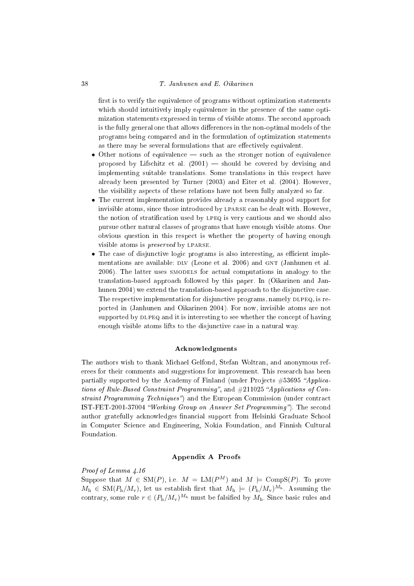first is to verify the equivalence of programs without optimization statements which should intuitively imply equivalence in the presence of the same optimization statements expressed in terms of visible atoms. The second approach is the fully general one that allows differences in the non-optimal models of the programs being ompared and in the formulation of optimization statements as there may be several formulations that are effectively equivalent.

- Other notions of equivalence such as the stronger notion of equivalence proposed by Lifschitz et al.  $(2001)$  — should be covered by devising and implementing suitable translations. Some translations in this respect have already been presented by Turner (2003) and Eiter et al. (2004). However, the visibility aspe
ts of these relations have not been fully analyzed so far.
- The current implementation provides already a reasonably good support for invisible atoms, sin
e those introdu
ed by lparse an be dealt with. However, the notion of strati
ation used by lpeq is very autious and we should also pursue other natural lasses of programs that have enough visible atoms. One obvious question in this respe
t is whether the property of having enough visible atoms is *preserved* by LPARSE.
- The case of disjunctive logic programs is also interesting, as efficient implementations are available: DLV (Leone et al. 2006) and GNT (Janhunen et al. 2006). The latter uses SMODELS for actual computations in analogy to the translation-based approa
h followed by this paper. In (Oikarinen and Janhunen 2004) we extend the translation-based approach to the disjunctive case. The respective implementation for disjunctive programs, namely DLPEQ, is reported in (Janhunen and Oikarinen 2004). For now, invisible atoms are not supported by DLPEQ and it is interesting to see whether the concept of having enough visible atoms lifts to the disjunctive case in a natural way.

## **Acknowledgments**

The authors wish to thank Mi
hael Gelfond, Stefan Woltran, and anonymous referees for their omments and suggestions for improvement. This resear
h has been partially supported by the Academy of Finland (under Projects  $\#53695$  "Applications of Rule-Based Constraint Programming", and #211025 "Applications of Constraint Programming Techniques") and the European Commission (under contract IST-FET-2001-37004 "Working Group on Answer Set Programming"). The second author gratefully acknowledges financial support from Helsinki Graduate School in Computer S
ien
e and Engineering, Nokia Foundation, and Finnish Cultural Foundation.

## Appendix A Proofs

Proof of Lemma 4.16

Suppose that  $M \in SM(P)$ , i.e.  $M = LM(P^M)$  and  $M \models CompS(P)$ . To prove  $M_h \in SM(P_h/M_v)$ , let us establish first that  $M_h \models (P_h/M_v)^{M_h}$ . Assuming the contrary, some rule  $r \in (P_h/M_v)^{M_h}$  must be falsified by  $M_h$ . Since basic rules and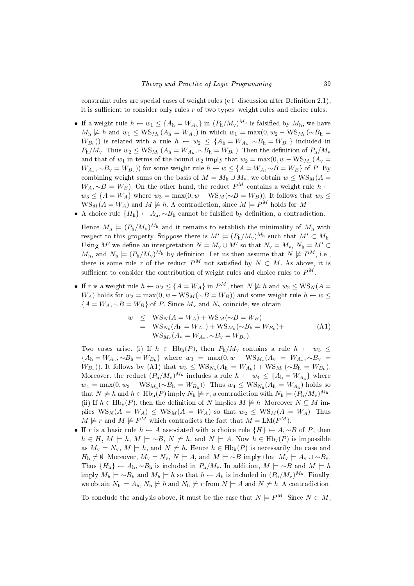constraint rules are special cases of weight rules (c.f. discussion after Definition 2.1), it is sufficient to consider only rules  $r$  of two types: weight rules and choice rules.

- If a weight rule  $h \leftarrow w_1 \leq \{A_h = W_{A_h}\}\$ in  $(P_h/M_v)^{M_h}$  is falsified by  $M_h$ , we have  $M_h \not\models h$  and  $w_1 \leq \text{WS}_{M_h}(A_h = W_{A_h})$  in which  $w_1 = \max(0, w_2 - \text{WS}_{M_h}(\sim B_h =$  $(W_{B<sub>h</sub>})$  is related with a rule  $h \leftarrow w_2 \leq \{A_h = W_{A_h}, \neg B_h = W_{B_h}\}\$ included in  $P_{\rm h}/M_{\rm v}$ . Thus  $w_2$  ≤  ${\rm WS}_{M_{\rm h}}(A_{\rm h}=W_{A_{\rm h}},$   $\sim$   $B_{\rm h}=W_{B_{\rm h}})$ . Then the definition of  $P_{\rm h}/M_{\rm v}$ and that of  $w_1$  in terms of the bound  $w_2$  imply that  $w_2 = \max(0, w - WS_{M_v}(A_v =$  $W_{A_v}, \sim B_v = W_{B_v})$ ) for some weight rule  $h \leftarrow w \leq \{A = W_A, \sim B = W_B\}$  of P. By combining weight sums on the basis of  $M = M_h \cup M_v$ , we obtain  $w \leq W S_M (A =$  $W_A, \sim B = W_B$ ). On the other hand, the reduct  $P^M$  contains a weight rule  $h \leftarrow$  $w_3 \leq \{A = W_A\}$  where  $w_3 = \max(0, w - WS_M(\sim B = W_B))$ . It follows that  $w_3 \leq$  $WS_M(A = W_A)$  and  $M \not\models h$ . A contradiction, since  $M \models P^M$  holds for M.
- A choice rule  $\{H_h\} \leftarrow A_h, \sim B_h$  cannot be falsified by definition, a contradiction.

Hence  $M_h \models (P_h/M_v)^{M_h}$  and it remains to establish the minimality of  $M_h$  with respect to this property. Suppose there is  $M' \models (P_h/M_v)^{M_h}$  such that  $M' \subset M_h$ . Using  $M'$  we define an interpretation  $N = M_{\rm v} \cup M'$  so that  $N_{\rm v} = M_{\rm v}$ ,  $N_{\rm h} = M' \subset$  $M_{\rm h}$ , and  $N_{\rm h} \models (P_{\rm h}/M_{\rm v})^{M_{\rm h}}$  by definition. Let us then assume that  $N \not\models P^M$ , i.e., there is some rule r of the reduct  $P^M$  not satisfied by  $N \subset M$ . As above, it is sufficient to consider the contribution of weight rules and choice rules to  $P^M$ .

• If r is a weight rule  $h \leftarrow w_2 \leq \{A = W_A\}$  in  $P^M$ , then  $N \not\models h$  and  $w_2 \leq W S_N(A =$ W<sub>A</sub>) holds for  $w_2 = \max(0, w - WS_M(\sim B = W_B))$  and some weight rule  $h \leftarrow w \leq$  ${A = W_A, \sim B = W_B}$  of P. Since  $M_v$  and  $N_v$  coincide, we obtain

$$
w \leq \text{WS}_{N}(A = W_A) + \text{WS}_{M}(\sim B = W_B) \n= \text{WS}_{N_{\text{h}}}(A_{\text{h}} = W_{A_{\text{h}}}) + \text{WS}_{M_{\text{h}}}(\sim B_{\text{h}} = W_{B_{\text{h}}}) + \text{WS}_{M_{\text{v}}}(A_{\text{v}} = W_{A_{\text{v}}}, \sim B_{\text{v}} = W_{B_{\text{v}}}).
$$
\n(A1)

Two cases arise. (i) If  $h \in \text{Hb}_{h}(P)$ , then  $P_{h}/M_{v}$  contains a rule  $h \leftarrow w_{3} \leq$  ${A_h = W_{A_h}, \sim B_h = W_{B_h}}$  where  $w_3 = \max(0, w - W_{M_v}(A_v = W_{A_v}, \sim B_v =$  $(W_{B_v})$ . It follows by (A1) that  $w_3 \leq W S_{N_h}(A_h = W_{A_h}) + W S_{M_h}(\sim B_h = W_{B_h})$ . Moreover, the reduct  $(P_{\rm h}/M_{\rm v})^{M_{\rm h}}$  includes a rule  $h \leftarrow w_4 \leq \{A_{\rm h} = W_{A_{\rm h}}\}$  where  $w_4 = \max(0, w_3 - \text{WS}_{M_{\rm h}}(\sim B_{\rm h} = W_{B_{\rm h}}))$ . Thus  $w_4 \leq \text{WS}_{N_{\rm h}}(A_{\rm h} = W_{A_{\rm h}})$  holds so that  $N \not\models h$  and  $h \in \text{Hb}_{h}(P)$  imply  $N_{h} \not\models r$ , a contradiction with  $N_{h} \models (P_{h}/M_{v})^{M_{h}}$ . (ii) If  $h \in H_{\mathrm{D}_V}(P)$ , then the definition of N implies  $M \not\models h$ . Moreover  $N \subseteq M$  implies  $WS_N(A = W_A) \leq WS_M(A = W_A)$  so that  $w_2 \leq WS_M(A = W_A)$ . Thus  $M \not\models r$  and  $M \not\models P^M$  which contradicts the fact that  $M = LM(P^M)$ .

• If r is a basic rule  $h \leftarrow A$  associated with a choice rule  $\{H\} \leftarrow A, \sim B$  of P, then  $h \in H$ ,  $M \models h$ ,  $M \models \sim B$ ,  $N \not\models h$ , and  $N \models A$ . Now  $h \in \text{Hb}_v(P)$  is impossible as  $M_{\rm v} = N_{\rm v}$ ,  $M \models h$ , and  $N \not\models h$ . Hence  $h \in H_{\rm bh}(P)$  is necessarily the case and  $H_h \neq \emptyset$ . Moreover,  $M_v = N_v$ ,  $N \models A$ , and  $M \models \sim B$  imply that  $M_v \models A_v \cup \sim B_v$ . Thus  $\{H_h\} \leftarrow A_h, \sim B_h$  is included in  $P_h/M_v$ . In addition,  $M \models \sim B$  and  $M \models h$ imply  $M_h \models \sim B_h$  and  $M_h \models h$  so that  $h \leftarrow A_h$  is included in  $(P_h/M_v)^{M_h}$ . Finally, we obtain  $N_h \models A_h$ ,  $N_h \not\models h$  and  $N_h \not\models r$  from  $N \models A$  and  $N \not\models h$ . A contradiction.

To conclude the analysis above, it must be the case that  $N \models P^M$ . Since  $N \subset M$ ,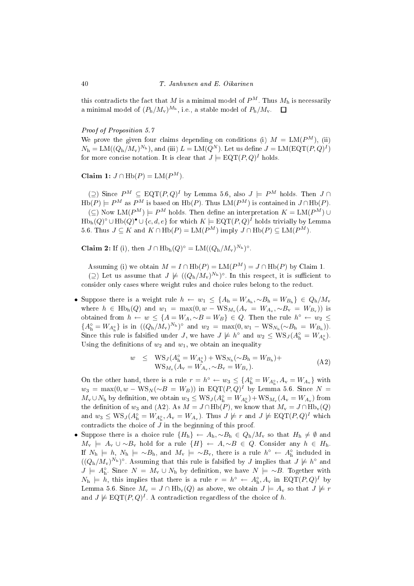this contradicts the fact that M is a minimal model of  $P^M$ . Thus  $M_h$  is necessarily a minimal model of  $(P_h/M_v)^{M_h}$ , i.e., a stable model of  $P_h/M_v$ .  $\Box$ 

## Proof of Proposition 5.7

We prove the given four claims depending on conditions (i)  $M = LM(P^M)$ , (ii)  $N_{\rm h} = {\rm LM}((Q_{\rm h}/M_{\rm v})^{N_{\rm h}})$ , and (iii)  $L = {\rm LM}(Q^N)$ . Let us define  $J = {\rm LM}({\rm EQT}(P,Q)^I)$ for more concise notation. It is clear that  $J \models \mathrm{EQT}(P,Q)^{I}$  holds.

Claim 1:  $J \cap \text{Hb}(P) = \text{LM}(P^M)$ .

(⊇) Since  $P^M \subseteq \mathrm{EQT}(P,Q)^I$  by Lemma 5.6, also  $J \models P^M$  holds. Then  $J \cap$  $Hb(P) \models P^M$  as  $P^M$  is based on  $Hb(P)$ . Thus  $LM(P^M)$  is contained in  $J \cap Hb(P)$ .

 $(\subseteq)$  Now LM $(P^M) \models P^M$  holds. Then define an interpretation  $K = LM(P^M) \cup$  $\text{Hb}_\text{h}(Q)^\circ \cup \text{Hb}(Q)^\bullet \cup \{c,d,e\}$  for which  $K \models \text{EQT}(P,Q)^I$  holds trivially by Lemma 5.6. Thus  $J \subseteq K$  and  $K \cap \text{Hb}(P) = \text{LM}(P^M)$  imply  $J \cap \text{Hb}(P) \subseteq \text{LM}(P^M)$ .

**Claim 2:** If (i), then  $J \cap \text{Hb}_{h}(Q)^{\circ} = \text{LM}((Q_{h}/M_{v})^{N_{h}})^{\circ}$ .

Assuming (i) we obtain  $M = I \cap Hb(P) = LM(P^M) = J \cap Hb(P)$  by Claim 1.

(2) Let us assume that  $J \not\models ((Q_h/M_v)^{N_h})^{\circ}$ . In this respect, it is sufficient to consider only cases where weight rules and choice rules belong to the reduct.

• Suppose there is a weight rule  $h \leftarrow w_1 \leq \{A_h = W_{A_h}, \sim B_h = W_{B_h}\} \in Q_h/M_v$ where  $h \in \text{Hb}_{h}(Q)$  and  $w_1 = \max(0, w - \text{WS}_{M_v}(A_v = W_{A_v}, \sim B_v = W_{B_v}))$  is obtained from  $h \leftarrow w \leq \{A = W_A, \neg B = W_B\} \in Q$ . Then the rule  $h^{\circ} \leftarrow w_2 \leq$  ${A_h^o = W_{A_h^o}}$  is in  $((Q_h/M_v)^{N_h})^o$  and  $w_2 = \max(0, w_1 - WS_{N_h}(\sim B_h = W_{B_h}))$ . Since this rule is falsified under J, we have  $J \not\models h^{\circ}$  and  $w_2 \leq WS_J(A_h^{\circ} = W_{A_h^{\circ}})$ . Using the definitions of  $w_2$  and  $w_1$ , we obtain an inequality

$$
w \le \text{WS}_J(A_h^\circ = W_{A_h^\circ}) + \text{WS}_{N_h}(\sim B_h = W_{B_h}) + \text{WS}_{M_v}(A_v = W_{A_v}, \sim B_v = W_{B_v}).
$$
\n(A2)

On the other hand, there is a rule  $r = h^{\circ} \leftarrow w_3 \leq \{A^{\circ}_{h} = W_{A^{\circ}_{h}}, A_{v} = W_{A_{v}}\}$  with  $w_3 = \max(0, w - WS_N(\sim B = W_B))$  in EQT $(P,Q)^I$  by Lemma 5.6. Since  $N =$  $M_v \cup N_h$  by definition, we obtain  $w_3 \leq WS_J(A_h^{\circ} = W_{A_h^{\circ}}) + WS_{M_v}(A_v = W_{A_v})$  from the definition of  $w_3$  and (A2). As  $M = J \cap Hb(P)$ , we know that  $M_v = J \cap Hb_v(Q)$ and  $w_3 \leq \text{WS}_J(A_{\text{h}}^{\circ} = W_{A_{\text{h}}^{\circ}}, A_{\text{v}} = W_{A_{\text{v}}})$ . Thus  $J \not\models r$  and  $J \not\models \text{EQT}(P, Q)^{I}$  which contradicts the choice of  $J$  in the beginning of this proof.

• Suppose there is a choice rule  ${H_h} \leftarrow A_h, \neg B_h \in Q_h/M_v$  so that  $H_h \neq \emptyset$  and  $M_{\rm v} \models A_{\rm v} \cup \sim B_{\rm v}$  hold for a rule  $\{H\} \leftarrow A_{\rm v} \sim B \in Q$ . Consider any  $h \in H_{\rm h}$ . If  $N_h$   $\models$  h,  $N_h$   $\models \sim B_h$ , and  $M_v$   $\models \sim B_v$ , there is a rule  $h^{\circ} \leftarrow A_h^{\circ}$  included in  $((Q_h/M_v)^{N_h})^{\circ}$ . Assuming that this rule is falsified by J implies that  $J \not\models h^{\circ}$  and  $J \models A_{h}^{\circ}$ . Since  $N = M_{v} \cup N_{h}$  by definition, we have  $N \models \sim B$ . Together with  $N_{\rm h} \models h$ , this implies that there is a rule  $r = h^{\circ} \leftarrow A_{\rm h}^{\circ}, A_{\rm v}$  in  $\text{EQT}(P,Q)^{I}$  by Lemma 5.6. Since  $M_{\rm v} = J \cap \text{Hb}_{\rm v}(Q)$  as above, we obtain  $J \models A_{\rm v}$  so that  $J \not\models r$ and  $J \not\models \text{EQT}(P, Q)^{I}$ . A contradiction regardless of the choice of h.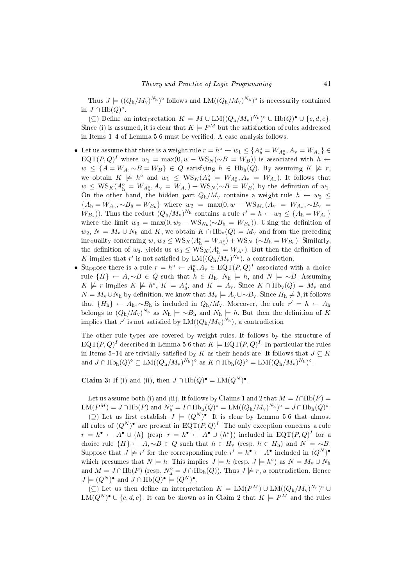Thus  $J \models ((Q_h/M_v)^{N_h})^{\circ}$  follows and  $\mathrm{LM}((Q_h/M_v)^{N_h})^{\circ}$  is necessarily contained in  $J \cap \text{Hb}(Q)^\circ$ .

(⊆) Define an interpretation  $K = M \cup LM((Q_h/M_v)^{N_h})^{\circ} \cup Hb(Q)^{\bullet} \cup \{c, d, e\}.$ Since (i) is assumed, it is clear that  $K \models P^M$  but the satisfaction of rules addressed in Items  $1-4$  of Lemma 5.6 must be verified. A case analysis follows.

- Let us assume that there is a weight rule  $r = h^{\circ} \leftarrow w_1 \leq \{A_{\rm h}^{\circ} = W_{A_{\rm h}^{\circ}}, A_{\rm v} = W_{A_{\rm v}}\} \in$  $\mathrm{EQT}(P,Q)^{I}$  where  $w_1 = \max(0, w - \mathrm{WS}_N(\sim B = W_B))$  is associated with  $h \leftarrow$  $w \leq \{A = W_A, \neg B = W_B\} \in Q$  satisfying  $h \in \text{Hb}_h(Q)$ . By assuming  $K \not\models r$ , we obtain  $K \not\models h^{\circ}$  and  $w_1 \leq \text{WS}_K(A^{\circ}_{h} = W_{A^{\circ}_{h}}, A_{v} = W_{A^{\circ}_{v}})$ . It follows that  $w \leq \text{WS}_K(A_{\text{h}}^{\circ} = W_{A_{\text{h}}^{\circ}}, A_{\text{v}} = W_{A_{\text{v}}}) + \text{WS}_N(\sim B = W_B)$  by the definition of  $w_1$ . On the other hand, the hidden part  $Q_h/M_v$  contains a weight rule  $h \leftarrow w_2 \leq$  ${A_h = W_{A_h}, \sim B_h = W_{B_h}}$  where  $w_2 = \max(0, w - WS_{M_v}(A_v = W_{A_v}, \sim B_v =$  $(W_{B_v})$ ). Thus the reduct  $(Q_h/M_v)^{N_h}$  contains a rule  $r' = h \leftarrow w_3 \leq \{A_h = W_{A_h}\}$ where the limit  $w_3 = \max(0, w_2 - \text{WS}_{N_{\text{h}}}(\sim B_{\text{h}} = W_{B_{\text{h}}}))$ . Using the definition of  $w_2$ ,  $N = M_{\rm v} \cup N_{\rm h}$  and K, we obtain  $K \cap \text{Hb}_{\rm v}(Q) = M_{\rm v}$  and from the preceding inequality concerning  $w, w_2 \leq \text{WS}_K(A_h^{\circ} = W_{A_h^{\circ}}) + \text{WS}_{N_h}(\sim B_h = W_{B_h})$ . Similarly, the definition of  $w_3$ , yields us  $w_3 \leq \text{WS}_K(A^{\circ}_{h} = W_{A^{\circ}_{h}})$ . But then the definition of K implies that r' is not satisfied by  $LM((Q_h/M_v)^{N_h})$ , a contradiction.
- Suppose there is a rule  $r = h^{\circ} \leftarrow A_{h}^{\circ}, A_{v} \in \text{EQT}(P, Q)^{I}$  associated with a choice rule  $\{H\} \leftarrow A, \sim B \in Q$  such that  $h \in H_h$ ,  $N_h \models h$ , and  $N \models \sim B$ . Assuming  $K \not\models r$  implies  $K \not\models h^{\circ}, K \models A_{h}^{\circ}$ , and  $K \models A_{v}$ . Since  $K \cap \text{Hb}_{v}(Q) = M_{v}$  and  $N = M_{\rm v} \cup N_{\rm h}$  by definition, we know that  $M_{\rm v} \models A_{\rm v} \cup \sim B_{\rm v}$ . Since  $H_{\rm h} \neq \emptyset$ , it follows that  ${H_h} \leftarrow A_h, \neg B_h$  is included in  $Q_h/M_v$ . Moreover, the rule  $r' = h \leftarrow A_h$ belongs to  $(Q_h/M_v)^{N_h}$  as  $N_h \models \sim B_h$  and  $N_h \models h$ . But then the definition of K implies that r' is not satisfied by  $LM((Q_h/M_v)^{N_h})$ , a contradiction.

The other rule types are covered by weight rules. It follows by the structure of  $\mathrm{EQT}(P,Q)^{I}$  described in Lemma 5.6 that  $K\models \mathrm{EQT}(P,Q)^{I}.$  In particular the rules in Items 5-14 are trivially satisfied by K as their heads are. It follows that  $J \subseteq K$ and  $J \cap \text{Hb}_{h}(Q)^{\circ} \subseteq \text{LM}((Q_{h}/M_{v})^{N_{h}})^{\circ}$  as  $K \cap \text{Hb}_{h}(Q)^{\circ} = \text{LM}((Q_{h}/M_{v})^{N_{h}})^{\circ}$ .

**Claim 3:** If (i) and (ii), then  $J \cap \text{Hb}(Q)^{\bullet} = \text{LM}(Q^N)^{\bullet}$ .

Let us assume both (i) and (ii). It follows by Claims 1 and 2 that  $M = I \cap Hb(P) =$  $LM(P^M) = J \cap Hb(P)$  and  $N_h^{\circ} = I \cap Hb_h(Q)^{\circ} = LM((Q_h/M_v)^{N_h})^{\circ} = J \cap Hb_h(Q)^{\circ}$ .

(2) Let us first establish  $J \models (Q^N)^{\bullet}$ . It is clear by Lemma 5.6 that almost all rules of  $(Q^N)^\bullet$  are present in EQT $(P,Q)^I$ . The only exception concerns a rule  $r = h^{\bullet} \leftarrow A^{\bullet} \cup \{h\}$  (resp.  $r = h^{\bullet} \leftarrow A^{\bullet} \cup \{h^{\circ}\}\)$  included in  $\mathrm{EQT}(P,Q)^{I}$  for a choice rule  $\{H\} \leftarrow A, \sim B \in Q$  such that  $h \in H_{\rm v}$  (resp.  $h \in H_{\rm h}$ ) and  $N \models \sim B$ . Suppose that  $J \not\models r'$  for the corresponding rule  $r' = h^{\bullet} \leftarrow A^{\bullet}$  included in  $(Q^N)^{\bullet}$ which presumes that  $N \models h$ . This implies  $J \models h$  (resp.  $J \models h^{\circ}$ ) as  $N = M_{\rm v} \cup N_{\rm h}$ and  $M = J \cap Hb(P)$  (resp.  $N_h^{\circ} = J \cap Hb_h(Q)$ ). Thus  $J \not\models r$ , a contradiction. Hence  $J \models (Q^N)^{\bullet}$  and  $J \cap \text{Hb}(Q)^{\bullet} \models (Q^N)^{\bullet}$ .

(⊆) Let us then define an interpretation  $K = LM(P^M) \cup LM((Q_h/M_v)^{N_h})^{\circ} \cup$  $LM(Q^N)^{\bullet} \cup \{c, d, e\}$ . It can be shown as in Claim 2 that  $K \models P^M$  and the rules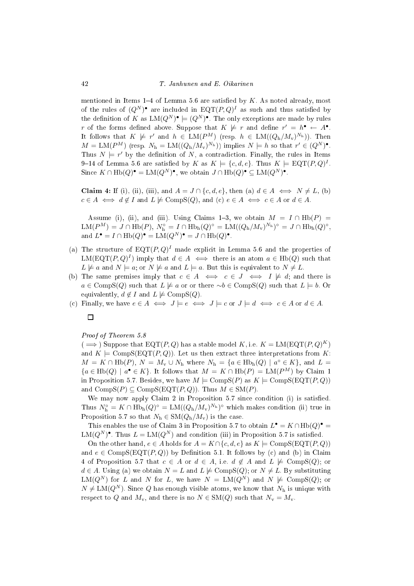mentioned in Items  $1-4$  of Lemma 5.6 are satisfied by K. As noted already, most of the rules of  $(Q^N)^{\bullet}$  are included in  $\mathrm{EQT}(P,Q)^I$  as such and thus satisfied by the definition of K as  $LM(Q^N)^{\bullet} \models (Q^N)^{\bullet}$ . The only exceptions are made by rules r of the forms defined above. Suppose that  $K \not\models r$  and define  $r' = h^{\bullet} \leftarrow A^{\bullet}$ . It follows that  $K \not\models r'$  and  $h \in LM(P^M)$  (resp.  $h \in LM((Q_h/M_v)^{N_h}))$ . Then  $M = LM(P^M)$  (resp.  $N_h = LM((Q_h/M_v)^{N_h}))$  implies  $N \models h$  so that  $r' \in (Q^N)^{\bullet}$ . Thus  $N \models r'$  by the definition of N, a contradiction. Finally, the rules in Items 9–14 of Lemma 5.6 are satisfied by K as  $K \models \{c, d, e\}$ . Thus  $K \models \mathrm{EQT}(P, Q)^{I}$ . Since  $K \cap \text{Hb}(Q)^{\bullet} = \text{LM}(Q^N)^{\bullet}$ , we obtain  $J \cap \text{Hb}(Q)^{\bullet} \subseteq \text{LM}(Q^N)^{\bullet}$ .

**Claim 4:** If (i), (ii), (iii), and  $A = J \cap \{c, d, e\}$ , then (a)  $d \in A \iff N \neq L$ , (b)  $c \in A \iff d \notin I$  and  $L \not\models \text{CompS}(Q)$ , and  $(c) e \in A \iff c \in A$  or  $d \in A$ .

Assume (i), (ii), and (iii). Using Claims 1-3, we obtain  $M = I \cap \text{Hb}(P) =$  $LM(P^M) = J \cap Hb(P), N_h^{\circ} = I \cap Hb_h(Q)^{\circ} = LM((Q_h/M_v)^{N_h})^{\circ} = J \cap Hb_h(Q)^{\circ},$ and  $L^{\bullet} = I \cap \text{Hb}(Q)^{\bullet} = \text{LM}(Q^N)^{\bullet} = J \cap \text{Hb}(Q)^{\bullet}.$ 

- (a) The structure of  $\mathrm{EQT}(P,Q)^{I}$  made explicit in Lemma 5.6 and the properties of  $LM(EQT(P,Q)^{I})$  imply that  $d \in A \iff$  there is an atom  $a \in Hb(Q)$  such that  $L \not\models a$  and  $N \models a$ ; or  $N \not\models a$  and  $L \models a$ . But this is equivalent to  $N \not=L$ .
- (b) The same premises imply that  $c \in A \iff c \in J \iff I \not\models d$ ; and there is  $a \in \text{CompS}(Q)$  such that  $L \not\models a$  or or there  $\sim b \in \text{CompS}(Q)$  such that  $L \models b$ . Or equivalently,  $d \notin I$  and  $L \not\models \text{CompS}(Q)$ .
- (c) Finally, we have  $e \in A \iff J \models e \iff J \models c$  or  $J \models d \iff c \in A$  or  $d \in A$ .

# $\Box$

# Proof of Theorem 5.8

 $(\implies)$  Suppose that EQT $(P,Q)$  has a stable model K, i.e.  $K = LM(\mathrm{EQT}(P,Q)^K)$ and  $K \models \text{CompS}(\text{EQT}(P, Q))$ . Let us then extract three interpretations from K:  $M = K \cap \text{Hb}(P)$ ,  $N = M_{v} \cup N_{h}$  where  $N_{h} = \{a \in \text{Hb}_{h}(Q) \mid a^{\circ} \in K\}$ , and  $L =$  ${a \in \text{Hb}(Q) \mid a^{\bullet} \in K}$ . It follows that  $M = K \cap \text{Hb}(P) = \text{LM}(P^M)$  by Claim 1 in Proposition 5.7. Besides, we have  $M \models \text{CompS}(P)$  as  $K \models \text{CompS}(\text{EQT}(P, Q))$ and  $CompS(P) \subseteq CompS(EQT(P,Q))$ . Thus  $M \in SM(P)$ .

We may now apply Claim 2 in Proposition 5.7 since condition (i) is satisfied. Thus  $N_h^{\circ} = K \cap Hb_h(Q)^{\circ} = LM((Q_h/M_v)^{N_h})^{\circ}$  which makes condition (ii) true in Proposition 5.7 so that  $N_h \in SM(Q_h/M_v)$  is the case.

This enables the use of Claim 3 in Proposition 5.7 to obtain  $L^{\bullet} = K \cap \text{Hb}(Q)^{\bullet} =$ LM $(Q^N)^\bullet$ . Thus  $L = LM(Q^N)$  and condition (iii) in Proposition 5.7 is satisfied.

On the other hand,  $e \in A$  holds for  $A = K \cap \{c, d, e\}$  as  $K \models \text{CompS}(\text{EQT}(P, Q))$ and  $e \in \text{CompS}(\text{EQT}(P,Q))$  by Definition 5.1. It follows by (c) and (b) in Claim 4 of Proposition 5.7 that  $c \in A$  or  $d \in A$ , i.e.  $d \notin A$  and  $L \not\models \text{CompS}(Q)$ ; or  $d \in A$ . Using (a) we obtain  $N = L$  and  $L \not\models \text{CompS}(Q)$ ; or  $N \neq L$ . By substituting LM( $Q^N$ ) for L and N for L, we have  $N = LM(Q^N)$  and  $N \not\models \text{CompS}(Q)$ ; or  $N \neq LM(Q^N)$ . Since Q has enough visible atoms, we know that  $N_h$  is unique with respect to Q and  $M_v$ , and there is no  $N \in SM(Q)$  such that  $N_v = M_v$ .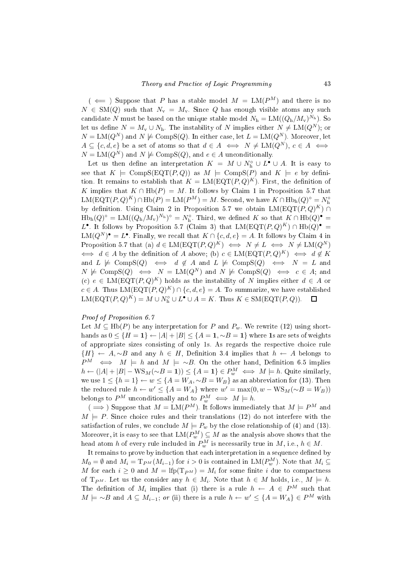$(\iff)$  Suppose that P has a stable model  $M = LM(P^M)$  and there is no  $N \in SM(Q)$  such that  $N_{\rm v} = M_{\rm v}$ . Since Q has enough visible atoms any such candidate  $N$  must be based on the unique stable model  $N_{\rm h} = {\rm LM}((Q_{\rm h}/M_{\rm v})^{N_{\rm h}})$ . So let us define  $N = M_{\rm v} \cup N_{\rm h}$ . The instability of N implies either  $N \neq \text{LM}(Q^N)$ ; or  $N = LM(Q^N)$  and  $N \not\models \text{CompS}(Q)$ . In either case, let  $L = LM(Q^N)$ . Moreover, let  $A \subseteq \{c, d, e\}$  be a set of atoms so that  $d \in A \iff N \neq LM(Q^N), c \in A \iff$  $N = LM(Q^N)$  and  $N \not\models \text{CompS}(Q)$ , and  $e \in A$  unconditionally.

Let us then define an interpretation  $K = M \cup N_h^{\circ} \cup L^{\bullet} \cup A$ . It is easy to see that  $K \models \text{CompS}( \text{EQT}(P,Q))$  as  $M \models \text{CompS}(P)$  and  $K \models e$  by definition. It remains to establish that  $K = LM(EQT(P,Q)^{K})$ . First, the definition of K implies that  $K \cap \text{Hb}(P) = M$ . It follows by Claim 1 in Proposition 5.7 that  $LM(EQT(P,Q)<sup>K</sup>) \cap Hb(P) = LM(P<sup>M</sup>) = M$ . Second, we have  $K \cap Hb<sub>h</sub>(Q)<sup>o</sup> = N<sub>h</sub><sup>o</sup>$ by definition. Using Claim 2 in Proposition 5.7 we obtain  $LM(EQT(P,Q)^K) \cap$  $\text{Hb}_{h}(Q)^{\circ} = \text{LM}((Q_{h}/M_{v})^{N_{h}})^{\circ} = N_{h}^{\circ}$ . Third, we defined K so that  $K \cap \text{Hb}(Q)^{\bullet} =$ L<sup>•</sup>. It follows by Proposition 5.7 (Claim 3) that LM(EQT(P, Q)<sup>K</sup>) ∩ Hb(Q)<sup>•</sup> =  $LM(Q^N)^{\bullet} = L^{\bullet}$ . Finally, we recall that  $K \cap \{c, d, e\} = A$ . It follows by Claim 4 in Proposition 5.7 that (a)  $d \in LM(\text{EQT}(P,Q)^K) \iff N \neq L \iff N \neq LM(Q^N)$  $\iff d \in A$  by the definition of A above; (b)  $c \in LM(\mathrm{EQT}(P,Q)^K) \iff d \notin K$ and  $L \not\models \text{CompS}(Q) \iff d \notin A$  and  $L \not\models \text{CompS}(Q) \iff N = L$  and  $N \not\models \text{CompS}(Q) \iff N = \text{LM}(Q^N) \text{ and } N \not\models \text{CompS}(Q) \iff c \in A; \text{ and}$ (c)  $e \in LM(\mathrm{EQT}(P,Q)^K)$  holds as the instability of N implies either  $d \in A$  or  $c \in A$ . Thus LM(EQT(P, Q)<sup>K</sup>) ∩ {c, d, e} = A. To summarize, we have established  $LM(EQT(P,Q)<sup>K</sup>) = M \cup N<sub>h</sub><sup>o</sup> \cup L<sup>o</sup> \cup A = K$ . Thus  $K \in SM(EQT(P,Q))$ .

# Proof of Proposition 6.7

Let  $M \subseteq \text{Hb}(P)$  be any interpretation for P and  $P_w$ . We rewrite (12) using shorthands as  $0 \leq \{H = 1\} \leftarrow |A| + |B| \leq \{A = 1, \sim B = 1\}$  where 1s are sets of weights of appropriate sizes consisting of only 1s. As regards the respective choice rule  $\{H\} \leftarrow A, \sim B$  and any  $h \in H$ , Definition 3.4 implies that  $h \leftarrow A$  belongs to  $P^M \iff M \models h$  and  $M \models \sim B$ . On the other hand, Definition 6.5 implies  $h \leftarrow (|A| + |B| - \text{WS}_M(\sim B = 1)) \leq \{A = 1\} \in P_w^M \iff M \models h$ . Quite similarly, we use  $1 \leq \{h=1\} \leftarrow w \leq \{A = W_A, \sim B = W_B\}$  as an abbreviation for (13). Then the reduced rule  $h \leftarrow w' \leq \{A = W_A\}$  where  $w' = \max(0, w - WS_M(\sim B = W_B))$ belongs to  $P^M$  unconditionally and to  $P_w^M \iff M \models h$ .

 $( \implies)$  Suppose that  $M = LM(P^M)$ . It follows immediately that  $M \models P^M$  and  $M \models P$ . Since choice rules and their translations (12) do not interfere with the satisfaction of rules, we conclude  $M \models P_w$  by the close relationship of (4) and (13). Moreover, it is easy to see that  ${\rm LM}(P^M_w)\subseteq M$  as the analysis above shows that the head atom h of every rule included in  $P_w^M$  is necessarily true in M, i.e.,  $h \in M$ .

It remains to prove by induction that each interpretation in a sequence defined by  $M_0 = \emptyset$  and  $M_i = T_{P^M}(M_{i-1})$  for  $i > 0$  is contained in  $LM(P_w^M)$ . Note that  $M_i \subseteq$ M for each  $i \geq 0$  and  $M = \text{lfp}(T_{PM}) = M_i$  for some finite i due to compactness of  $T_{PM}$ . Let us the consider any  $h \in M_i$ . Note that  $h \in M$  holds, i.e.,  $M \models h$ . The definition of  $M_i$  implies that (i) there is a rule  $h \leftarrow A \in P^M$  such that  $M \models \neg B$  and  $A \subseteq M_{i-1}$ ; or (ii) there is a rule  $h \leftarrow w' \leq \{A = W_A\} \in P^M$  with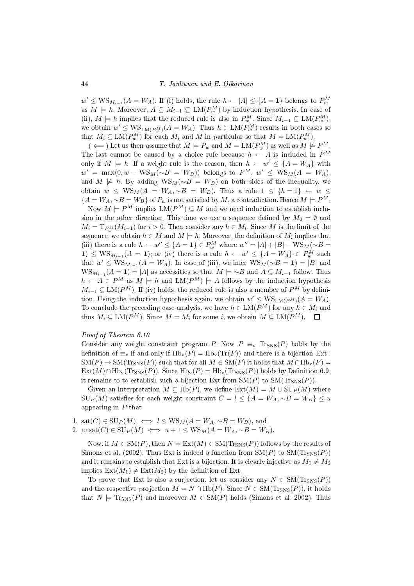$w' \leq \text{WS}_{M_{i-1}}(A = W_A)$ . If (i) holds, the rule  $h \leftarrow |A| \leq \{A = 1\}$  belongs to  $P_w^M$ as  $M \models h$ . Moreover,  $A \subseteq M_{i-1} \subseteq LM(P_w^M)$  by induction hypothesis. In case of (ii),  $M \models h$  implies that the reduced rule is also in  $P_w^M$ . Since  $M_{i-1} \subseteq LM(P_w^M)$ , we obtain  $w' \leq \text{WS}_{\text{LM}(P_w^M)}(A = W_A)$ . Thus  $h \in \text{LM}(P_w^M)$  results in both cases so that  $M_i \subseteq \text{LM}(P_w^M)$  for each  $M_i$  and  $M$  in particular so that  $M = \text{LM}(P_w^M)$ .

 $($   $\Longleftarrow$  ) Let us then assume that  $M \models P_w$  and  $M = LM(P_w^M)$  as well as  $M \not\models P^M$ . The last cannot be caused by a choice rule because  $h \leftarrow A$  is included in  $P^M$ only if  $M \models h$ . If a weight rule is the reason, then  $h \leftarrow w' \leq \{A = W_A\}$  with  $w' = \max(0, w - WS_M(\sim B = W_B))$  belongs to  $P^M, w' \leq WS_M(A = W_A),$ and  $M \not\models h$ . By adding WS<sub>M</sub> (∼B = W<sub>B</sub>) on both sides of the inequality, we obtain  $w \leq WS_M(A = W_A, \sim B = W_B)$ . Thus a rule  $1 \leq \{h=1\} \leftarrow w$  ${A = W_A, \sim B = W_B}$  of  $P_w$  is not satisfied by M, a contradiction. Hence  $M \models P^M$ .

Now  $M \models P^M$  implies  $LM(P^M) \subseteq M$  and we need induction to establish inclusion in the other direction. This time we use a sequence defined by  $M_0 = \emptyset$  and  $M_i = \mathrm{T}_{P^M_w}(M_{i-1})$  for  $i > 0$ . Then consider any  $h \in M_i$ . Since M is the limit of the sequence, we obtain  $h \in M$  and  $M \models h$ . Moreover, the definition of  $M_i$  implies that (iii) there is a rule  $h \leftarrow w'' \leq \{A = 1\} \in P_w^M$  where  $w'' = |A| + |B| - \text{WS}_M(\sim B =$ 1) ≤ WS<sub>M<sub>i-1</sub></sub>(A = 1); or (iv) there is a rule  $h \leftarrow w'$  ≤ {A = W<sub>A</sub>} ∈  $P_w^M$  such that  $w' \leq WS_{M_{i-1}}(A = W_A)$ . In case of (iii), we infer  $WS_M(\sim B = 1) = |B|$  and  $\mathrm{WS}_{M_{i-1}}(A=1) = |A|$  as necessities so that  $M \models \sim B$  and  $A \subseteq M_{i-1}$  follow. Thus  $h \leftarrow A \in P^M$  as  $M \models h$  and  $LM(P^M) \models A$  follows by the induction hypothesis  $M_{i-1} \subseteq LM(P^M)$ . If (iv) holds, the reduced rule is also a member of  $P^M$  by definition. Using the induction hypothesis again, we obtain  $w' \leq WS_{LM(P^M)}(A = W_A)$ . To conclude the preceding case analysis, we have  $h \in LM(P^M)$  for any  $h \in M_i$  and thus  $M_i \subseteq LM(P^M)$ . Since  $M = M_i$  for some i, we obtain  $M \subseteq LM(P^M)$ . П

#### Proof of Theorem 6.10

Consider any weight constraint program P. Now  $P \equiv_{\rm v} {\rm Tr}_{\rm SNS}(P)$  holds by the definition of  $\equiv_{\rm v}$  if and only if  $Hb_{\rm v}(P) = Hb_{\rm v}(Tr(P))$  and there is a bijection Ext :  $\text{SM}(P) \to \text{SM}(\text{Tr}_{\text{SNS}}(P))$  such that for all  $M \in \text{SM}(P)$  it holds that  $M \cap \text{Hb}_v(P) =$  $\text{Ext}(M) \cap \text{Hb}_{v}(\text{Tr}_{\text{SNS}}(P))$ . Since  $\text{Hb}_{v}(P) = \text{Hb}_{v}(\text{Tr}_{\text{SNS}}(P))$  holds by Definition 6.9, it remains to to establish such a bijection Ext from  $\text{SM}(P)$  to  $\text{SM}(T_{\text{T3NS}}(P))$ .

Given an interpretation  $M \subseteq \text{Hb}(P)$ , we define  $\text{Ext}(M) = M \cup \text{SU}_P(M)$  where  $\text{SU}_P(M)$  satisfies for each weight constraint  $C = l \leq \{A = W_A, \sim B = W_B\} \leq u$ appearing in  $P$  that

1. sat(C) ∈ SU<sub>P</sub>(M)  $\iff$  l ≤ WS<sub>M</sub>(A = W<sub>A</sub>, ~B = W<sub>B</sub>), and 2. unsat $(C) \in \text{SU}_P(M) \iff u + 1 \leq \text{WS}_M(A = W_A, \sim B = W_B)$ .

Now, if  $M \in SM(P)$ , then  $N = Ext(M) \in SM(\text{Tr}_{SNS}(P))$  follows by the results of Simons et al. (2002). Thus Ext is indeed a function from  $SM(P)$  to  $SM(T_{\text{SNS}}(P))$ and it remains to establish that Ext is a bijection. It is clearly injective as  $M_1 \neq M_2$ implies  $\text{Ext}(M_1) \neq \text{Ext}(M_2)$  by the definition of Ext.

To prove that Ext is also a surjection, let us consider any  $N \in SM(\text{Tr}_{SNS}(P))$ and the respective projection  $M = N \cap \text{Hb}(P)$ . Since  $N \in \text{SM}(\text{Tr}_{\text{SNS}}(P))$ , it holds that  $N \models \text{Tr}_{\text{SNS}}(P)$  and moreover  $M \in \text{SM}(P)$  holds (Simons et al. 2002). Thus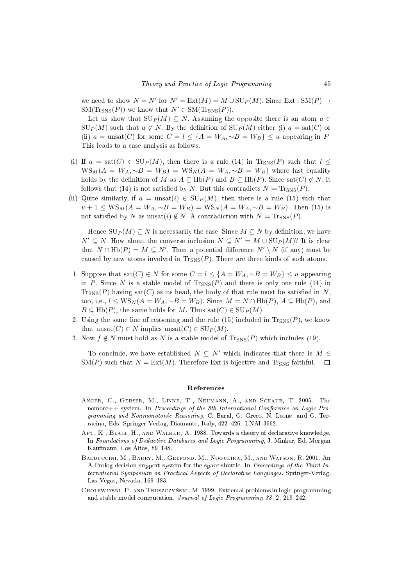we need to show  $N = N'$  for  $N' = \text{Ext}(M) = M \cup \text{SU}_P(M)$ . Since  $\text{Ext} : \text{SM}(P) \to$  $SM(Tr_{SNS}(P))$  we know that  $N' \in SM(Tr_{SNS}(P)).$ 

Let us show that  $\text{SU}_P(M) \subseteq N$ . Assuming the opposite there is an atom  $a \in$  $\text{SU}_P(M)$  such that  $a \notin N$ . By the definition of  $\text{SU}_P(M)$  either (i)  $a = \text{sat}(C)$  or (ii)  $a = \text{unsat}(C)$  for some  $C = l \leq \{A = W_A, \neg B = W_B\} \leq u$  appearing in P. This leads to a case analysis as follows.

- (i) If  $a = \text{sat}(C) \in \text{SU}_P(M)$ , then there is a rule (14) in  $\text{Tr}_{\text{SNS}}(P)$  such that  $l \leq$  $WS_M(A = W_A, \neg B = W_B) = WS_N(A = W_A, \neg B = W_B)$  where last equality holds by the definition of M as  $A \subseteq \text{Hb}(P)$  and  $B \subseteq \text{Hb}(P)$ . Since sat $(C) \notin N$ , it follows that (14) is not satisfied by N. But this contradicts  $N \models \text{Tr}_{\text{SNS}}(P)$ .
- (ii) Quite similarly, if  $a = \text{unsat}(i) \in \text{SU}_P(M)$ , then there is a rule (15) such that  $u + 1 \le WS_M(A = W_A, \sim B = W_B) = WS_N(A = W_A, \sim B = W_B)$ . Then (15) is not satisfied by N as  $\text{unsat}(i) \notin N$ . A contradiction with  $N \models \text{Tr}_{\text{SNS}}(P)$ .

Hence  $\text{SU}_P(M) \subseteq N$  is necessarily the case. Since  $M \subseteq N$  by definition, we have  $N' \subseteq N$ . How about the converse inclusion  $N \subseteq N' = M \cup SU_P(M)$ ? It is clear that  $N \cap \text{Hb}(P) = M \subseteq N'$ . Then a potential difference  $N' \setminus N$  (if any) must be caused by new atoms involved in  $T_{\text{TSNS}}(P)$ . There are three kinds of such atoms.

- 1. Suppose that sat(C) ∈ N for some  $C = l \leq \{A = W_A, \neg B = W_B\} \leq u$  appearing in P. Since N is a stable model of  $\text{Tr}_{\text{SNS}}(P)$  and there is only one rule (14) in  $T_{\text{SNS}}(P)$  having sat(C) as its head, the body of that rule must be satisfied in N, too, i.e.,  $l \textless UNS}_N(A = W_A, \neg B = W_B)$ . Since  $M = N \cap \text{Hb}(P)$ ,  $A \subseteq \text{Hb}(P)$ , and  $B \subseteq \text{Hb}(P)$ , the same holds for M. Thus sat $(C) \in \text{SU}_P(M)$ .
- 2. Using the same line of reasoning and the rule (15) included in  $\text{Tr}_{\text{SNS}}(P)$ , we know that unsat $(C) \in N$  implies unsat $(C) \in \text{SU}_P(M)$ .
- 3. Now  $f \notin N$  must hold as N is a stable model of  $\text{Tr}_{\text{SNS}}(P)$  which includes (19).

To conclude, we have established  $N \subseteq N'$  which indicates that there is  $M \in$ SM(P) such that  $N = \text{Ext}(M)$ . Therefore Ext is bijective and Tr<sub>SNS</sub> faithful.  $\Box$ 

## Referen
es

- ANGER, C., GEBSER, M., LINKE, T., NEUMANN, A., AND SCHAUB, T. 2005. The nomore  $++$  system. In Proceedings of the 8th International Conference on Logic Programming and Nonmonotonic Reasoning, C. Baral, G. Greco, N. Leone, and G. Terracina, Eds. Springer-Verlag, Diamante, Italy, 422-426. LNAI 3662.
- Apt, K., Blair, H., and Walker, A. 1988. Towards <sup>a</sup> theory of de
larative knowledge. In Foundations of Dedu
tive Databases and Logi Programming, J. Minker, Ed. Morgan Kaufmann, Los Altos, 89-148.
- BALDUCCINI, M., BARRY, M., GELFOND, M., NOGUEIRA, M., AND WATSON, R. 2001. An A-Prolog decision support system for the space shuttle. In Proceedings of the Third International Symposium on Practical Aspects of Declarative Languages. Springer-Verlag, Las Vegas, Nevada, 169-183.
- CHOLEWINSKI, P. AND TRUSZCZYŃSKI, M. 1999. Extremal problems in logic programming and stable model computation. Journal of Logic Programming 38, 2, 219-242.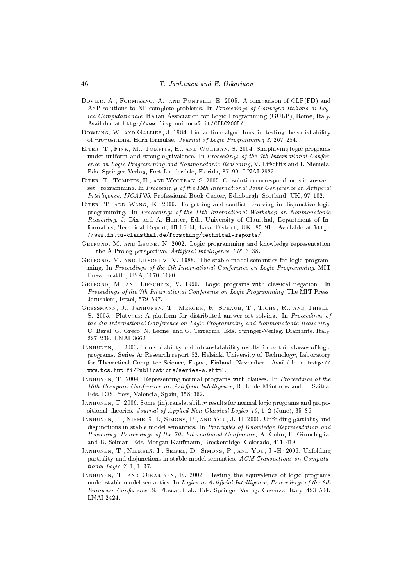- DOVIER, A., FORMISANO, A., AND PONTELLI, E. 2005. A comparison of CLP(FD) and ASP solutions to NP-complete problems. In *Proceedings of Convegno Italiano di Log*ica Computazionale. Italian Association for Logic Programming (GULP), Rome, Italy. Available at http://www.disp.uniroma2.it/CILC2005/.
- DOWLING, W. AND GALLIER, J. 1984. Linear-time algorithms for testing the satisfiability of propositional Horn formulae. Journal of Logic Programming 3, 267-284.
- EITER, T., FINK, M., TOMPITS, H., AND WOLTRAN, S. 2004. Simplifying logic programs under uniform and strong equivalence. In Proceedings of the 7th International Conference on Logic Programming and Nonmonotonic Reasoning, V. Lifschitz and I. Niemelä, Eds. Springer-Verlag, Fort Lauderdale, Florida, 87-99. LNAI 2923.
- EITER. T., TOMPITS, H., AND WOLTRAN, S. 2005. On solution correspondences in answerset programming. In Proceedings of the 19th International Joint Conference on Artificial Intelligence, IJCAI'05. Professional Book Center, Edinburgh, Scotland, UK, 97-102.
- EITER, T. AND WANG, K. 2006. Forgetting and conflict resolving in disjunctive logic programming. In Pro
eedings of the 11th International Workshop on Nonmonotoni Reasoning, J. Dix and A. Hunter, Eds. University of Clausthal, Department of Informatics, Technical Report, IfI-06-04, Lake District, UK, 85-91. Available at http: //www.in.tu-clausthal.de/forschung/technical-reports/.
- Gelfond, M. and Leone, N. 2002. Logi programming and knowledge representation - the A-Prolog perspective. Artificial Intelligence 138, 3-38.
- GELFOND, M. AND LIFSCHITZ, V. 1988. The stable model semantics for logic programming. In Proceedings of the 5th International Conference on Logic Programming. MIT Press, Seattle, USA, 1070-1080.
- GELFOND, M. AND LIFSCHITZ, V. 1990. Logic programs with classical negation. In Proceedings of the 7th International Conference on Logic Programming. The MIT Press, Jerusalem, Israel, 579-597.
- GRESSMANN, J., JANHUNEN, T., MERCER, R. SCHAUB, T., TICHY, R., AND THIELE, S. 2005. Platypus: A platform for distributed answer set solving. In *Proceedings of* the 8th International Conferen
e on Logi Programming and Nonmonotoni Reasoning, C. Baral, G. Gre
o, N. Leone, and G. Terra
ina, Eds. Springer-Verlag, Diamante, Italy, 227239. LNAI 3662.
- JANHUNEN, T. 2003. Translatability and intranslatability results for certain classes of logic programs. Series A: Resear
h report 82, Helsinki University of Te
hnology, Laboratory for Theoreti
al Computer S
ien
e, Espoo, Finland. November. Available at http:// www.t
s.hut.fi/Publi
ations/series-a.shtml.
- JANHUNEN, T. 2004. Representing normal programs with clauses. In *Proceedings of the* 16th European Conference on Artificial Intelligence, R. L. de Mántaras and L. Saitta. Eds. IOS Press, Valencia, Spain, 358-362.
- JANHUNEN, T. 2006. Some (in)translatability results for normal logic programs and propositional theories. Journal of Applied Non-Classical Logics 16, 1-2 (June), 35-86.
- JANHUNEN, T., NIEMELÄ, I., SIMONS, P., AND YOU, J.-H. 2000. Unfolding partiality and disjunctions in stable model semantics. In *Principles of Knowledge Representation and* Reasoning: Proceedings of the 7th International Conference, A. Cohn, F. Giunchiglia, and B. Selman, Eds. Morgan Kaufmann, Breckenridge, Colorado, 411-419.
- Janhunen, T., Niemelä, I., Seipel, D., Simons, P., and You, J.-H. 2006. Unfolding partiality and disjunctions in stable model semantics. ACM Transactions on Computational Logic 7, 1, 1-37.
- JANHUNEN, T. AND OIKARINEN, E. 2002. Testing the equivalence of logic programs under stable model semantics. In Logics in Artificial Intelligence, Proceedings of the 8th European Conference, S. Flesca et al., Eds. Springer-Verlag, Cosenza, Italy, 493-504. LNAI 2424.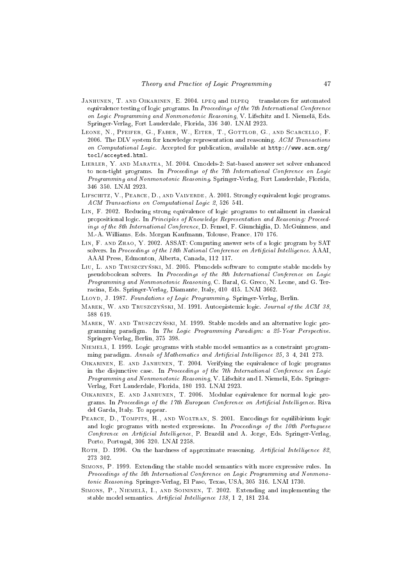- JANHUNEN, T. AND OIKARINEN, E. 2004. LPEQ and DLPEQ translators for automated equivalence testing of logic programs. In *Proceedings of the 7th International Conference* on Logi Programming and Nonmonotoni Reasoning, V. Lifs
hitz and I. Niemelä, Eds. Springer-Verlag, Fort Lauderdale, Florida, 336-340. LNAI 2923.
- LEONE, N., PFEIFER, G., FABER, W., EITER, T., GOTTLOB, G., AND SCARCELLO, F. 2006. The DLV system for knowledge representation and reasoning. ACM Transactions on Computational Logic. Accepted for publication, available at http://www.acm.org/ tocl/accepted.html.
- LIERLER, Y. AND MARATEA, M. 2004. Cmodels-2: Sat-based answer set solver enhanced to non-tight programs. In Proceedings of the 7th International Conference on Logic Programming and Nonmonotonic Reasoning. Springer-Verlag, Fort Lauderdale, Florida, 346350. LNAI 2923.
- LIFSCHITZ, V., PEARCE, D., AND VALVERDE, A. 2001. Strongly equivalent logic programs. ACM Transactions on Computational Logic 2, 526-541.
- LIN, F. 2002. Reducing strong equivalence of logic programs to entailment in classical propositional logic. In Principles of Knowledge Representation and Reasoning: Proceedings of the 8th International Conference, D. Fensel, F. Giunchiglia, D. McGuinness, and M.-A. Williams, Eds. Morgan Kaufmann, Tolouse, France, 170-176.
- Lin, F. and Zhao, Y. 2002. ASSAT: Computing answer sets of <sup>a</sup> logi program by SAT solvers. In Proceedings of the 18th National Conference on Artificial Intelligence. AAAI, AAAI Press, Edmonton, Alberta, Canada, 112-117.
- LIU, L. AND TRUSZCZYŃSKI, M. 2005. Pbmodels software to compute stable models by pseudoboolean solvers. In Proceedings of the 8th International Conference on Logic Programming and Nonmonotonic Reasoning, C. Baral, G. Greco, N. Leone, and G. Terracina, Eds. Springer-Verlag, Diamante, Italy, 410-415. LNAI 3662.
- LLOYD, J. 1987. Foundations of Logic Programming. Springer-Verlag, Berlin.
- MAREK, W. AND TRUSZCZYŃSKI, M. 1991. Autoepistemic logic. Journal of the ACM 38, 588619.
- MAREK, W. AND TRUSZCZYŃSKI, M. 1999. Stable models and an alternative logic programming paradigm. In The Logic Programming Paradigm: a 25-Year Perspective. Springer-Verlag, Berlin, 375-398.
- NIEMELÄ, I. 1999. Logic programs with stable model semantics as a constraint programming paradigm. Annals of Mathematics and Artificial Intelligence  $25$ ,  $3-4$ ,  $241-273$ .
- OIKARINEN, E. AND JANHUNEN, T. 2004. Verifying the equivalence of logic programs in the disjunctive case. In Proceedings of the 7th International Conference on Logic Programming and Nonmonotonic Reasoning, V. Lifschitz and I. Niemelä, Eds. Springer-Verlag, Fort Lauderdale, Florida, 180-193. LNAI 2923.
- OIKARINEN, E. AND JANHUNEN, T. 2006. Modular equivalence for normal logic programs. In Proceedings of the 17th European Conference on Artificial Intelligence. Riva del Garda, Italy. To appear.
- PEARCE, D., TOMPITS, H., AND WOLTRAN, S. 2001. Encodings for equilibirium logic and logic programs with nested expressions. In Proceedings of the 10th Portuguese Conference on Artificial Intelligence, P. Brazdil and A. Jorge, Eds. Springer-Verlag, Porto, Portugal, 306-320. LNAI 2258.
- ROTH, D. 1996. On the hardness of approximate reasoning. Artificial Intelligence 82, 273-302.
- Simons, P. 1999. Extending the stable model semanti
s with more expressive rules. In Proceedings of the 5th International Conference on Logic Programming and Nonmonotonic Reasoning. Springer-Verlag, El Paso, Texas, USA, 305-316. LNAI 1730.
- Simons, P., Niemelä, I., and Soininen, T. 2002. Extending and implementing the stable model semantics. Artificial Intelligence 138, 1-2, 181-234.